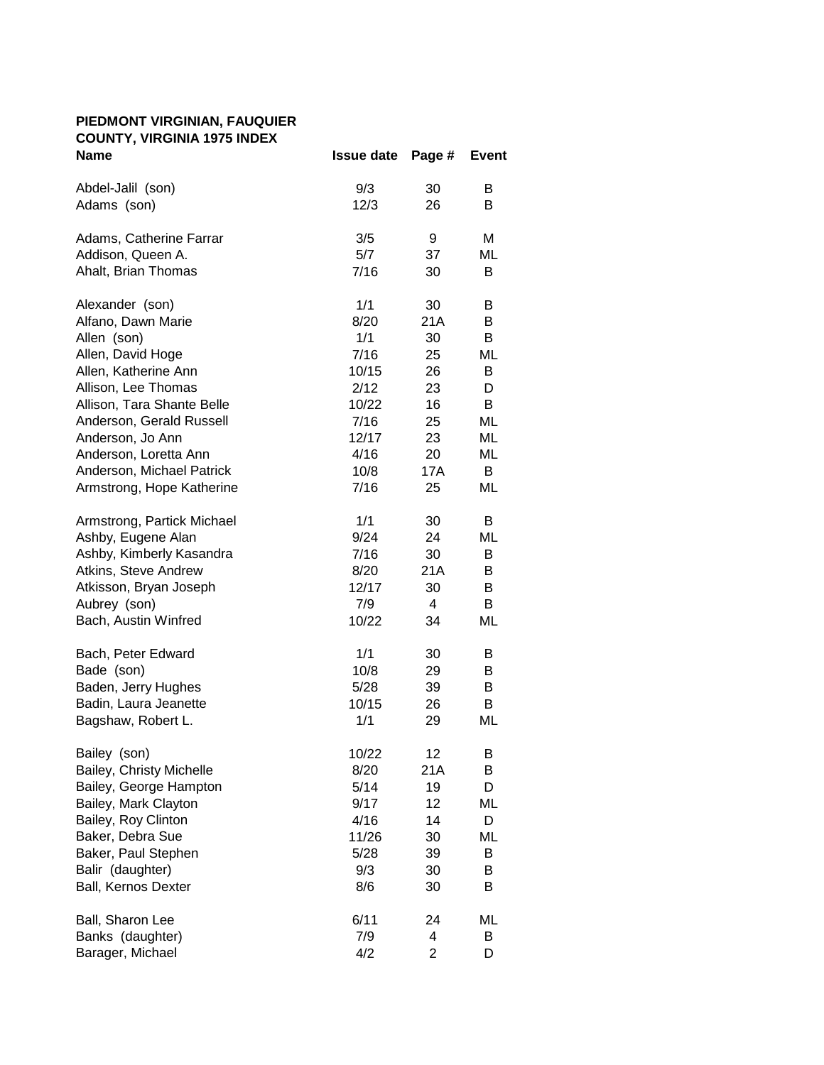## **PIEDMONT VIRGINIAN, FAUQUIER COUNTY, VIRGINIA 1975 INDEX**

| <b>Name</b>                | <b>Issue date</b> | Page #         | <b>Event</b> |
|----------------------------|-------------------|----------------|--------------|
| Abdel-Jalil (son)          | 9/3               | 30             | B            |
| Adams (son)                | 12/3              | 26             | В            |
| Adams, Catherine Farrar    | 3/5               | 9              | Μ            |
| Addison, Queen A.          | 5/7               | 37             | ML           |
| Ahalt, Brian Thomas        | 7/16              | 30             | B            |
| Alexander (son)            | 1/1               | 30             | В            |
| Alfano, Dawn Marie         | 8/20              | 21A            | B            |
| Allen (son)                | 1/1               | 30             | B            |
| Allen, David Hoge          | 7/16              | 25             | ML           |
| Allen, Katherine Ann       | 10/15             | 26             | B            |
| Allison, Lee Thomas        | 2/12              | 23             | D            |
| Allison, Tara Shante Belle | 10/22             | 16             | B            |
| Anderson, Gerald Russell   | 7/16              | 25             | ML           |
| Anderson, Jo Ann           | 12/17             | 23             | ML           |
| Anderson, Loretta Ann      | 4/16              | 20             | ML           |
| Anderson, Michael Patrick  | 10/8              | 17A            | B            |
| Armstrong, Hope Katherine  | 7/16              | 25             | ML           |
| Armstrong, Partick Michael | 1/1               | 30             | B            |
| Ashby, Eugene Alan         | 9/24              | 24             | ML           |
| Ashby, Kimberly Kasandra   | 7/16              | 30             | B            |
| Atkins, Steve Andrew       | 8/20              | 21A            | В            |
| Atkisson, Bryan Joseph     | 12/17             | 30             | B            |
| Aubrey (son)               | 7/9               | 4              | B            |
| Bach, Austin Winfred       | 10/22             | 34             | ML           |
| Bach, Peter Edward         | 1/1               | 30             | В            |
| Bade (son)                 | 10/8              | 29             | В            |
| Baden, Jerry Hughes        | 5/28              | 39             | B            |
| Badin, Laura Jeanette      | 10/15             | 26             | B            |
| Bagshaw, Robert L.         | 1/1               | 29             | ML           |
| Bailey (son)               | 10/22             | 12             | Β            |
| Bailey, Christy Michelle   | 8/20              | 21A            | B            |
| Bailey, George Hampton     | 5/14              | 19             | D            |
| Bailey, Mark Clayton       | 9/17              | 12             | ML           |
| Bailey, Roy Clinton        | 4/16              | 14             | D            |
| Baker, Debra Sue           | 11/26             | 30             | ML           |
| Baker, Paul Stephen        | 5/28              | 39             | B            |
| Balir (daughter)           | 9/3               | 30             | B            |
| Ball, Kernos Dexter        | 8/6               | 30             | B            |
| Ball, Sharon Lee           | 6/11              | 24             | ML           |
| Banks (daughter)           | 7/9               | 4              | B            |
| Barager, Michael           | 4/2               | $\overline{2}$ | D            |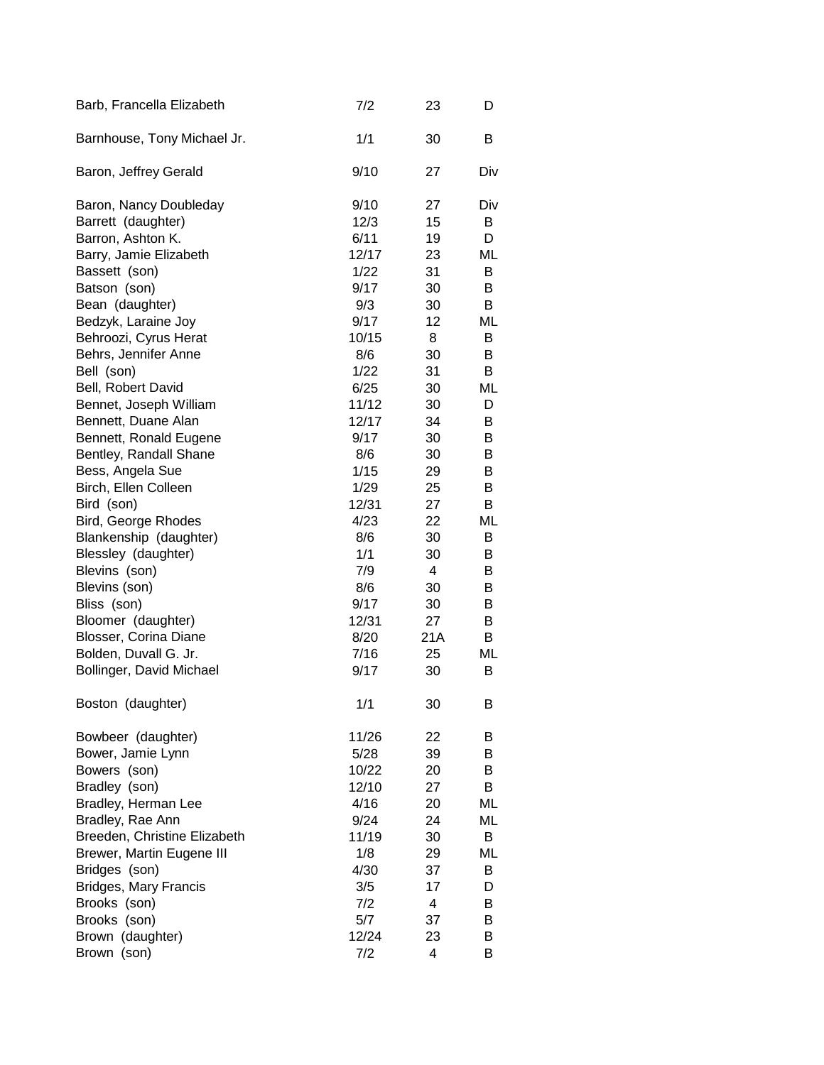| Barb, Francella Elizabeth    | 7/2   | 23  | D   |
|------------------------------|-------|-----|-----|
| Barnhouse, Tony Michael Jr.  | 1/1   | 30  | B   |
| Baron, Jeffrey Gerald        | 9/10  | 27  | Div |
| Baron, Nancy Doubleday       | 9/10  | 27  | Div |
| Barrett (daughter)           | 12/3  | 15  | B   |
| Barron, Ashton K.            | 6/11  | 19  | D   |
| Barry, Jamie Elizabeth       | 12/17 | 23  | ML  |
| Bassett (son)                | 1/22  | 31  | B   |
| Batson (son)                 | 9/17  | 30  | B   |
| Bean (daughter)              | 9/3   | 30  | B   |
| Bedzyk, Laraine Joy          | 9/17  | 12  | ML  |
| Behroozi, Cyrus Herat        | 10/15 | 8   | B   |
| Behrs, Jennifer Anne         | 8/6   | 30  | B   |
| Bell (son)                   | 1/22  | 31  | B   |
| Bell, Robert David           | 6/25  | 30  | ML  |
| Bennet, Joseph William       | 11/12 | 30  | D   |
| Bennett, Duane Alan          | 12/17 | 34  | В   |
| Bennett, Ronald Eugene       | 9/17  | 30  | В   |
| Bentley, Randall Shane       | 8/6   | 30  | B   |
| Bess, Angela Sue             | 1/15  | 29  | B   |
| Birch, Ellen Colleen         | 1/29  | 25  | В   |
| Bird (son)                   | 12/31 | 27  | B   |
| Bird, George Rhodes          | 4/23  | 22  | ML  |
| Blankenship (daughter)       | 8/6   | 30  | B   |
| Blessley (daughter)          | 1/1   | 30  | B   |
| Blevins (son)                | 7/9   | 4   | В   |
| Blevins (son)                | 8/6   | 30  | В   |
| Bliss (son)                  | 9/17  | 30  | B   |
|                              |       |     |     |
| Bloomer (daughter)           | 12/31 | 27  | B   |
| Blosser, Corina Diane        | 8/20  | 21A | B   |
| Bolden, Duvall G. Jr.        | 7/16  | 25  | ML  |
| Bollinger, David Michael     | 9/17  | 30  | B   |
| Boston (daughter)            | 1/1   | 30  | B   |
| Bowbeer (daughter)           | 11/26 | 22  | В   |
| Bower, Jamie Lynn            | 5/28  | 39  | В   |
| Bowers (son)                 | 10/22 | 20  | B   |
| Bradley (son)                | 12/10 | 27  | B   |
| Bradley, Herman Lee          | 4/16  | 20  | ML  |
| Bradley, Rae Ann             | 9/24  | 24  | ML  |
| Breeden, Christine Elizabeth | 11/19 | 30  | B   |
| Brewer, Martin Eugene III    | 1/8   | 29  | ML  |
| Bridges (son)                | 4/30  | 37  | В   |
| <b>Bridges, Mary Francis</b> | 3/5   | 17  | D   |
| Brooks (son)                 | 7/2   | 4   | B   |
| Brooks (son)                 | 5/7   | 37  | B   |
| Brown (daughter)             | 12/24 | 23  | B   |
| Brown (son)                  | 7/2   | 4   | B   |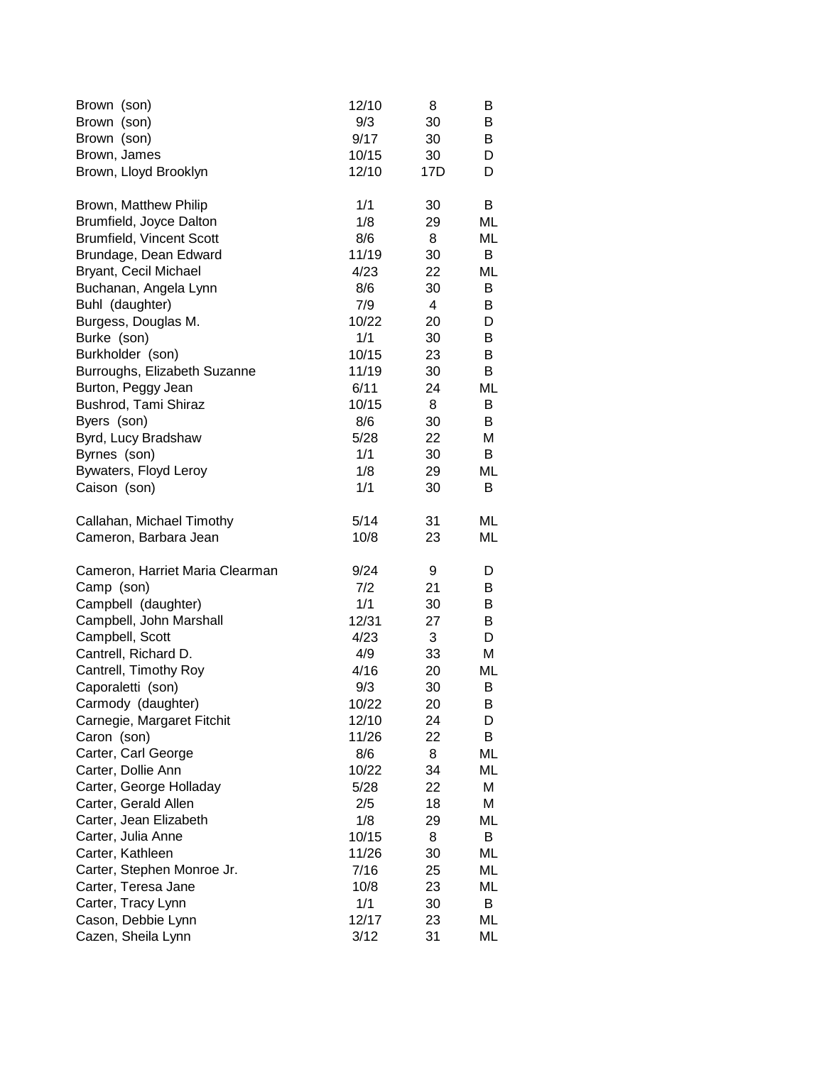| Brown (son)                     | 12/10 | 8   | В  |
|---------------------------------|-------|-----|----|
| Brown (son)                     | 9/3   | 30  | В  |
| Brown (son)                     | 9/17  | 30  | В  |
| Brown, James                    | 10/15 | 30  | D  |
| Brown, Lloyd Brooklyn           | 12/10 | 17D | D  |
| Brown, Matthew Philip           | 1/1   | 30  | B  |
| Brumfield, Joyce Dalton         | 1/8   | 29  | ML |
| <b>Brumfield, Vincent Scott</b> | 8/6   | 8   | ML |
| Brundage, Dean Edward           | 11/19 | 30  | B  |
| Bryant, Cecil Michael           | 4/23  | 22  | ML |
| Buchanan, Angela Lynn           | 8/6   | 30  | B  |
| Buhl (daughter)                 | 7/9   | 4   | B  |
| Burgess, Douglas M.             | 10/22 | 20  | D  |
| Burke (son)                     | 1/1   | 30  | B  |
| Burkholder (son)                | 10/15 | 23  | B  |
| Burroughs, Elizabeth Suzanne    | 11/19 | 30  | В  |
| Burton, Peggy Jean              | 6/11  | 24  | ML |
| Bushrod, Tami Shiraz            | 10/15 | 8   | B  |
| Byers (son)                     | 8/6   | 30  | B  |
| Byrd, Lucy Bradshaw             | 5/28  | 22  | Μ  |
| Byrnes (son)                    | 1/1   | 30  | B  |
| Bywaters, Floyd Leroy           | 1/8   | 29  | ML |
| Caison (son)                    | 1/1   | 30  | B  |
| Callahan, Michael Timothy       | 5/14  | 31  | ML |
| Cameron, Barbara Jean           | 10/8  | 23  | ML |
| Cameron, Harriet Maria Clearman | 9/24  | 9   | D  |
| Camp (son)                      | 7/2   | 21  | B  |
| Campbell (daughter)             | 1/1   | 30  | В  |
| Campbell, John Marshall         | 12/31 | 27  | В  |
| Campbell, Scott                 | 4/23  | 3   | D  |
| Cantrell, Richard D.            | 4/9   | 33  | М  |
| Cantrell, Timothy Roy           | 4/16  | 20  | ML |
| Caporaletti (son)               | 9/3   | 30  | В  |
| Carmody (daughter)              | 10/22 | 20  | B  |
| Carnegie, Margaret Fitchit      | 12/10 | 24  | D  |
| Caron (son)                     | 11/26 | 22  | B  |
| Carter, Carl George             | 8/6   | 8   | ML |
| Carter, Dollie Ann              | 10/22 | 34  | ML |
| Carter, George Holladay         | 5/28  | 22  | М  |
| Carter, Gerald Allen            | 2/5   | 18  | Μ  |
| Carter, Jean Elizabeth          | 1/8   | 29  | ML |
| Carter, Julia Anne              | 10/15 | 8   | B  |
| Carter, Kathleen                | 11/26 | 30  | ML |
| Carter, Stephen Monroe Jr.      | 7/16  | 25  | ML |
| Carter, Teresa Jane             | 10/8  | 23  | ML |
| Carter, Tracy Lynn              | 1/1   | 30  | B  |
| Cason, Debbie Lynn              | 12/17 | 23  | ML |
| Cazen, Sheila Lynn              | 3/12  | 31  | ML |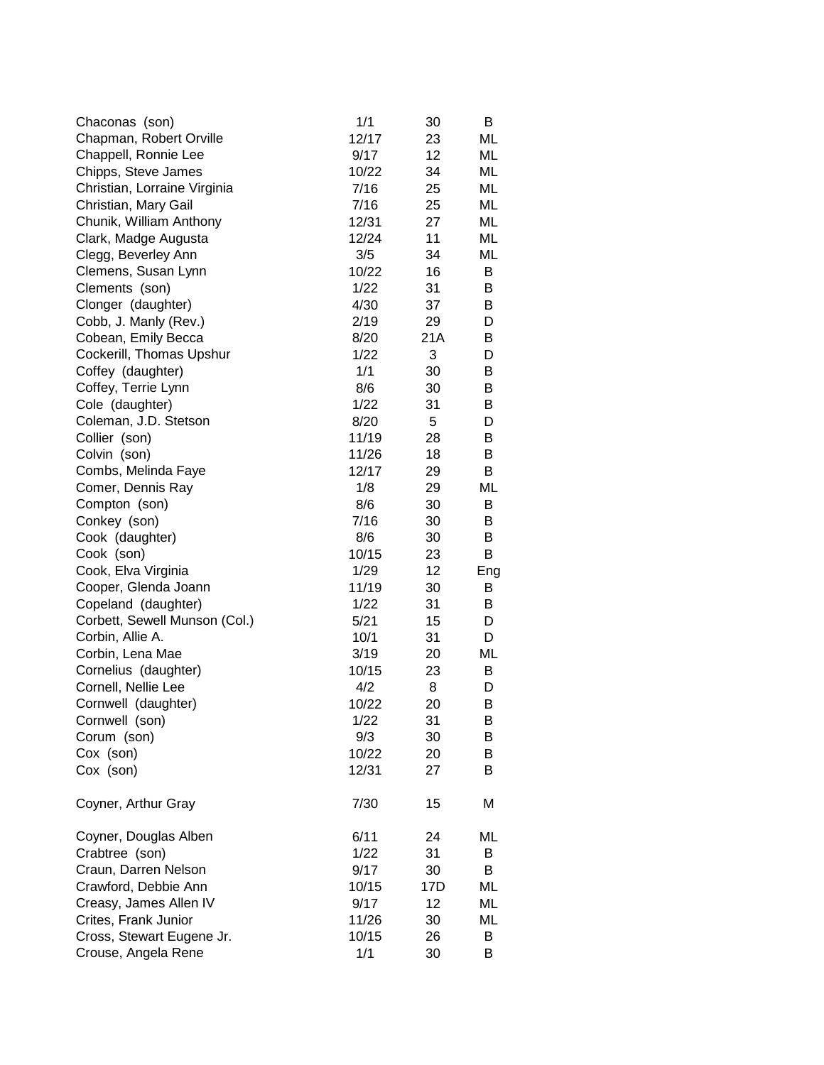| Chaconas (son)                | 1/1   | 30  | В   |
|-------------------------------|-------|-----|-----|
| Chapman, Robert Orville       | 12/17 | 23  | ML  |
| Chappell, Ronnie Lee          | 9/17  | 12  | ML  |
| Chipps, Steve James           | 10/22 | 34  | ML  |
| Christian, Lorraine Virginia  | 7/16  | 25  | ML  |
| Christian, Mary Gail          | 7/16  | 25  | ML  |
| Chunik, William Anthony       | 12/31 | 27  | ML  |
| Clark, Madge Augusta          | 12/24 | 11  | ML  |
| Clegg, Beverley Ann           | 3/5   | 34  | ML  |
| Clemens, Susan Lynn           | 10/22 | 16  | B   |
| Clements (son)                | 1/22  | 31  | B   |
| Clonger (daughter)            | 4/30  | 37  | B   |
| Cobb, J. Manly (Rev.)         | 2/19  | 29  | D   |
| Cobean, Emily Becca           | 8/20  | 21A | В   |
| Cockerill, Thomas Upshur      | 1/22  | 3   | D   |
| Coffey (daughter)             | 1/1   | 30  | B   |
| Coffey, Terrie Lynn           | 8/6   | 30  | В   |
| Cole (daughter)               | 1/22  | 31  | B   |
| Coleman, J.D. Stetson         | 8/20  | 5   | D   |
| Collier (son)                 | 11/19 | 28  | B   |
| Colvin (son)                  | 11/26 | 18  | B   |
| Combs, Melinda Faye           | 12/17 | 29  | B   |
| Comer, Dennis Ray             | 1/8   | 29  | ML  |
| Compton (son)                 | 8/6   | 30  | B   |
| Conkey (son)                  | 7/16  | 30  | B   |
| Cook (daughter)               | 8/6   | 30  | B   |
| Cook (son)                    | 10/15 | 23  | В   |
| Cook, Elva Virginia           | 1/29  | 12  | Eng |
| Cooper, Glenda Joann          | 11/19 | 30  | B   |
| Copeland (daughter)           | 1/22  | 31  | B   |
| Corbett, Sewell Munson (Col.) | 5/21  | 15  | D   |
| Corbin, Allie A.              | 10/1  | 31  | D   |
| Corbin, Lena Mae              | 3/19  | 20  | ML  |
| Cornelius (daughter)          | 10/15 | 23  | B   |
| Cornell, Nellie Lee           | 4/2   | 8   | D   |
| Cornwell (daughter)           | 10/22 | 20  | B   |
| Cornwell (son)                | 1/22  | 31  | В   |
| Corum (son)                   | 9/3   | 30  | В   |
| Cox (son)                     | 10/22 | 20  | В   |
| Cox (son)                     | 12/31 | 27  | B   |
| Coyner, Arthur Gray           | 7/30  | 15  | М   |
| Coyner, Douglas Alben         | 6/11  | 24  | ML  |
| Crabtree (son)                | 1/22  | 31  | В   |
| Craun, Darren Nelson          | 9/17  | 30  | В   |
| Crawford, Debbie Ann          | 10/15 | 17D | ML  |
| Creasy, James Allen IV        | 9/17  | 12  | ML  |
| Crites, Frank Junior          | 11/26 | 30  | ML  |
| Cross, Stewart Eugene Jr.     | 10/15 | 26  | В   |
| Crouse, Angela Rene           | 1/1   | 30  | В   |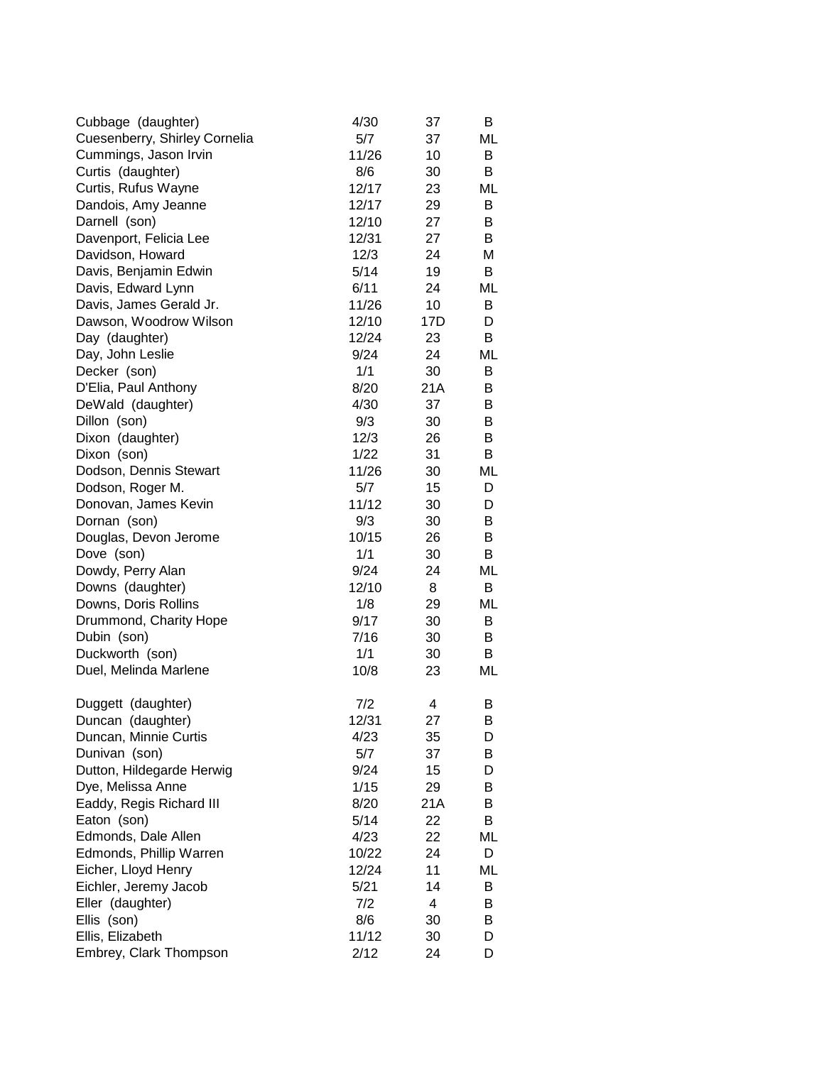| Cubbage (daughter)            | 4/30  | 37  | B  |
|-------------------------------|-------|-----|----|
| Cuesenberry, Shirley Cornelia | 5/7   | 37  | ML |
| Cummings, Jason Irvin         | 11/26 | 10  | B  |
| Curtis (daughter)             | 8/6   | 30  | B  |
| Curtis, Rufus Wayne           | 12/17 | 23  | ML |
| Dandois, Amy Jeanne           | 12/17 | 29  | В  |
| Darnell (son)                 | 12/10 | 27  | В  |
| Davenport, Felicia Lee        | 12/31 | 27  | B  |
| Davidson, Howard              | 12/3  | 24  | Μ  |
| Davis, Benjamin Edwin         | 5/14  | 19  | B  |
| Davis, Edward Lynn            | 6/11  | 24  | ML |
| Davis, James Gerald Jr.       | 11/26 | 10  | B  |
| Dawson, Woodrow Wilson        | 12/10 | 17D | D  |
| Day (daughter)                | 12/24 | 23  | В  |
| Day, John Leslie              | 9/24  | 24  | ML |
| Decker (son)                  | 1/1   | 30  | B  |
| D'Elia, Paul Anthony          | 8/20  | 21A | B  |
| DeWald (daughter)             | 4/30  | 37  | В  |
| Dillon (son)                  | 9/3   | 30  | B  |
| Dixon (daughter)              | 12/3  | 26  | B  |
| Dixon (son)                   | 1/22  | 31  | В  |
| Dodson, Dennis Stewart        | 11/26 | 30  | ML |
| Dodson, Roger M.              | 5/7   | 15  | D  |
| Donovan, James Kevin          | 11/12 | 30  | D  |
| Dornan (son)                  | 9/3   | 30  | B  |
| Douglas, Devon Jerome         | 10/15 | 26  | B  |
| Dove (son)                    | 1/1   | 30  | В  |
| Dowdy, Perry Alan             | 9/24  | 24  | ML |
| Downs (daughter)              | 12/10 | 8   | В  |
| Downs, Doris Rollins          | 1/8   | 29  | ML |
| Drummond, Charity Hope        | 9/17  | 30  | B  |
| Dubin (son)                   | 7/16  | 30  | B  |
| Duckworth (son)               | 1/1   | 30  | B  |
| Duel, Melinda Marlene         | 10/8  | 23  | ML |
|                               |       |     |    |
| Duggett (daughter)            | 7/2   | 4   | В  |
| Duncan (daughter)             | 12/31 | 27  | В  |
| Duncan, Minnie Curtis         | 4/23  | 35  | D  |
| Dunivan (son)                 | 5/7   | 37  | В  |
| Dutton, Hildegarde Herwig     | 9/24  | 15  | D  |
| Dye, Melissa Anne             | 1/15  | 29  | В  |
| Eaddy, Regis Richard III      | 8/20  | 21A | В  |
| Eaton (son)                   | 5/14  | 22  | B  |
| Edmonds, Dale Allen           | 4/23  | 22  | ML |
| Edmonds, Phillip Warren       | 10/22 | 24  | D  |
| Eicher, Lloyd Henry           | 12/24 | 11  | ML |
| Eichler, Jeremy Jacob         | 5/21  | 14  | B  |
| Eller (daughter)              | 7/2   | 4   | В  |
| Ellis (son)                   | 8/6   | 30  | B  |
| Ellis, Elizabeth              | 11/12 | 30  | D  |
| Embrey, Clark Thompson        | 2/12  | 24  | D  |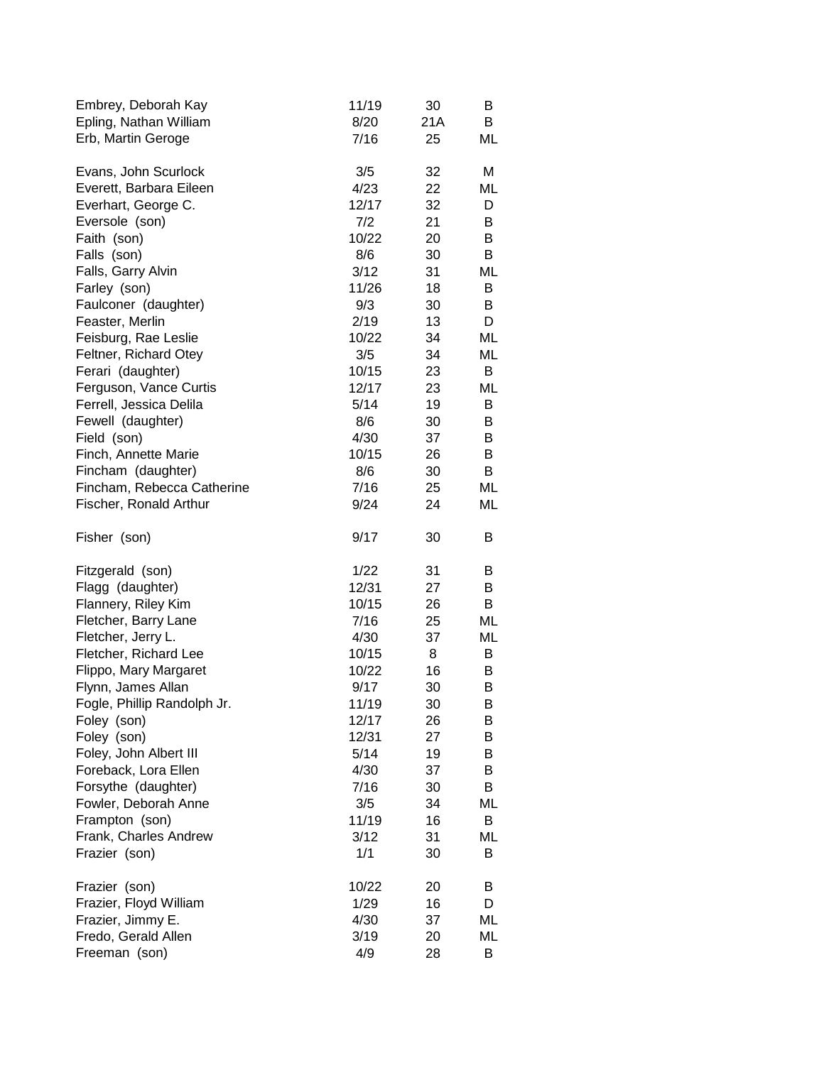| Embrey, Deborah Kay         | 11/19 | 30  | B  |
|-----------------------------|-------|-----|----|
| Epling, Nathan William      | 8/20  | 21A | B  |
| Erb, Martin Geroge          | 7/16  | 25  | ML |
| Evans, John Scurlock        | 3/5   | 32  | Μ  |
| Everett, Barbara Eileen     | 4/23  | 22  | ML |
| Everhart, George C.         | 12/17 | 32  | D  |
| Eversole (son)              | 7/2   | 21  | B  |
| Faith (son)                 | 10/22 | 20  | B  |
| Falls (son)                 | 8/6   | 30  | B  |
| Falls, Garry Alvin          | 3/12  | 31  | ML |
| Farley (son)                | 11/26 | 18  | B  |
| Faulconer (daughter)        | 9/3   | 30  | В  |
| Feaster, Merlin             | 2/19  | 13  | D  |
| Feisburg, Rae Leslie        | 10/22 | 34  | ML |
| Feltner, Richard Otey       | 3/5   | 34  | ML |
| Ferari (daughter)           | 10/15 | 23  | B  |
| Ferguson, Vance Curtis      | 12/17 | 23  | ML |
| Ferrell, Jessica Delila     | 5/14  | 19  | В  |
| Fewell (daughter)           | 8/6   | 30  | В  |
| Field (son)                 | 4/30  | 37  | B  |
| Finch, Annette Marie        | 10/15 | 26  | B  |
| Fincham (daughter)          | 8/6   | 30  | B  |
| Fincham, Rebecca Catherine  | 7/16  | 25  | ML |
| Fischer, Ronald Arthur      | 9/24  | 24  | ML |
| Fisher (son)                | 9/17  | 30  | B  |
| Fitzgerald (son)            | 1/22  | 31  | B  |
| Flagg (daughter)            | 12/31 | 27  | B  |
| Flannery, Riley Kim         | 10/15 | 26  | B  |
| Fletcher, Barry Lane        | 7/16  | 25  | ML |
| Fletcher, Jerry L.          | 4/30  | 37  | ML |
| Fletcher, Richard Lee       | 10/15 | 8   | B  |
| Flippo, Mary Margaret       | 10/22 | 16  | B  |
| Flynn, James Allan          | 9/17  | 30  | В  |
| Fogle, Phillip Randolph Jr. | 11/19 | 30  | В  |
| Foley (son)                 | 12/17 | 26  | B  |
| Foley (son)                 | 12/31 | 27  | B  |
| Foley, John Albert III      | 5/14  | 19  | В  |
| Foreback, Lora Ellen        | 4/30  | 37  | B  |
| Forsythe (daughter)         | 7/16  | 30  | B  |
| Fowler, Deborah Anne        | 3/5   | 34  | ML |
| Frampton (son)              | 11/19 | 16  | В  |
| Frank, Charles Andrew       | 3/12  | 31  | ML |
| Frazier (son)               | 1/1   | 30  | B  |
| Frazier (son)               | 10/22 | 20  | В  |
| Frazier, Floyd William      | 1/29  | 16  | D  |
| Frazier, Jimmy E.           | 4/30  | 37  | ML |
| Fredo, Gerald Allen         | 3/19  | 20  | ML |
| Freeman (son)               | 4/9   | 28  | B  |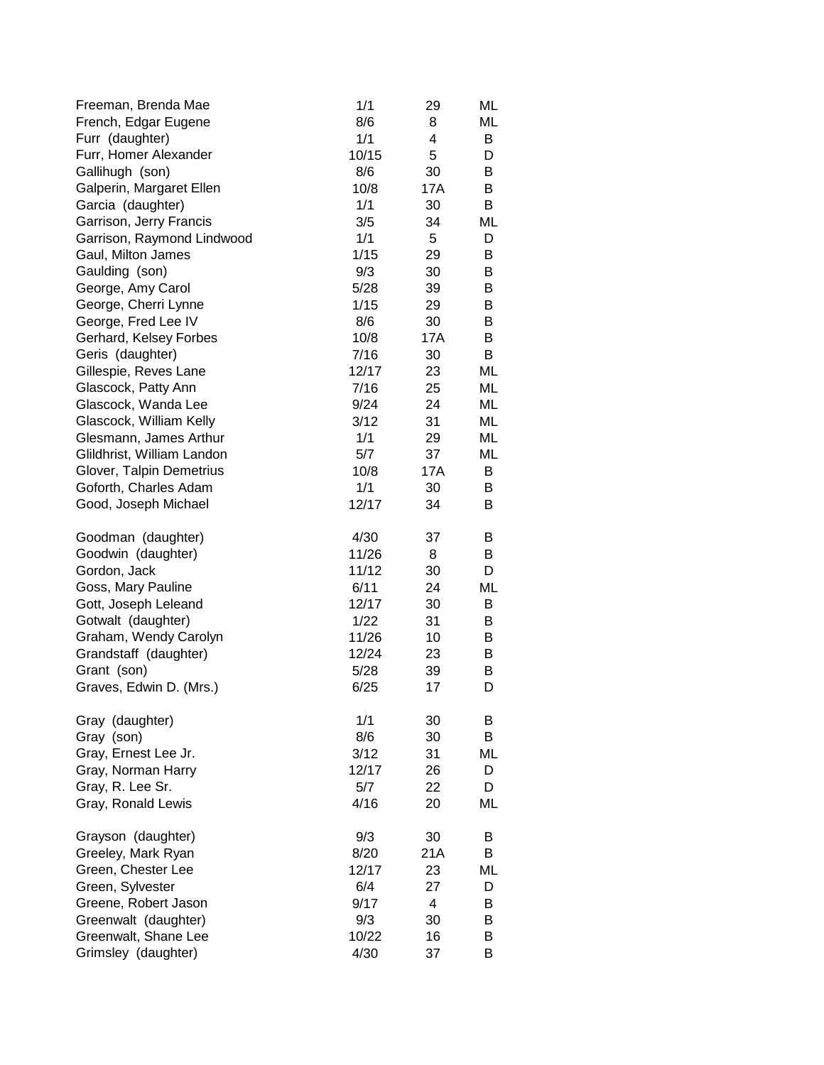| Freeman, Brenda Mae        | 1/1   | 29             | ML |
|----------------------------|-------|----------------|----|
| French, Edgar Eugene       | 8/6   | 8              | ML |
| Furr (daughter)            | 1/1   | 4              | B  |
| Furr, Homer Alexander      | 10/15 | 5              | D  |
| Gallihugh (son)            | 8/6   | 30             | B  |
| Galperin, Margaret Ellen   | 10/8  | 17A            | B  |
| Garcia (daughter)          | 1/1   | 30             | B  |
| Garrison, Jerry Francis    | 3/5   | 34             | ML |
| Garrison, Raymond Lindwood | 1/1   | 5              | D  |
| Gaul, Milton James         | 1/15  | 29             | В  |
| Gaulding (son)             | 9/3   | 30             | B  |
| George, Amy Carol          | 5/28  | 39             | В  |
| George, Cherri Lynne       | 1/15  | 29             | B  |
| George, Fred Lee IV        | 8/6   | 30             | B  |
| Gerhard, Kelsey Forbes     | 10/8  | 17A            | B  |
| Geris (daughter)           | 7/16  | 30             | B  |
| Gillespie, Reves Lane      | 12/17 | 23             | ML |
| Glascock, Patty Ann        | 7/16  | 25             | ML |
| Glascock, Wanda Lee        | 9/24  | 24             | ML |
| Glascock, William Kelly    | 3/12  | 31             | ML |
| Glesmann, James Arthur     | 1/1   | 29             | ML |
| Glildhrist, William Landon | 5/7   | 37             | ML |
| Glover, Talpin Demetrius   | 10/8  | 17A            | B  |
| Goforth, Charles Adam      | 1/1   | 30             | B  |
| Good, Joseph Michael       | 12/17 | 34             | B  |
|                            |       |                |    |
| Goodman (daughter)         | 4/30  | 37             | B  |
| Goodwin (daughter)         | 11/26 | 8              | B  |
| Gordon, Jack               | 11/12 | 30             | D  |
| Goss, Mary Pauline         | 6/11  | 24             | ML |
| Gott, Joseph Leleand       | 12/17 | 30             | B  |
| Gotwalt (daughter)         | 1/22  | 31             | В  |
| Graham, Wendy Carolyn      | 11/26 | 10             | В  |
| Grandstaff (daughter)      | 12/24 | 23             | В  |
| Grant (son)                | 5/28  | 39             | В  |
| Graves, Edwin D. (Mrs.)    | 6/25  | 17             | D  |
|                            |       |                |    |
| Gray (daughter)            | 1/1   | 30             | B  |
| Gray (son)                 | 8/6   | 30             | В  |
| Gray, Ernest Lee Jr.       | 3/12  | 31             | ML |
| Gray, Norman Harry         | 12/17 | 26             | D  |
| Gray, R. Lee Sr.           | 5/7   | 22             | D  |
| Gray, Ronald Lewis         | 4/16  | 20             | ML |
|                            |       |                |    |
| Grayson (daughter)         | 9/3   | 30             | В  |
| Greeley, Mark Ryan         | 8/20  | 21A            | B  |
| Green, Chester Lee         | 12/17 | 23             | ML |
| Green, Sylvester           | 6/4   | 27             | D  |
| Greene, Robert Jason       | 9/17  | $\overline{4}$ | B  |
| Greenwalt (daughter)       | 9/3   | 30             | B  |
| Greenwalt, Shane Lee       | 10/22 | 16             | B  |
| Grimsley (daughter)        | 4/30  | 37             | B  |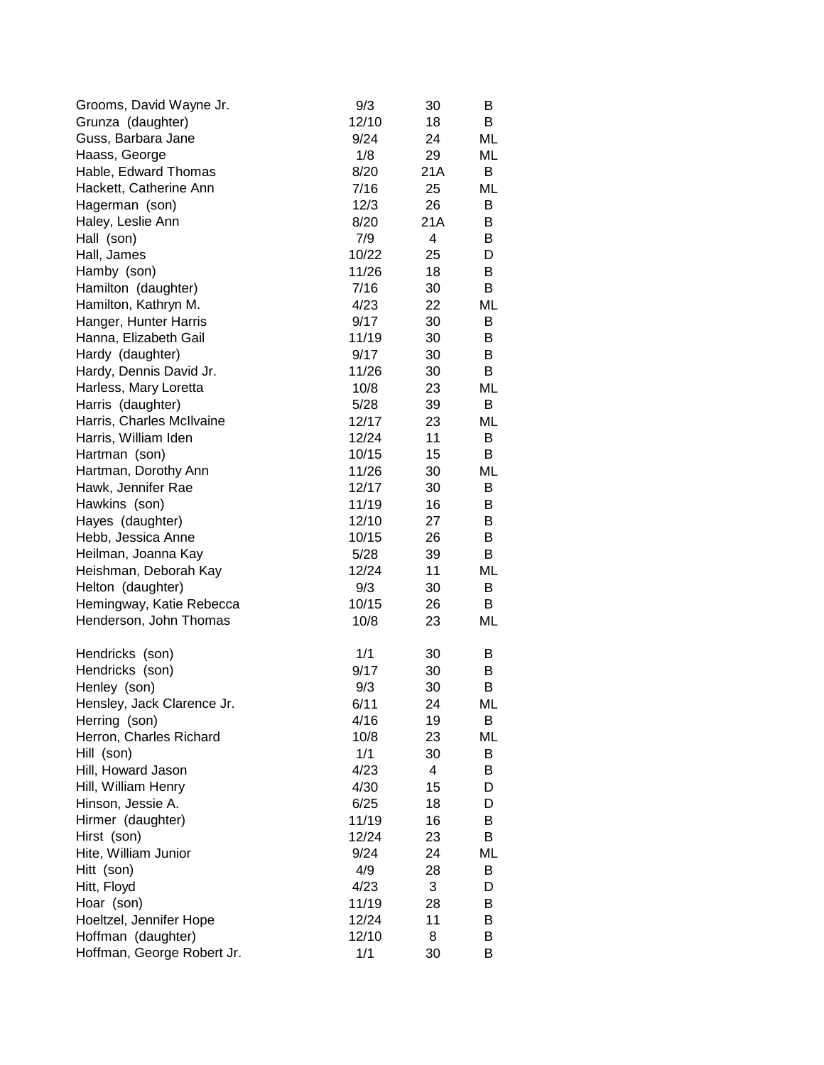| Grooms, David Wayne Jr.    | 9/3         | 30      | B  |
|----------------------------|-------------|---------|----|
| Grunza (daughter)          | 12/10       | 18      | B  |
| Guss, Barbara Jane         | 9/24        | 24      | ML |
| Haass, George              | 1/8         | 29      | ML |
| Hable, Edward Thomas       | 8/20        | 21A     | В  |
| Hackett, Catherine Ann     | 7/16        | 25      | ML |
| Hagerman (son)             | 12/3        | 26      | В  |
| Haley, Leslie Ann          | 8/20        | 21A     | B  |
| Hall (son)                 | 7/9         | 4       | В  |
| Hall, James                | 10/22       | 25      | D  |
| Hamby (son)                | 11/26       | 18      | B  |
| Hamilton (daughter)        | 7/16        | 30      | B  |
| Hamilton, Kathryn M.       | 4/23        | 22      | ML |
| Hanger, Hunter Harris      | 9/17        | 30      | B  |
| Hanna, Elizabeth Gail      | 11/19       | 30      | B  |
| Hardy (daughter)           | 9/17        | 30      | B  |
| Hardy, Dennis David Jr.    | 11/26       | 30      | B  |
| Harless, Mary Loretta      | 10/8        | 23      | ML |
| Harris (daughter)          | 5/28        | 39      | В  |
| Harris, Charles McIlvaine  | 12/17       | 23      | ML |
| Harris, William Iden       | 12/24       | 11      | B  |
| Hartman (son)              | 10/15       | 15      | В  |
| Hartman, Dorothy Ann       | 11/26       | 30      | ML |
| Hawk, Jennifer Rae         | 12/17       | 30      | B  |
| Hawkins (son)              | 11/19       | 16      | B  |
| Hayes (daughter)           | 12/10       | 27      | B  |
| Hebb, Jessica Anne         | 10/15       | 26      | B  |
| Heilman, Joanna Kay        | 5/28        | 39      | B  |
| Heishman, Deborah Kay      | 12/24       | 11      | ML |
| Helton (daughter)          | 9/3         | 30      | B  |
| Hemingway, Katie Rebecca   | 10/15       | 26      | B  |
| Henderson, John Thomas     | 10/8        | 23      | ML |
|                            |             |         |    |
| Hendricks (son)            | 1/1         | 30      | B  |
| Hendricks (son)            | 9/17        | 30      | B  |
| Henley (son)               | 9/3         | 30      | B  |
| Hensley, Jack Clarence Jr. | 6/11        | 24      | ML |
| Herring (son)              | 4/16        | 19      | В  |
| Herron, Charles Richard    | 10/8<br>1/1 | 23      | ML |
| Hill (son)                 | 4/23        | 30<br>4 | B  |
| Hill, Howard Jason         | 4/30        |         | B  |
| Hill, William Henry        |             | 15      | D  |
| Hinson, Jessie A.          | 6/25        | 18      | D  |
| Hirmer (daughter)          | 11/19       | 16      | B  |
| Hirst (son)                | 12/24       | 23      | B  |
| Hite, William Junior       | 9/24        | 24      | ML |
| Hitt (son)                 | 4/9         | 28      | B  |
| Hitt, Floyd                | 4/23        | 3       | D  |
| Hoar (son)                 | 11/19       | 28      | В  |
| Hoeltzel, Jennifer Hope    | 12/24       | 11      | В  |
| Hoffman (daughter)         | 12/10       | 8       | B  |
| Hoffman, George Robert Jr. | 1/1         | 30      | B  |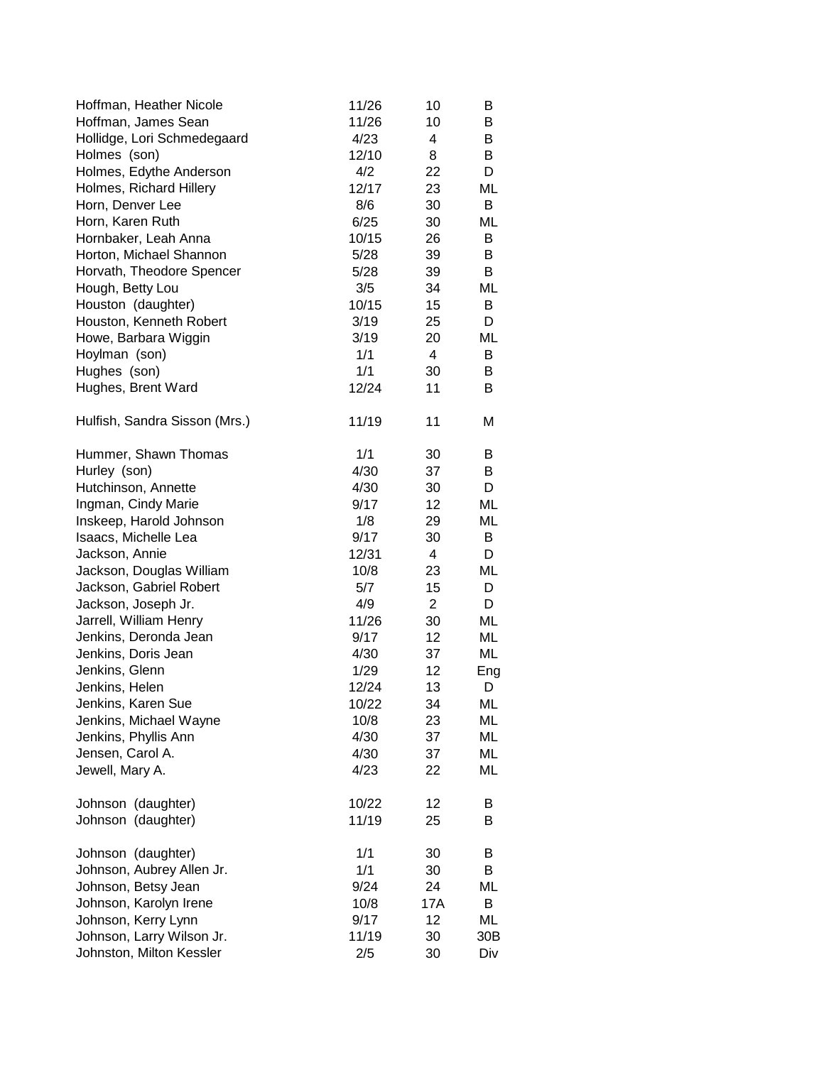| Hoffman, Heather Nicole       | 11/26 | 10             | B   |
|-------------------------------|-------|----------------|-----|
| Hoffman, James Sean           | 11/26 | 10             | B   |
| Hollidge, Lori Schmedegaard   | 4/23  | 4              | B   |
| Holmes (son)                  | 12/10 | 8              | B   |
| Holmes, Edythe Anderson       | 4/2   | 22             | D   |
| Holmes, Richard Hillery       | 12/17 | 23             | ML  |
| Horn, Denver Lee              | 8/6   | 30             | B   |
| Horn, Karen Ruth              | 6/25  | 30             | ML  |
| Hornbaker, Leah Anna          | 10/15 | 26             | B   |
| Horton, Michael Shannon       | 5/28  | 39             | B   |
| Horvath, Theodore Spencer     | 5/28  | 39             | B   |
| Hough, Betty Lou              | 3/5   | 34             | ML  |
| Houston (daughter)            | 10/15 | 15             | B   |
| Houston, Kenneth Robert       | 3/19  | 25             | D   |
| Howe, Barbara Wiggin          | 3/19  | 20             | ML  |
| Hoylman (son)                 | 1/1   | $\overline{4}$ | B   |
| Hughes (son)                  | 1/1   | 30             | B   |
| Hughes, Brent Ward            | 12/24 | 11             | B   |
| Hulfish, Sandra Sisson (Mrs.) | 11/19 | 11             | М   |
| Hummer, Shawn Thomas          | 1/1   | 30             | B   |
| Hurley (son)                  | 4/30  | 37             | B   |
| Hutchinson, Annette           | 4/30  | 30             | D   |
| Ingman, Cindy Marie           | 9/17  | 12             | ML  |
| Inskeep, Harold Johnson       | 1/8   | 29             | ML  |
| Isaacs, Michelle Lea          | 9/17  | 30             | B   |
| Jackson, Annie                | 12/31 | 4              | D   |
| Jackson, Douglas William      | 10/8  | 23             | ML  |
| Jackson, Gabriel Robert       | 5/7   | 15             | D   |
| Jackson, Joseph Jr.           | 4/9   | $\overline{2}$ | D   |
| Jarrell, William Henry        | 11/26 | 30             | ML  |
| Jenkins, Deronda Jean         | 9/17  | 12             | ML  |
| Jenkins, Doris Jean           | 4/30  | 37             | ML  |
| Jenkins, Glenn                | 1/29  | 12             | Eng |
| Jenkins, Helen                | 12/24 | 13             | D   |
| Jenkins, Karen Sue            | 10/22 | 34             | ML  |
| Jenkins, Michael Wayne        | 10/8  | 23             | ML  |
| Jenkins, Phyllis Ann          | 4/30  | 37             | ML  |
| Jensen, Carol A.              | 4/30  | 37             | ML  |
| Jewell, Mary A.               | 4/23  | 22             | ML  |
| Johnson (daughter)            | 10/22 | 12             | B   |
| Johnson (daughter)            | 11/19 | 25             | B   |
| Johnson (daughter)            | 1/1   | 30             | B   |
| Johnson, Aubrey Allen Jr.     | 1/1   | 30             | B   |
| Johnson, Betsy Jean           | 9/24  | 24             | ML  |
| Johnson, Karolyn Irene        | 10/8  | 17A            | B   |
| Johnson, Kerry Lynn           | 9/17  | 12             | ML  |
| Johnson, Larry Wilson Jr.     | 11/19 | 30             | 30B |
| Johnston, Milton Kessler      | 2/5   | 30             | Div |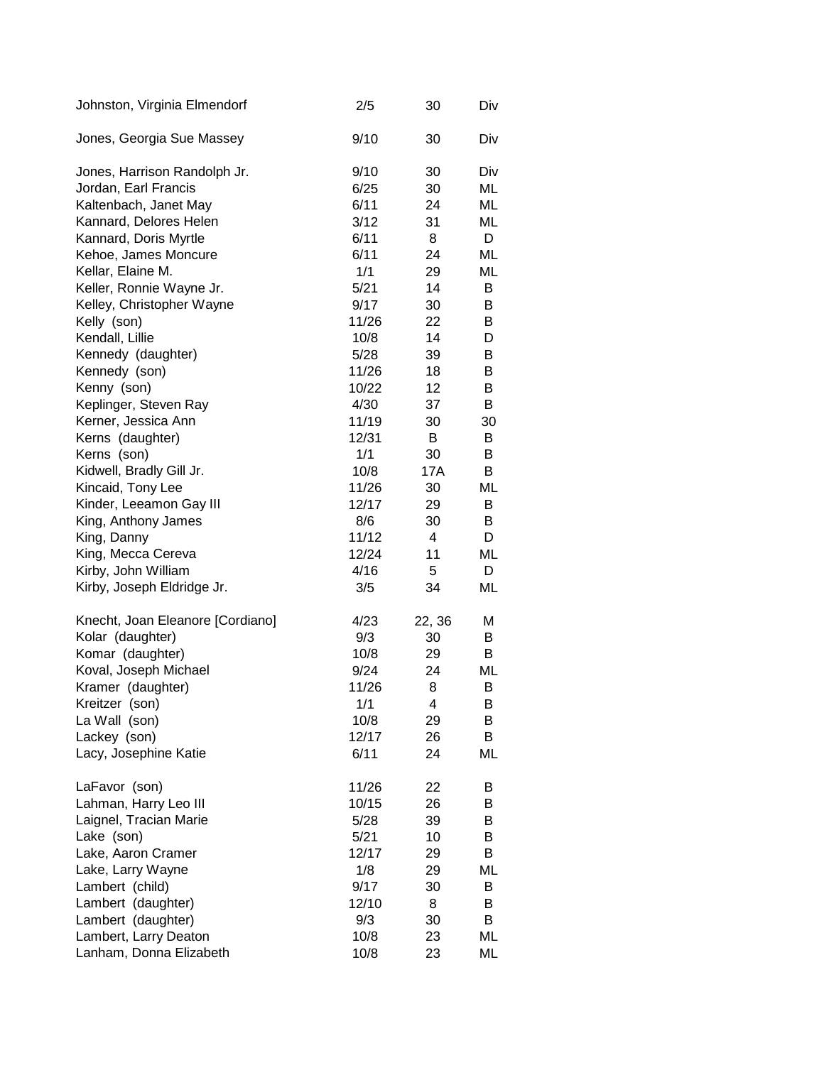| Johnston, Virginia Elmendorf     | 2/5   | 30     | Div |
|----------------------------------|-------|--------|-----|
| Jones, Georgia Sue Massey        | 9/10  | 30     | Div |
| Jones, Harrison Randolph Jr.     | 9/10  | 30     | Div |
| Jordan, Earl Francis             | 6/25  | 30     | ML  |
| Kaltenbach, Janet May            | 6/11  | 24     | ML  |
| Kannard, Delores Helen           | 3/12  | 31     | ML  |
| Kannard, Doris Myrtle            | 6/11  | 8      | D   |
| Kehoe, James Moncure             | 6/11  | 24     | ML  |
| Kellar, Elaine M.                | 1/1   | 29     | ML  |
| Keller, Ronnie Wayne Jr.         | 5/21  | 14     | B   |
| Kelley, Christopher Wayne        | 9/17  | 30     | B   |
| Kelly (son)                      | 11/26 | 22     | B   |
| Kendall, Lillie                  | 10/8  | 14     | D   |
| Kennedy (daughter)               | 5/28  | 39     | B   |
| Kennedy (son)                    | 11/26 | 18     | В   |
| Kenny (son)                      | 10/22 | 12     | В   |
| Keplinger, Steven Ray            | 4/30  | 37     | В   |
| Kerner, Jessica Ann              | 11/19 | 30     | 30  |
| Kerns (daughter)                 | 12/31 | В      | B   |
| Kerns (son)                      | 1/1   | 30     | B   |
| Kidwell, Bradly Gill Jr.         | 10/8  | 17A    | B   |
| Kincaid, Tony Lee                | 11/26 | 30     | ML  |
| Kinder, Leeamon Gay III          | 12/17 | 29     | В   |
| King, Anthony James              | 8/6   | 30     | В   |
| King, Danny                      | 11/12 | 4      | D   |
| King, Mecca Cereva               | 12/24 | 11     | ML  |
| Kirby, John William              | 4/16  | 5      | D   |
| Kirby, Joseph Eldridge Jr.       | 3/5   | 34     | ML  |
| Knecht, Joan Eleanore [Cordiano] | 4/23  | 22, 36 | Μ   |
| Kolar (daughter)                 | 9/3   | 30     | B   |
| Komar (daughter)                 | 10/8  | 29     | B   |
| Koval, Joseph Michael            | 9/24  | 24     | ML  |
| Kramer (daughter)                | 11/26 | 8      | в   |
| Kreitzer (son)                   | 1/1   | 4      | В   |
| La Wall (son)                    | 10/8  | 29     | В   |
| Lackey (son)                     | 12/17 | 26     | В   |
| Lacy, Josephine Katie            | 6/11  | 24     | ML  |
| LaFavor (son)                    | 11/26 | 22     | В   |
| Lahman, Harry Leo III            | 10/15 | 26     | В   |
| Laignel, Tracian Marie           | 5/28  | 39     | В   |
| Lake (son)                       | 5/21  | 10     | B   |
| Lake, Aaron Cramer               | 12/17 | 29     | B   |
| Lake, Larry Wayne                | 1/8   | 29     | ML  |
| Lambert (child)                  | 9/17  | 30     | В   |
| Lambert (daughter)               | 12/10 | 8      | B   |
| Lambert (daughter)               | 9/3   | 30     | B   |
| Lambert, Larry Deaton            | 10/8  | 23     | ML  |
| Lanham, Donna Elizabeth          | 10/8  | 23     | ML  |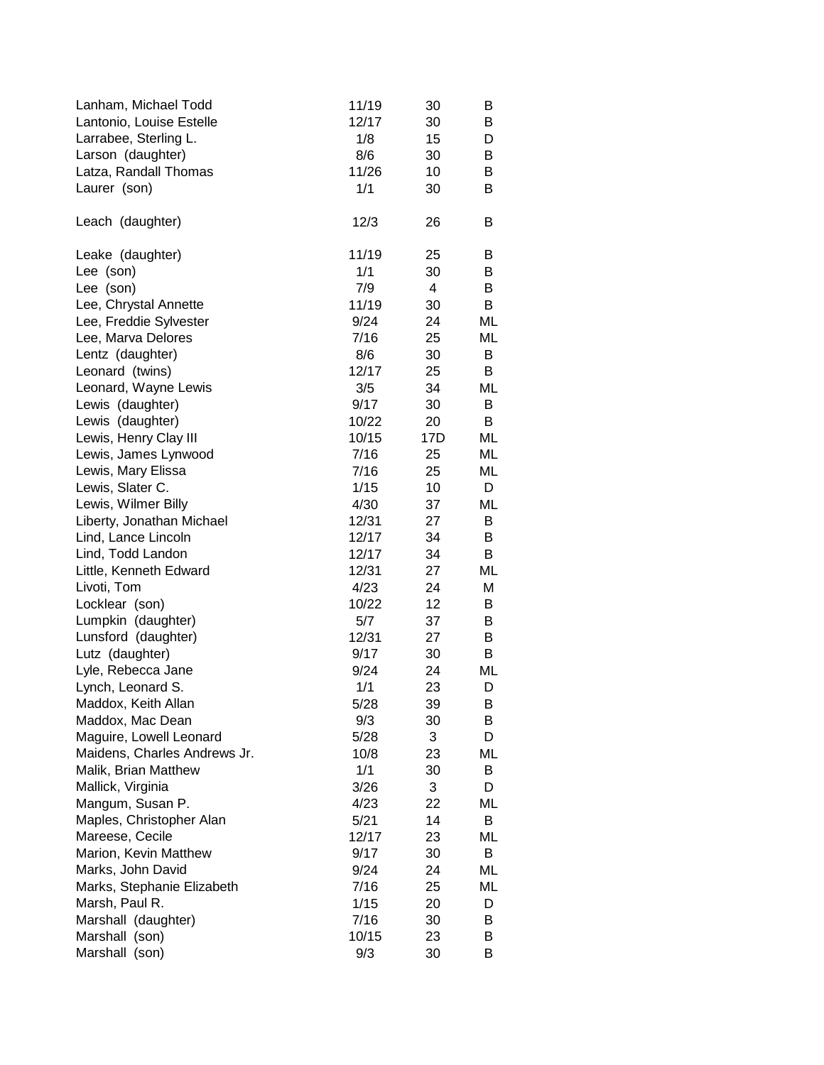| Lanham, Michael Todd<br>Lantonio, Louise Estelle<br>Larrabee, Sterling L. | 11/19<br>12/17<br>1/8<br>8/6 | 30<br>30<br>15<br>30 | B<br>B<br>D |
|---------------------------------------------------------------------------|------------------------------|----------------------|-------------|
| Larson (daughter)                                                         |                              |                      | В           |
| Latza, Randall Thomas                                                     | 11/26                        | 10                   | В           |
| Laurer (son)                                                              | 1/1                          | 30                   | B           |
| Leach (daughter)                                                          | 12/3                         | 26                   | B           |
| Leake (daughter)                                                          | 11/19                        | 25                   | В           |
| Lee (son)                                                                 | 1/1                          | 30                   | B           |
| Lee (son)                                                                 | 7/9                          | 4                    | B           |
| Lee, Chrystal Annette                                                     | 11/19                        | 30                   | B           |
| Lee, Freddie Sylvester                                                    | 9/24                         | 24                   | ML          |
| Lee, Marva Delores                                                        | 7/16                         | 25                   | ML          |
| Lentz (daughter)                                                          | 8/6                          | 30                   | B           |
| Leonard (twins)                                                           | 12/17                        | 25                   | B           |
| Leonard, Wayne Lewis                                                      | 3/5                          | 34                   | ML          |
| Lewis (daughter)                                                          | 9/17                         | 30                   | B           |
| Lewis (daughter)                                                          | 10/22                        | 20                   | B           |
| Lewis, Henry Clay III                                                     | 10/15                        | 17D                  | ML          |
| Lewis, James Lynwood                                                      | 7/16                         | 25                   | ML          |
| Lewis, Mary Elissa                                                        | 7/16                         | 25                   | ML          |
| Lewis, Slater C.                                                          | 1/15                         | 10                   | D           |
| Lewis, Wilmer Billy                                                       | 4/30                         | 37                   | ML          |
| Liberty, Jonathan Michael                                                 | 12/31                        | 27                   | B           |
| Lind, Lance Lincoln                                                       | 12/17                        | 34                   | B           |
| Lind, Todd Landon                                                         | 12/17                        | 34                   | B           |
| Little, Kenneth Edward                                                    | 12/31                        | 27                   | ML          |
| Livoti, Tom                                                               | 4/23                         | 24                   | Μ           |
| Locklear (son)                                                            | 10/22                        | 12                   | B           |
| Lumpkin (daughter)                                                        | 5/7                          | 37                   | В           |
| Lunsford (daughter)                                                       | 12/31                        | 27                   | B           |
| Lutz (daughter)                                                           | 9/17                         | 30                   | B           |
| Lyle, Rebecca Jane                                                        | 9/24                         | 24                   | ML          |
| Lynch, Leonard S.                                                         | 1/1                          | 23                   | D           |
| Maddox, Keith Allan                                                       | 5/28                         | 39                   | в           |
| Maddox, Mac Dean                                                          | 9/3                          | 30                   | В           |
| Maguire, Lowell Leonard                                                   | 5/28                         | 3                    | D           |
| Maidens, Charles Andrews Jr.                                              | 10/8                         | 23                   | ML          |
| Malik, Brian Matthew                                                      | 1/1                          | 30                   | B           |
| Mallick, Virginia                                                         | 3/26                         | 3                    | D           |
| Mangum, Susan P.                                                          | 4/23                         | 22                   | ML          |
| Maples, Christopher Alan                                                  | 5/21                         | 14                   | B           |
| Mareese, Cecile                                                           | 12/17                        | 23                   | ML          |
| Marion, Kevin Matthew                                                     | 9/17                         | 30                   | B           |
| Marks, John David                                                         | 9/24                         | 24                   | ML          |
| Marks, Stephanie Elizabeth                                                | 7/16                         | 25                   | ML          |
| Marsh, Paul R.                                                            | 1/15                         | 20                   | D           |
| Marshall (daughter)                                                       | 7/16                         | 30                   | B           |
| Marshall (son)                                                            | 10/15                        | 23                   | B           |
| Marshall (son)                                                            | 9/3                          | 30                   | B           |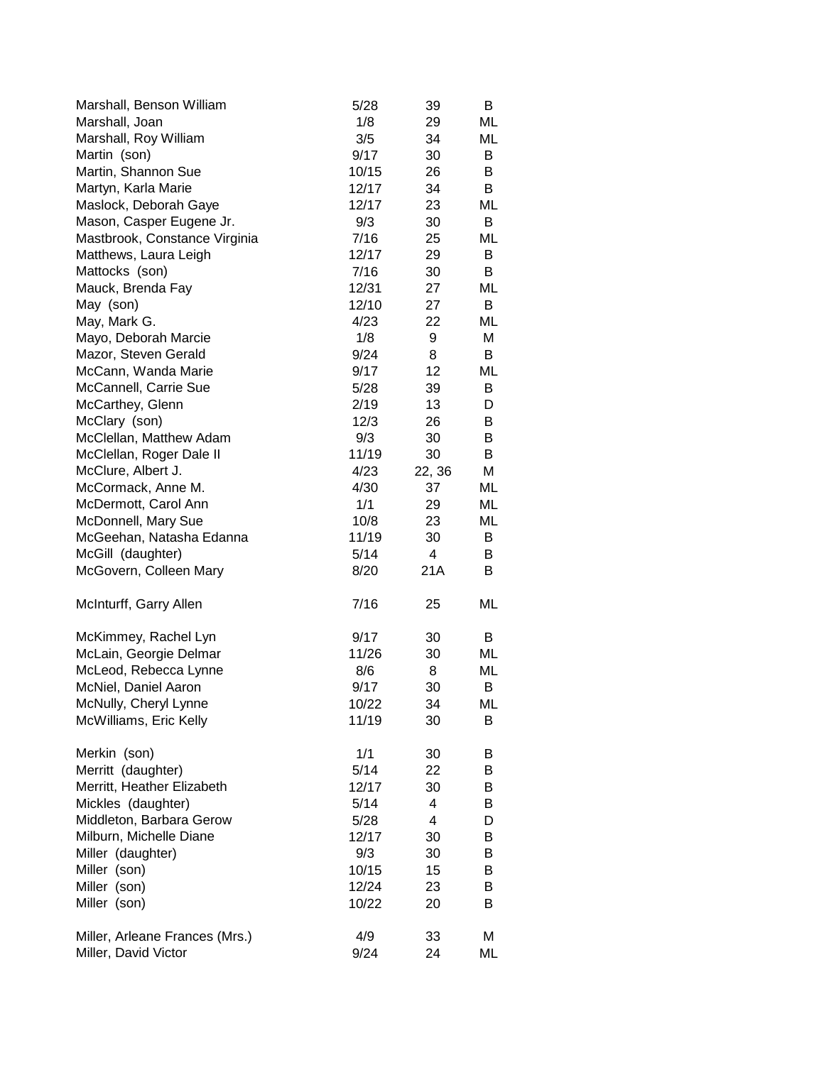| Marshall, Benson William       | 5/28  | 39             | B  |
|--------------------------------|-------|----------------|----|
| Marshall, Joan                 | 1/8   | 29             | ML |
| Marshall, Roy William          | 3/5   | 34             | ML |
| Martin (son)                   | 9/17  | 30             | В  |
| Martin, Shannon Sue            | 10/15 | 26             | B  |
| Martyn, Karla Marie            | 12/17 | 34             | B  |
| Maslock, Deborah Gaye          | 12/17 | 23             | ML |
| Mason, Casper Eugene Jr.       | 9/3   | 30             | В  |
| Mastbrook, Constance Virginia  | 7/16  | 25             | ML |
| Matthews, Laura Leigh          | 12/17 | 29             | B  |
| Mattocks (son)                 | 7/16  | 30             | B  |
| Mauck, Brenda Fay              | 12/31 | 27             | ML |
| May (son)                      | 12/10 | 27             | В  |
| May, Mark G.                   | 4/23  | 22             | ML |
| Mayo, Deborah Marcie           | 1/8   | 9              | М  |
| Mazor, Steven Gerald           | 9/24  | 8              | B  |
| McCann, Wanda Marie            | 9/17  | 12             | ML |
| McCannell, Carrie Sue          | 5/28  | 39             | B  |
| McCarthey, Glenn               | 2/19  | 13             | D  |
| McClary (son)                  | 12/3  | 26             | B  |
| McClellan, Matthew Adam        | 9/3   | 30             | B  |
| McClellan, Roger Dale II       | 11/19 | 30             | B  |
| McClure, Albert J.             | 4/23  | 22, 36         | Μ  |
| McCormack, Anne M.             | 4/30  | 37             | ML |
| McDermott, Carol Ann           | 1/1   | 29             | ML |
| McDonnell, Mary Sue            | 10/8  | 23             | ML |
| McGeehan, Natasha Edanna       | 11/19 | 30             | B  |
| McGill (daughter)              | 5/14  | $\overline{4}$ | B  |
| McGovern, Colleen Mary         | 8/20  | 21A            | B  |
| McInturff, Garry Allen         | 7/16  | 25             | ML |
| McKimmey, Rachel Lyn           | 9/17  | 30             | B  |
| McLain, Georgie Delmar         | 11/26 | 30             | ML |
| McLeod, Rebecca Lynne          | 8/6   | 8              | ML |
| McNiel, Daniel Aaron           | 9/17  | 30             | B  |
| McNully, Cheryl Lynne          | 10/22 | 34             | ML |
| McWilliams, Eric Kelly         | 11/19 | 30             | B  |
| Merkin (son)                   | 1/1   | 30             | B  |
| Merritt (daughter)             | 5/14  | 22             | В  |
| Merritt, Heather Elizabeth     | 12/17 | 30             | B  |
| Mickles (daughter)             | 5/14  | 4              | В  |
| Middleton, Barbara Gerow       | 5/28  | 4              | D  |
| Milburn, Michelle Diane        | 12/17 | 30             | В  |
| Miller (daughter)              | 9/3   | 30             | В  |
| Miller (son)                   | 10/15 | 15             | В  |
| Miller (son)                   | 12/24 | 23             | B  |
| Miller (son)                   | 10/22 | 20             | B  |
| Miller, Arleane Frances (Mrs.) | 4/9   | 33             | М  |
| Miller, David Victor           | 9/24  | 24             | ML |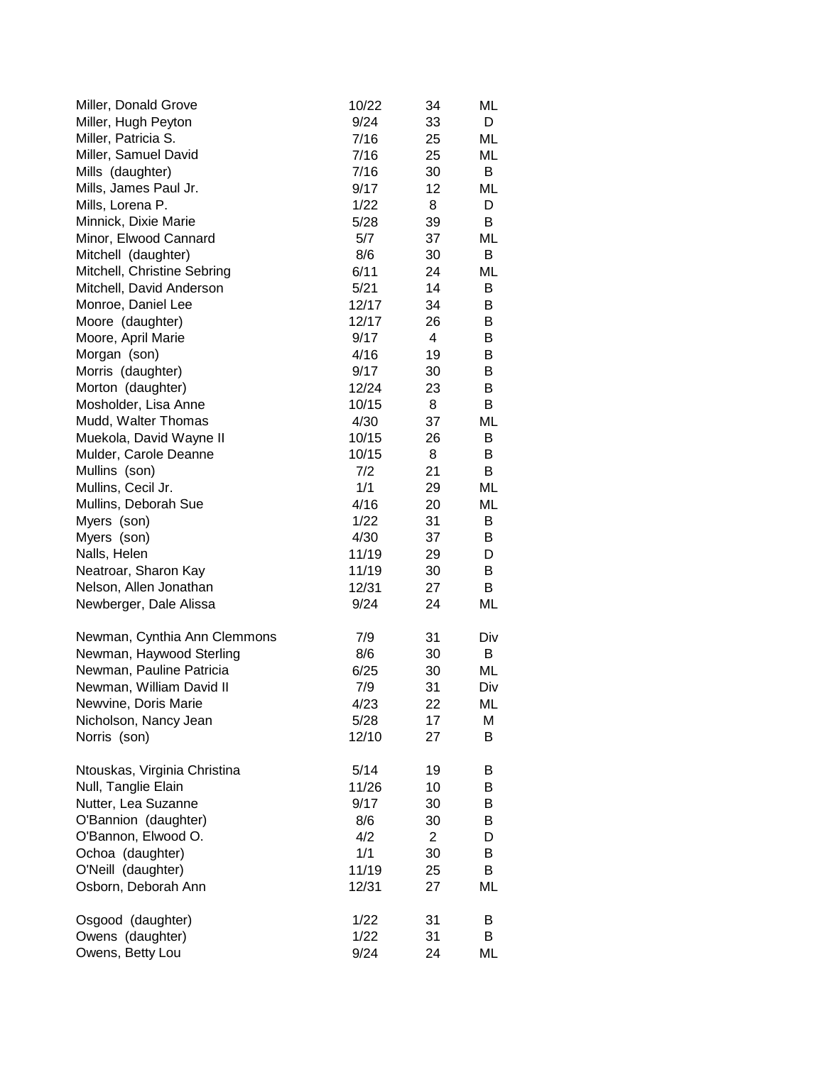| Miller, Donald Grove         | 10/22 | 34             | ML  |
|------------------------------|-------|----------------|-----|
| Miller, Hugh Peyton          | 9/24  | 33             | D   |
| Miller, Patricia S.          | 7/16  | 25             | ML  |
| Miller, Samuel David         | 7/16  | 25             | ML  |
| Mills (daughter)             | 7/16  | 30             | B   |
| Mills, James Paul Jr.        | 9/17  | 12             | ML  |
| Mills, Lorena P.             | 1/22  | 8              | D   |
| Minnick, Dixie Marie         | 5/28  | 39             | B   |
| Minor, Elwood Cannard        | 5/7   | 37             | ML  |
| Mitchell (daughter)          | 8/6   | 30             | B   |
| Mitchell, Christine Sebring  | 6/11  | 24             | ML  |
| Mitchell, David Anderson     | 5/21  | 14             | B   |
| Monroe, Daniel Lee           | 12/17 | 34             | B   |
| Moore (daughter)             | 12/17 | 26             | B   |
| Moore, April Marie           | 9/17  | 4              | B   |
| Morgan (son)                 | 4/16  | 19             | B   |
| Morris (daughter)            | 9/17  | 30             | B   |
| Morton (daughter)            | 12/24 | 23             | B   |
| Mosholder, Lisa Anne         | 10/15 | 8              | B   |
| Mudd, Walter Thomas          | 4/30  | 37             | ML  |
| Muekola, David Wayne II      | 10/15 | 26             | В   |
| Mulder, Carole Deanne        | 10/15 | 8              | B   |
| Mullins (son)                | 7/2   | 21             | B   |
| Mullins, Cecil Jr.           | 1/1   | 29             | ML  |
| Mullins, Deborah Sue         | 4/16  | 20             | ML  |
| Myers (son)                  | 1/22  | 31             | B   |
| Myers (son)                  | 4/30  | 37             | B   |
| Nalls, Helen                 | 11/19 | 29             | D   |
| Neatroar, Sharon Kay         | 11/19 | 30             | B   |
| Nelson, Allen Jonathan       | 12/31 | 27             | B   |
| Newberger, Dale Alissa       | 9/24  | 24             | ML  |
|                              |       |                |     |
| Newman, Cynthia Ann Clemmons | 7/9   | 31             | Div |
| Newman, Haywood Sterling     | 8/6   | 30             | В   |
| Newman, Pauline Patricia     | 6/25  | 30             | ML  |
| Newman, William David II     | 7/9   | 31             | Div |
| Newvine, Doris Marie         | 4/23  | 22             | ML  |
| Nicholson, Nancy Jean        | 5/28  | 17             | М   |
| Norris (son)                 | 12/10 | 27             | B   |
|                              |       |                |     |
| Ntouskas, Virginia Christina | 5/14  | 19             | В   |
| Null, Tanglie Elain          | 11/26 | 10             | B   |
| Nutter, Lea Suzanne          | 9/17  | 30             | B   |
| O'Bannion (daughter)         | 8/6   | 30             | В   |
| O'Bannon, Elwood O.          | 4/2   | $\overline{2}$ | D   |
| Ochoa (daughter)             | 1/1   | 30             | B   |
| O'Neill (daughter)           | 11/19 | 25             | B   |
|                              |       |                |     |
| Osborn, Deborah Ann          | 12/31 | 27             | ML  |
| Osgood (daughter)            | 1/22  | 31             | B   |
| Owens (daughter)             | 1/22  | 31             | B   |
| Owens, Betty Lou             | 9/24  | 24             |     |
|                              |       |                | ML  |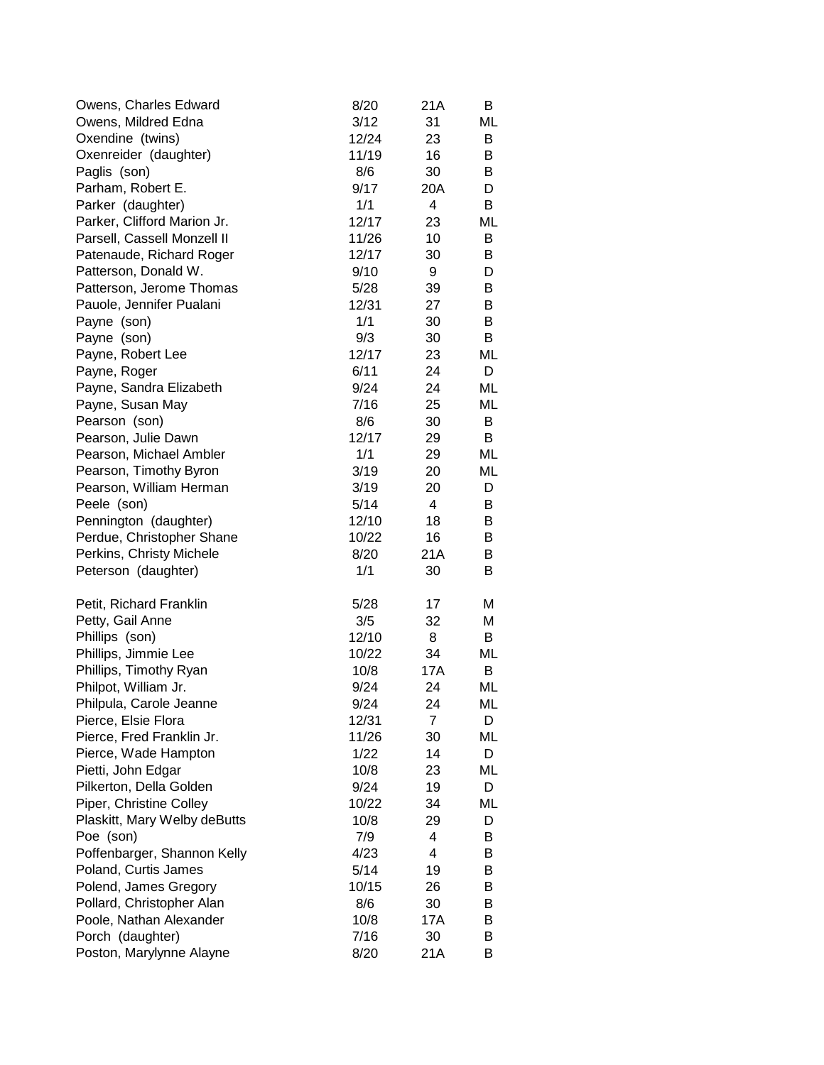| Owens, Charles Edward        | 8/20  | 21A            | B  |
|------------------------------|-------|----------------|----|
| Owens, Mildred Edna          | 3/12  | 31             | ML |
| Oxendine (twins)             | 12/24 | 23             | B  |
| Oxenreider (daughter)        | 11/19 | 16             | B  |
| Paglis (son)                 | 8/6   | 30             | B  |
| Parham, Robert E.            | 9/17  | 20A            | D  |
| Parker (daughter)            | 1/1   | 4              | B  |
| Parker, Clifford Marion Jr.  | 12/17 | 23             | ML |
| Parsell, Cassell Monzell II  | 11/26 | 10             | B  |
| Patenaude, Richard Roger     | 12/17 | 30             | B  |
| Patterson, Donald W.         | 9/10  | 9              | D  |
| Patterson, Jerome Thomas     | 5/28  | 39             | B  |
| Pauole, Jennifer Pualani     | 12/31 | 27             | B  |
| Payne (son)                  | 1/1   | 30             | B  |
| Payne (son)                  | 9/3   | 30             | B  |
| Payne, Robert Lee            | 12/17 | 23             | ML |
| Payne, Roger                 | 6/11  | 24             | D  |
| Payne, Sandra Elizabeth      | 9/24  | 24             | ML |
| Payne, Susan May             | 7/16  | 25             | ML |
| Pearson (son)                | 8/6   | 30             | В  |
| Pearson, Julie Dawn          | 12/17 | 29             | B  |
| Pearson, Michael Ambler      | 1/1   | 29             | ML |
| Pearson, Timothy Byron       | 3/19  | 20             | ML |
| Pearson, William Herman      | 3/19  | 20             | D  |
| Peele (son)                  | 5/14  | $\overline{4}$ | B  |
| Pennington (daughter)        | 12/10 | 18             | B  |
| Perdue, Christopher Shane    | 10/22 | 16             | B  |
| Perkins, Christy Michele     | 8/20  | 21A            | B  |
| Peterson (daughter)          | 1/1   | 30             | В  |
|                              |       |                |    |
| Petit, Richard Franklin      | 5/28  | 17             | M  |
| Petty, Gail Anne             | 3/5   | 32             | Μ  |
| Phillips (son)               | 12/10 | 8              | B  |
| Phillips, Jimmie Lee         | 10/22 | 34             | ML |
| Phillips, Timothy Ryan       | 10/8  | 17A            | B  |
| Philpot, William Jr.         | 9/24  | 24             | ML |
| Philpula, Carole Jeanne      | 9/24  | 24             | ML |
| Pierce, Elsie Flora          | 12/31 | 7              | D  |
| Pierce, Fred Franklin Jr.    | 11/26 | 30             | ML |
| Pierce, Wade Hampton         | 1/22  | 14             | D  |
| Pietti, John Edgar           | 10/8  | 23             | ML |
| Pilkerton, Della Golden      | 9/24  | 19             | D  |
| Piper, Christine Colley      | 10/22 | 34             | ML |
| Plaskitt, Mary Welby deButts | 10/8  | 29             | D  |
| Poe (son)                    | 7/9   | 4              | B  |
| Poffenbarger, Shannon Kelly  | 4/23  | 4              | B  |
| Poland, Curtis James         | 5/14  | 19             | B  |
| Polend, James Gregory        | 10/15 | 26             | B  |
| Pollard, Christopher Alan    | 8/6   | 30             | В  |
| Poole, Nathan Alexander      | 10/8  | 17A            | В  |
| Porch (daughter)             | 7/16  | 30             |    |
|                              |       |                | B  |
| Poston, Marylynne Alayne     | 8/20  | 21A            | В  |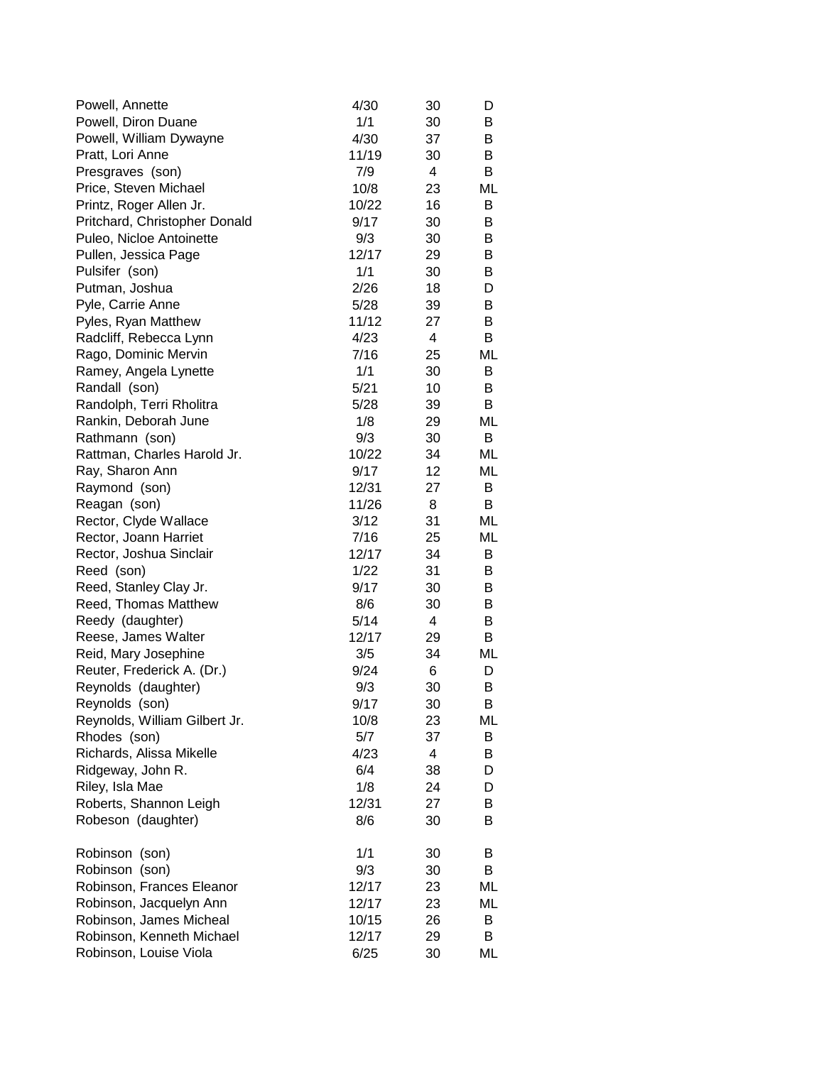| Powell, Annette               | 4/30  | 30 | D  |
|-------------------------------|-------|----|----|
| Powell, Diron Duane           | 1/1   | 30 | B  |
| Powell, William Dywayne       | 4/30  | 37 | В  |
| Pratt, Lori Anne              | 11/19 | 30 | В  |
| Presgraves (son)              | 7/9   | 4  | В  |
| Price, Steven Michael         | 10/8  | 23 | ML |
| Printz, Roger Allen Jr.       | 10/22 | 16 | В  |
| Pritchard, Christopher Donald | 9/17  | 30 | В  |
| Puleo, Nicloe Antoinette      | 9/3   | 30 | B  |
| Pullen, Jessica Page          | 12/17 | 29 | В  |
| Pulsifer (son)                | 1/1   | 30 | B  |
| Putman, Joshua                | 2/26  | 18 | D  |
| Pyle, Carrie Anne             | 5/28  | 39 | B  |
| Pyles, Ryan Matthew           | 11/12 | 27 | B  |
| Radcliff, Rebecca Lynn        | 4/23  | 4  | В  |
| Rago, Dominic Mervin          | 7/16  | 25 | ML |
| Ramey, Angela Lynette         | 1/1   | 30 | B  |
| Randall (son)                 | 5/21  | 10 | B  |
| Randolph, Terri Rholitra      | 5/28  | 39 | B  |
| Rankin, Deborah June          | 1/8   | 29 | ML |
| Rathmann (son)                | 9/3   | 30 | B  |
| Rattman, Charles Harold Jr.   | 10/22 | 34 | МL |
| Ray, Sharon Ann               | 9/17  | 12 | ML |
| Raymond (son)                 | 12/31 | 27 | B  |
| Reagan (son)                  | 11/26 | 8  | B  |
| Rector, Clyde Wallace         | 3/12  | 31 | ML |
| Rector, Joann Harriet         | 7/16  | 25 | ML |
| Rector, Joshua Sinclair       | 12/17 | 34 | B  |
| Reed (son)                    | 1/22  | 31 | B  |
| Reed, Stanley Clay Jr.        | 9/17  | 30 | В  |
| Reed, Thomas Matthew          | 8/6   | 30 | B  |
| Reedy (daughter)              | 5/14  | 4  | B  |
| Reese, James Walter           | 12/17 | 29 | В  |
| Reid, Mary Josephine          | 3/5   | 34 | ML |
| Reuter, Frederick A. (Dr.)    | 9/24  | 6  | D  |
| Reynolds (daughter)           | 9/3   | 30 | В  |
| Reynolds (son)                | 9/17  | 30 | В  |
| Reynolds, William Gilbert Jr. | 10/8  | 23 | ML |
| Rhodes (son)                  | 5/7   | 37 | B  |
| Richards, Alissa Mikelle      | 4/23  | 4  | B  |
| Ridgeway, John R.             | 6/4   | 38 | D  |
| Riley, Isla Mae               | 1/8   | 24 | D  |
| Roberts, Shannon Leigh        | 12/31 | 27 | B  |
| Robeson (daughter)            | 8/6   | 30 | В  |
| Robinson (son)                | 1/1   | 30 | В  |
| Robinson (son)                | 9/3   | 30 | B  |
| Robinson, Frances Eleanor     | 12/17 | 23 | ML |
| Robinson, Jacquelyn Ann       | 12/17 | 23 | ML |
| Robinson, James Micheal       | 10/15 | 26 | B  |
| Robinson, Kenneth Michael     | 12/17 | 29 | В  |
| Robinson, Louise Viola        | 6/25  | 30 | ML |
|                               |       |    |    |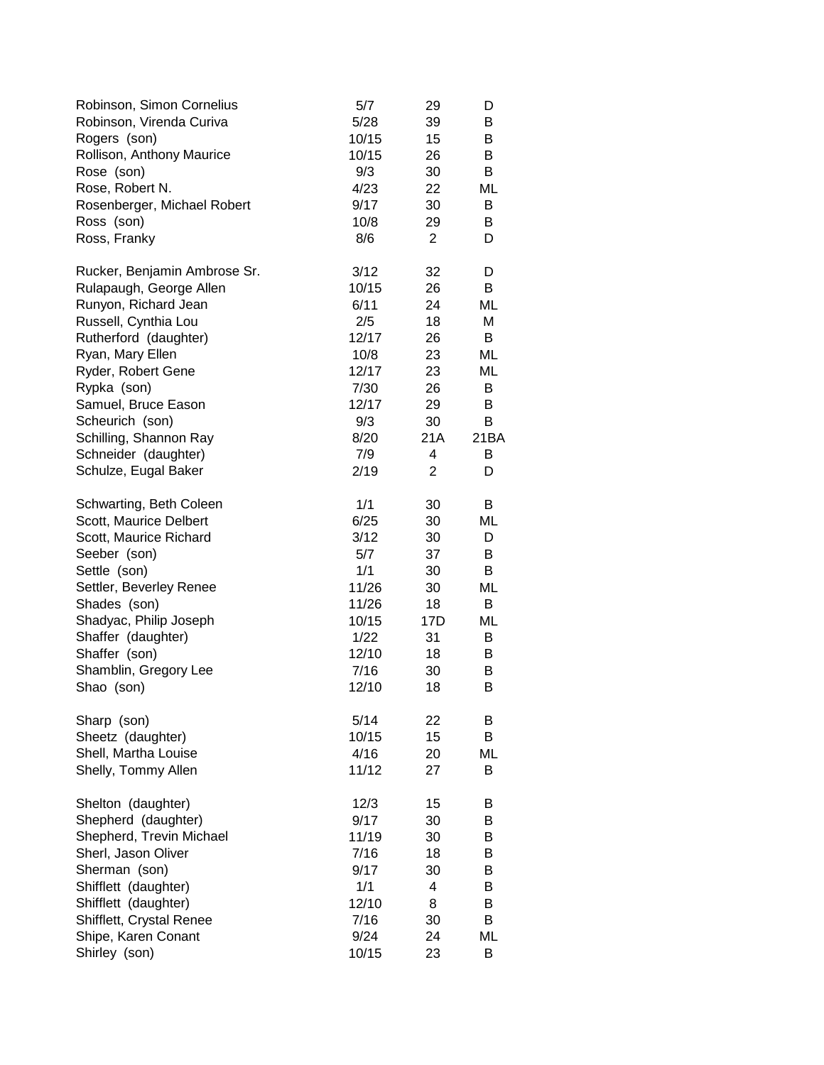| Robinson, Simon Cornelius    | 5/7   | 29             | D    |
|------------------------------|-------|----------------|------|
| Robinson, Virenda Curiva     | 5/28  | 39             | В    |
| Rogers (son)                 | 10/15 | 15             | B    |
| Rollison, Anthony Maurice    | 10/15 | 26             | B    |
| Rose (son)                   | 9/3   | 30             | B    |
| Rose, Robert N.              | 4/23  | 22             | ML   |
| Rosenberger, Michael Robert  | 9/17  | 30             | B    |
| Ross (son)                   | 10/8  | 29             | B    |
| Ross, Franky                 | 8/6   | $\overline{2}$ | D    |
| Rucker, Benjamin Ambrose Sr. | 3/12  | 32             | D    |
| Rulapaugh, George Allen      | 10/15 | 26             | B    |
| Runyon, Richard Jean         | 6/11  | 24             | ML   |
| Russell, Cynthia Lou         | 2/5   | 18             | Μ    |
| Rutherford (daughter)        | 12/17 | 26             | B    |
| Ryan, Mary Ellen             | 10/8  | 23             | ML   |
| Ryder, Robert Gene           | 12/17 | 23             | ML   |
| Rypka (son)                  | 7/30  | 26             | B    |
| Samuel, Bruce Eason          | 12/17 | 29             | B    |
| Scheurich (son)              | 9/3   | 30             | В    |
| Schilling, Shannon Ray       | 8/20  | 21A            | 21BA |
| Schneider (daughter)         | 7/9   | 4              | B    |
| Schulze, Eugal Baker         | 2/19  | 2              | D    |
| Schwarting, Beth Coleen      | 1/1   | 30             | B    |
| Scott, Maurice Delbert       | 6/25  | 30             | ML   |
| Scott, Maurice Richard       | 3/12  | 30             | D    |
| Seeber (son)                 | 5/7   | 37             | B    |
| Settle (son)                 | 1/1   | 30             | B    |
| Settler, Beverley Renee      | 11/26 | 30             | ML   |
| Shades (son)                 | 11/26 | 18             | B    |
| Shadyac, Philip Joseph       | 10/15 | 17D            | ML   |
| Shaffer (daughter)           | 1/22  | 31             | B    |
| Shaffer (son)                | 12/10 | 18             | B    |
| Shamblin, Gregory Lee        | 7/16  | 30             | B    |
| Shao (son)                   | 12/10 | 18             | В    |
| Sharp (son)                  | 5/14  | 22             | В    |
| Sheetz (daughter)            | 10/15 | 15             | В    |
| Shell, Martha Louise         | 4/16  | 20             | ML   |
| Shelly, Tommy Allen          | 11/12 | 27             | В    |
| Shelton (daughter)           | 12/3  | 15             | В    |
| Shepherd (daughter)          | 9/17  | 30             | B    |
| Shepherd, Trevin Michael     | 11/19 | 30             | B    |
| Sherl, Jason Oliver          | 7/16  | 18             | B    |
| Sherman (son)                | 9/17  | 30             | B    |
| Shifflett (daughter)         | 1/1   | 4              | B    |
| Shifflett (daughter)         | 12/10 | 8              | B    |
| Shifflett, Crystal Renee     | 7/16  | 30             | B    |
| Shipe, Karen Conant          | 9/24  | 24             | ML   |
| Shirley (son)                | 10/15 | 23             | B    |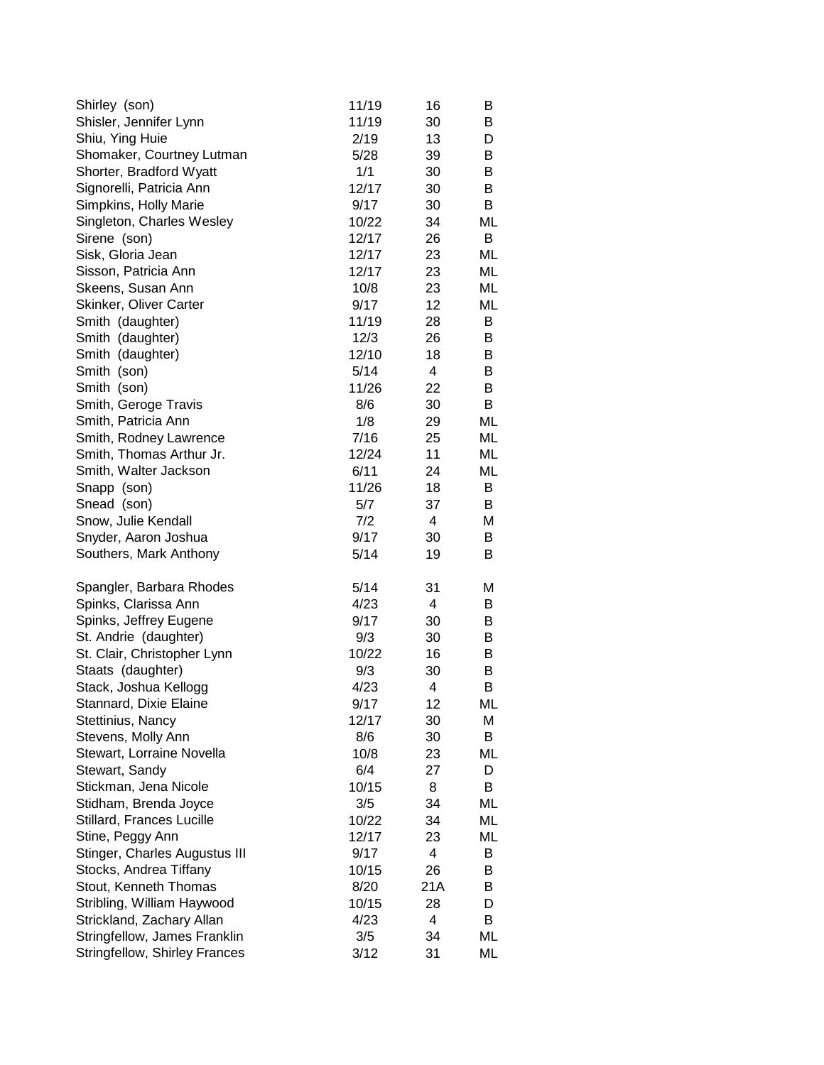| Shirley (son)                        | 11/19 | 16  | B  |
|--------------------------------------|-------|-----|----|
| Shisler, Jennifer Lynn               | 11/19 | 30  | B  |
| Shiu, Ying Huie                      | 2/19  | 13  | D  |
| Shomaker, Courtney Lutman            | 5/28  | 39  | B  |
| Shorter, Bradford Wyatt              | 1/1   | 30  | B  |
| Signorelli, Patricia Ann             | 12/17 | 30  | B  |
| Simpkins, Holly Marie                | 9/17  | 30  | B  |
| Singleton, Charles Wesley            | 10/22 | 34  | ML |
| Sirene (son)                         | 12/17 | 26  | B  |
| Sisk, Gloria Jean                    | 12/17 | 23  | ML |
| Sisson, Patricia Ann                 | 12/17 | 23  | ML |
| Skeens, Susan Ann                    | 10/8  | 23  | ML |
| Skinker, Oliver Carter               | 9/17  | 12  | ML |
| Smith (daughter)                     | 11/19 | 28  | B  |
| Smith (daughter)                     | 12/3  | 26  | B  |
| Smith (daughter)                     | 12/10 | 18  | B  |
| Smith (son)                          | 5/14  | 4   | B  |
| Smith (son)                          | 11/26 | 22  | B  |
| Smith, Geroge Travis                 | 8/6   | 30  | B  |
| Smith, Patricia Ann                  | 1/8   | 29  | ML |
| Smith, Rodney Lawrence               | 7/16  | 25  | ML |
| Smith, Thomas Arthur Jr.             | 12/24 | 11  | ML |
| Smith, Walter Jackson                | 6/11  | 24  | ML |
| Snapp (son)                          | 11/26 | 18  | B  |
| Snead (son)                          | 5/7   | 37  | B  |
| Snow, Julie Kendall                  | 7/2   | 4   | М  |
| Snyder, Aaron Joshua                 | 9/17  | 30  | B  |
| Southers, Mark Anthony               | 5/14  | 19  | B  |
| Spangler, Barbara Rhodes             | 5/14  | 31  | М  |
| Spinks, Clarissa Ann                 | 4/23  | 4   | B  |
| Spinks, Jeffrey Eugene               | 9/17  | 30  | B  |
| St. Andrie (daughter)                | 9/3   | 30  | B  |
| St. Clair, Christopher Lynn          | 10/22 | 16  | B  |
| Staats (daughter)                    | 9/3   | 30  | B  |
| Stack, Joshua Kellogg                | 4/23  | 4   | В  |
| Stannard, Dixie Elaine               | 9/17  | 12  | ML |
| Stettinius, Nancy                    | 12/17 | 30  | М  |
| Stevens, Molly Ann                   | 8/6   | 30  | В  |
| Stewart, Lorraine Novella            | 10/8  | 23  | ML |
| Stewart, Sandy                       | 6/4   | 27  | D  |
| Stickman, Jena Nicole                | 10/15 | 8   | В  |
| Stidham, Brenda Joyce                | 3/5   | 34  | ML |
| Stillard, Frances Lucille            | 10/22 | 34  | ML |
| Stine, Peggy Ann                     | 12/17 | 23  | ML |
| Stinger, Charles Augustus III        | 9/17  | 4   | В  |
| Stocks, Andrea Tiffany               | 10/15 | 26  | B  |
| Stout, Kenneth Thomas                | 8/20  | 21A | B  |
| Stribling, William Haywood           | 10/15 | 28  | D  |
| Strickland, Zachary Allan            | 4/23  | 4   | B  |
| Stringfellow, James Franklin         | 3/5   | 34  | ML |
| <b>Stringfellow, Shirley Frances</b> | 3/12  | 31  | ML |
|                                      |       |     |    |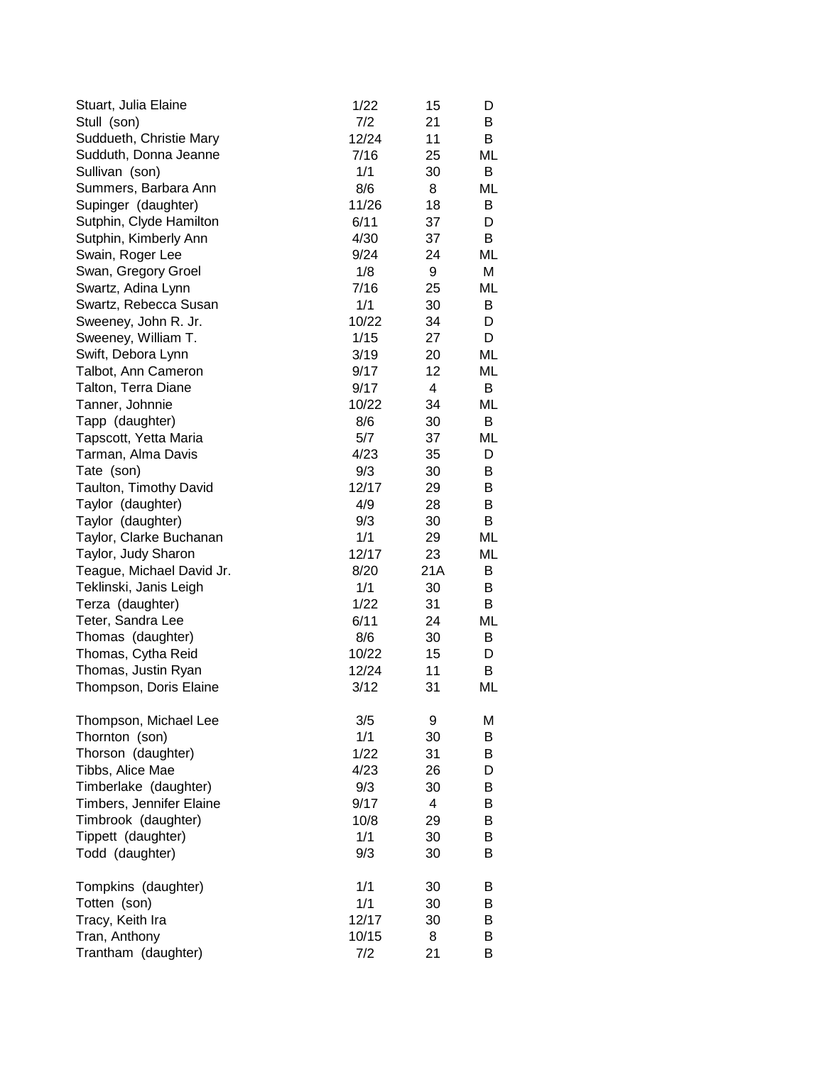| Stuart, Julia Elaine      | 1/22  | 15             | D  |
|---------------------------|-------|----------------|----|
| Stull (son)               | 7/2   | 21             | B  |
| Suddueth, Christie Mary   | 12/24 | 11             | B  |
| Sudduth, Donna Jeanne     | 7/16  | 25             | ML |
| Sullivan (son)            | 1/1   | 30             | В  |
| Summers, Barbara Ann      | 8/6   | 8              | ML |
| Supinger (daughter)       | 11/26 | 18             | B  |
| Sutphin, Clyde Hamilton   | 6/11  | 37             | D  |
| Sutphin, Kimberly Ann     | 4/30  | 37             | B  |
| Swain, Roger Lee          | 9/24  | 24             | ML |
| Swan, Gregory Groel       | 1/8   | 9              | М  |
| Swartz, Adina Lynn        | 7/16  | 25             | ML |
| Swartz, Rebecca Susan     | 1/1   | 30             | В  |
| Sweeney, John R. Jr.      | 10/22 | 34             | D  |
| Sweeney, William T.       | 1/15  | 27             | D  |
| Swift, Debora Lynn        | 3/19  | 20             | ML |
| Talbot, Ann Cameron       | 9/17  | 12             | ML |
| Talton, Terra Diane       | 9/17  | 4              | B  |
| Tanner, Johnnie           | 10/22 | 34             | ML |
| Tapp (daughter)           | 8/6   | 30             | B  |
| Tapscott, Yetta Maria     | 5/7   | 37             | ML |
| Tarman, Alma Davis        | 4/23  | 35             | D  |
| Tate (son)                | 9/3   | 30             | В  |
| Taulton, Timothy David    | 12/17 | 29             | В  |
| Taylor (daughter)         | 4/9   | 28             | В  |
| Taylor (daughter)         | 9/3   | 30             | B  |
| Taylor, Clarke Buchanan   | 1/1   | 29             | ML |
| Taylor, Judy Sharon       | 12/17 | 23             | ML |
| Teague, Michael David Jr. | 8/20  | 21A            | В  |
| Teklinski, Janis Leigh    | 1/1   | 30             | B  |
| Terza (daughter)          | 1/22  | 31             | B  |
| Teter, Sandra Lee         | 6/11  | 24             | ML |
| Thomas (daughter)         | 8/6   | 30             | B  |
| Thomas, Cytha Reid        | 10/22 | 15             | D  |
| Thomas, Justin Ryan       | 12/24 | 11             | B  |
| Thompson, Doris Elaine    | 3/12  | 31             | ML |
| Thompson, Michael Lee     | 3/5   | 9              | М  |
| Thornton (son)            | 1/1   | 30             | B  |
| Thorson (daughter)        | 1/22  | 31             | B  |
| Tibbs, Alice Mae          | 4/23  | 26             | D  |
| Timberlake (daughter)     | 9/3   | 30             | B  |
| Timbers, Jennifer Elaine  | 9/17  | $\overline{4}$ | В  |
| Timbrook (daughter)       | 10/8  | 29             | В  |
| Tippett (daughter)        | 1/1   | 30             | B  |
| Todd (daughter)           | 9/3   | 30             | B  |
|                           |       |                |    |
| Tompkins (daughter)       | 1/1   | 30             | B  |
| Totten (son)              | 1/1   | 30             | B  |
| Tracy, Keith Ira          | 12/17 | 30             | B  |
| Tran, Anthony             | 10/15 | 8              | B  |
| Trantham (daughter)       | 7/2   | 21             | B  |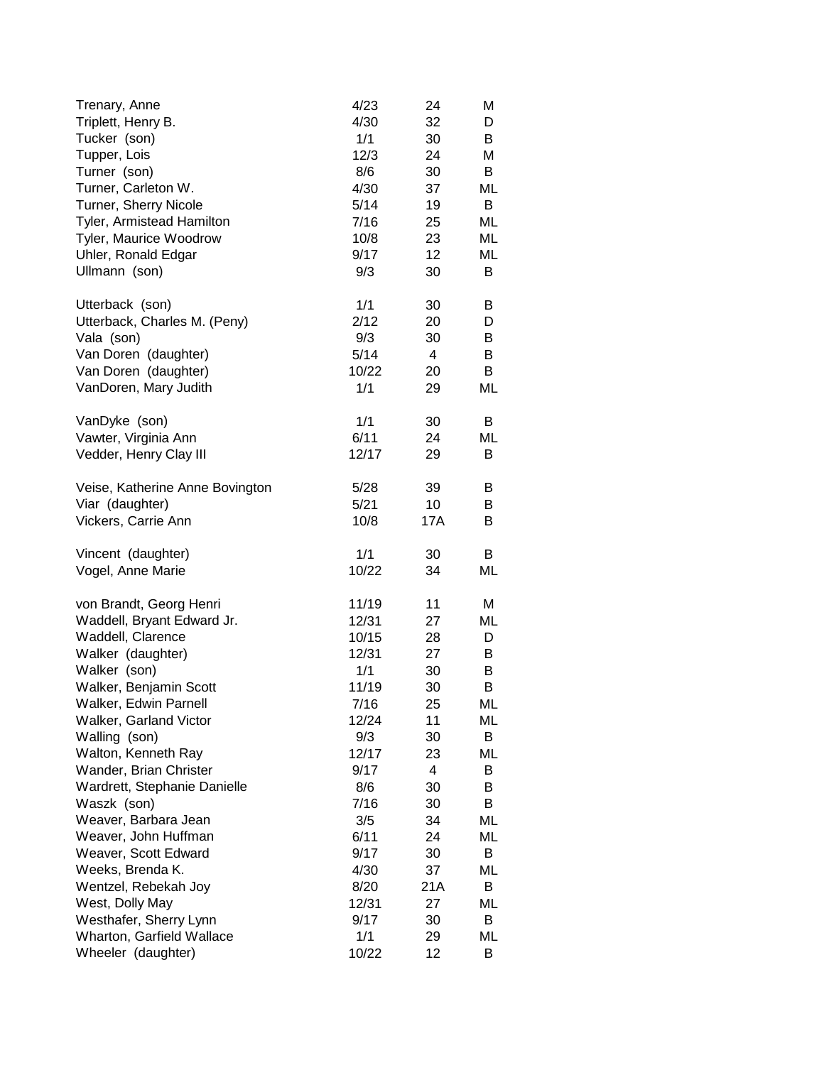| Trenary, Anne                                   | 4/23         | 24       | Μ       |
|-------------------------------------------------|--------------|----------|---------|
| Triplett, Henry B.                              | 4/30         | 32       | D       |
| Tucker (son)                                    | 1/1          | 30       | B       |
| Tupper, Lois                                    | 12/3         | 24       | Μ       |
| Turner (son)                                    | 8/6          | 30       | B       |
| Turner, Carleton W.                             | 4/30         | 37       | ML      |
| Turner, Sherry Nicole                           | 5/14         | 19       | В       |
| Tyler, Armistead Hamilton                       | 7/16         | 25       | ML      |
| Tyler, Maurice Woodrow                          | 10/8         | 23       | ML      |
| Uhler, Ronald Edgar                             | 9/17         | 12       | ML      |
| Ullmann (son)                                   | 9/3          | 30       | В       |
| Utterback (son)                                 | 1/1          | 30       | B       |
| Utterback, Charles M. (Peny)                    | 2/12         | 20       | D       |
| Vala (son)                                      | 9/3          | 30       | В       |
| Van Doren (daughter)                            | 5/14         | 4        | B       |
| Van Doren (daughter)                            | 10/22        | 20       | B       |
| VanDoren, Mary Judith                           | 1/1          | 29       | ML      |
| VanDyke (son)                                   | 1/1          | 30       | B       |
| Vawter, Virginia Ann                            | 6/11         | 24       | ML      |
| Vedder, Henry Clay III                          | 12/17        | 29       | В       |
| Veise, Katherine Anne Bovington                 | 5/28         | 39       | B       |
| Viar (daughter)                                 | 5/21         | 10       | B       |
| Vickers, Carrie Ann                             | 10/8         | 17A      | B       |
| Vincent (daughter)                              | 1/1          | 30       | B       |
| Vogel, Anne Marie                               | 10/22        | 34       | ML      |
| von Brandt, Georg Henri                         | 11/19        | 11       | M       |
| Waddell, Bryant Edward Jr.                      | 12/31        | 27       | ML      |
| Waddell, Clarence                               | 10/15        | 28       | D       |
| Walker (daughter)                               | 12/31        | 27       | B       |
| Walker (son)                                    | 1/1          | 30       | B       |
| Walker, Benjamin Scott                          | 11/19        | 30       | В       |
| Walker, Edwin Parnell                           | 7/16         | 25       | ML      |
| Walker, Garland Victor                          | 12/24        | 11       | ML      |
| Walling (son)                                   | 9/3          | 30       | B       |
| Walton, Kenneth Ray                             | 12/17        | 23       | ML      |
| Wander, Brian Christer                          | 9/17         | 4        | B       |
| Wardrett, Stephanie Danielle                    | 8/6          | 30       | В       |
| Waszk (son)                                     | 7/16         | 30       | В       |
| Weaver, Barbara Jean                            | 3/5          | 34       | ML      |
| Weaver, John Huffman                            | 6/11         | 24       | ML      |
| Weaver, Scott Edward                            | 9/17         | 30       | В       |
| Weeks, Brenda K.                                | 4/30         | 37       | ML      |
| Wentzel, Rebekah Joy                            | 8/20         | 21A      | В       |
| West, Dolly May                                 | 12/31        | 27       | ML      |
| Westhafer, Sherry Lynn                          | 9/17         | 30       | B       |
|                                                 |              |          |         |
| Wharton, Garfield Wallace<br>Wheeler (daughter) | 1/1<br>10/22 | 29<br>12 | ML<br>B |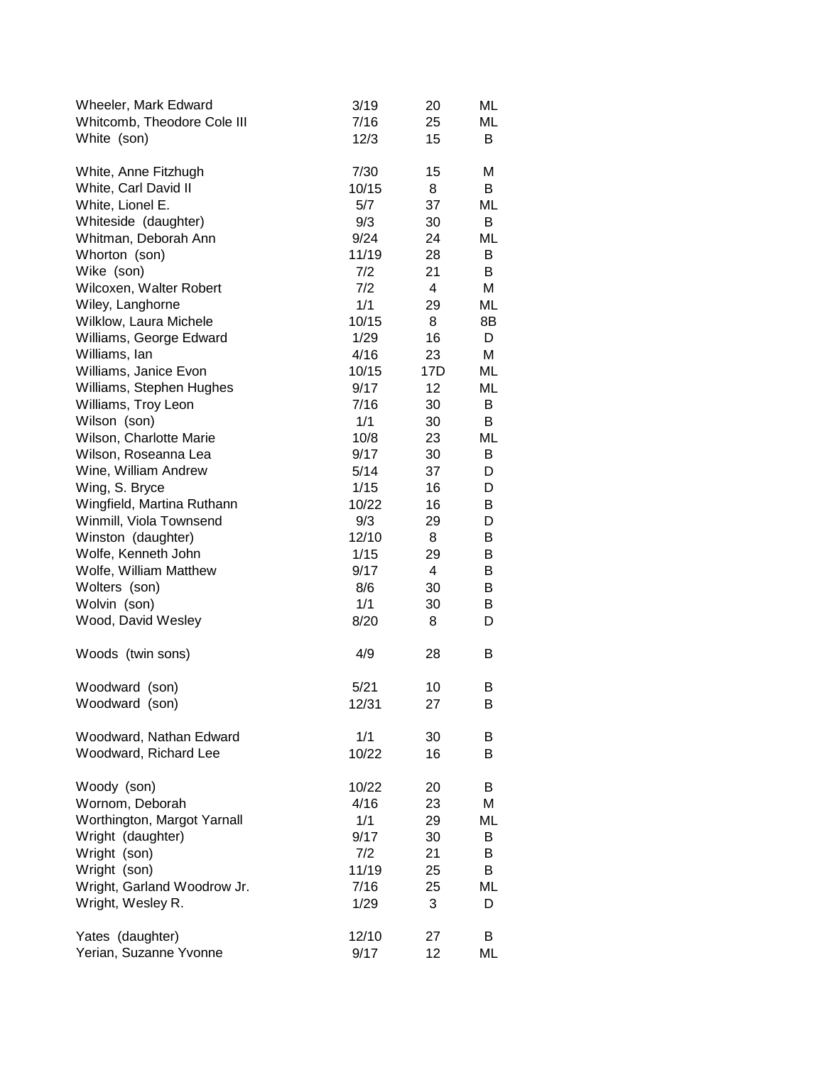| Wheeler, Mark Edward        | 3/19  | 20  | ML |
|-----------------------------|-------|-----|----|
| Whitcomb, Theodore Cole III | 7/16  | 25  | МL |
| White (son)                 | 12/3  | 15  | B  |
| White, Anne Fitzhugh        | 7/30  | 15  | М  |
| White, Carl David II        | 10/15 | 8   | B  |
| White, Lionel E.            | 5/7   | 37  | ML |
| Whiteside (daughter)        | 9/3   | 30  | B  |
| Whitman, Deborah Ann        | 9/24  | 24  | ML |
| Whorton (son)               | 11/19 | 28  | B  |
| Wike (son)                  | 7/2   | 21  | В  |
| Wilcoxen, Walter Robert     | 7/2   | 4   | М  |
| Wiley, Langhorne            | 1/1   | 29  | ML |
| Wilklow, Laura Michele      | 10/15 | 8   | 8B |
| Williams, George Edward     | 1/29  | 16  | D  |
| Williams, Ian               | 4/16  | 23  | М  |
| Williams, Janice Evon       | 10/15 | 17D | ML |
| Williams, Stephen Hughes    | 9/17  | 12  | ML |
| Williams, Troy Leon         | 7/16  | 30  | B  |
| Wilson (son)                | 1/1   | 30  | В  |
| Wilson, Charlotte Marie     | 10/8  | 23  | ML |
| Wilson, Roseanna Lea        | 9/17  | 30  | B  |
| Wine, William Andrew        | 5/14  | 37  | D  |
| Wing, S. Bryce              | 1/15  | 16  | D  |
| Wingfield, Martina Ruthann  | 10/22 | 16  | B  |
| Winmill, Viola Townsend     | 9/3   | 29  | D  |
| Winston (daughter)          | 12/10 | 8   | В  |
| Wolfe, Kenneth John         | 1/15  | 29  | B  |
| Wolfe, William Matthew      | 9/17  | 4   | B  |
| Wolters (son)               | 8/6   | 30  | B  |
| Wolvin (son)                | 1/1   | 30  | B  |
| Wood, David Wesley          | 8/20  | 8   | D  |
| Woods (twin sons)           | 4/9   | 28  | B  |
| Woodward (son)              | 5/21  | 10  | B  |
| Woodward (son)              | 12/31 | 27  | В  |
| Woodward, Nathan Edward     | 1/1   | 30  | B  |
| Woodward, Richard Lee       | 10/22 | 16  | B  |
| Woody (son)                 | 10/22 | 20  | B  |
| Wornom, Deborah             | 4/16  | 23  | M  |
| Worthington, Margot Yarnall | 1/1   | 29  | ML |
| Wright (daughter)           | 9/17  | 30  | B  |
| Wright (son)                | 7/2   | 21  | B  |
| Wright (son)                | 11/19 | 25  | B  |
| Wright, Garland Woodrow Jr. | 7/16  | 25  | ML |
| Wright, Wesley R.           | 1/29  | 3   | D  |
| Yates (daughter)            | 12/10 | 27  | B  |
| Yerian, Suzanne Yvonne      | 9/17  | 12  | МL |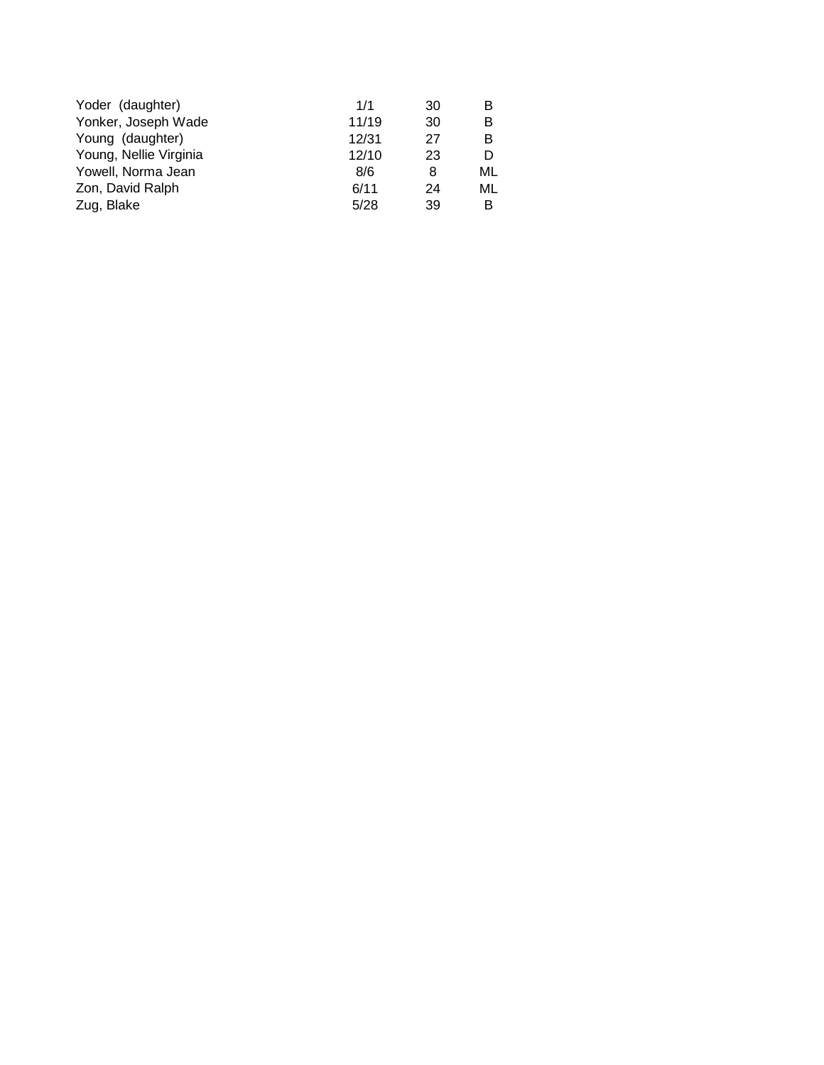| 1/1   | 30 | в  |
|-------|----|----|
| 11/19 | 30 | в  |
| 12/31 | 27 | в  |
| 12/10 | 23 | D  |
| 8/6   | 8  | ML |
| 6/11  | 24 | ML |
| 5/28  | 39 | В  |
|       |    |    |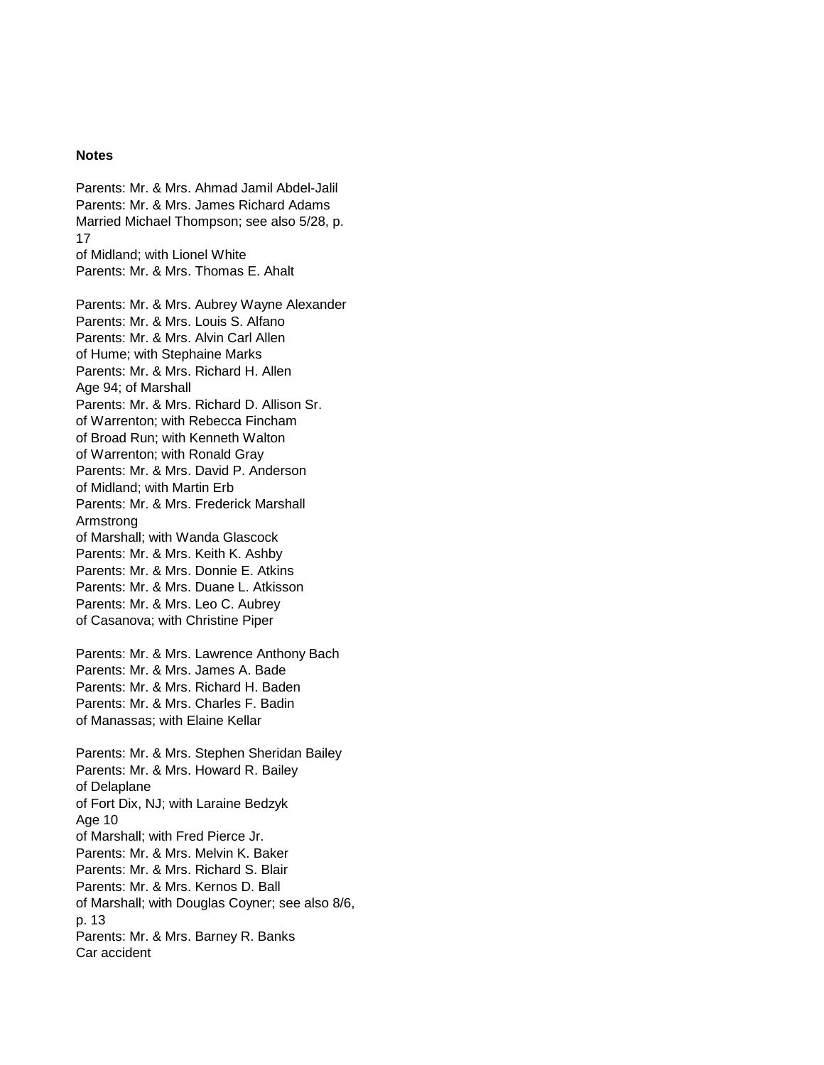## **Notes**

Parents: Mr. & Mrs. Ahmad Jamil Abdel-Jalil Parents: Mr. & Mrs. James Richard Adams Married Michael Thompson; see also 5/28, p. 17 of Midland; with Lionel White Parents: Mr. & Mrs. Thomas E. Ahalt

Parents: Mr. & Mrs. Aubrey Wayne Alexander Parents: Mr. & Mrs. Louis S. Alfano Parents: Mr. & Mrs. Alvin Carl Allen of Hume; with Stephaine Marks Parents: Mr. & Mrs. Richard H. Allen Age 94; of Marshall Parents: Mr. & Mrs. Richard D. Allison Sr. of Warrenton; with Rebecca Fincham of Broad Run; with Kenneth Walton of Warrenton; with Ronald Gray Parents: Mr. & Mrs. David P. Anderson of Midland; with Martin Erb Parents: Mr. & Mrs. Frederick Marshall Armstrong of Marshall; with Wanda Glascock Parents: Mr. & Mrs. Keith K. Ashby Parents: Mr. & Mrs. Donnie E. Atkins Parents: Mr. & Mrs. Duane L. Atkisson Parents: Mr. & Mrs. Leo C. Aubrey of Casanova; with Christine Piper

Parents: Mr. & Mrs. Lawrence Anthony Bach Parents: Mr. & Mrs. James A. Bade Parents: Mr. & Mrs. Richard H. Baden Parents: Mr. & Mrs. Charles F. Badin of Manassas; with Elaine Kellar

Parents: Mr. & Mrs. Stephen Sheridan Bailey Parents: Mr. & Mrs. Howard R. Bailey of Delaplane of Fort Dix, NJ; with Laraine Bedzyk Age 10 of Marshall; with Fred Pierce Jr. Parents: Mr. & Mrs. Melvin K. Baker Parents: Mr. & Mrs. Richard S. Blair Parents: Mr. & Mrs. Kernos D. Ball of Marshall; with Douglas Coyner; see also 8/6, p. 13 Parents: Mr. & Mrs. Barney R. Banks Car accident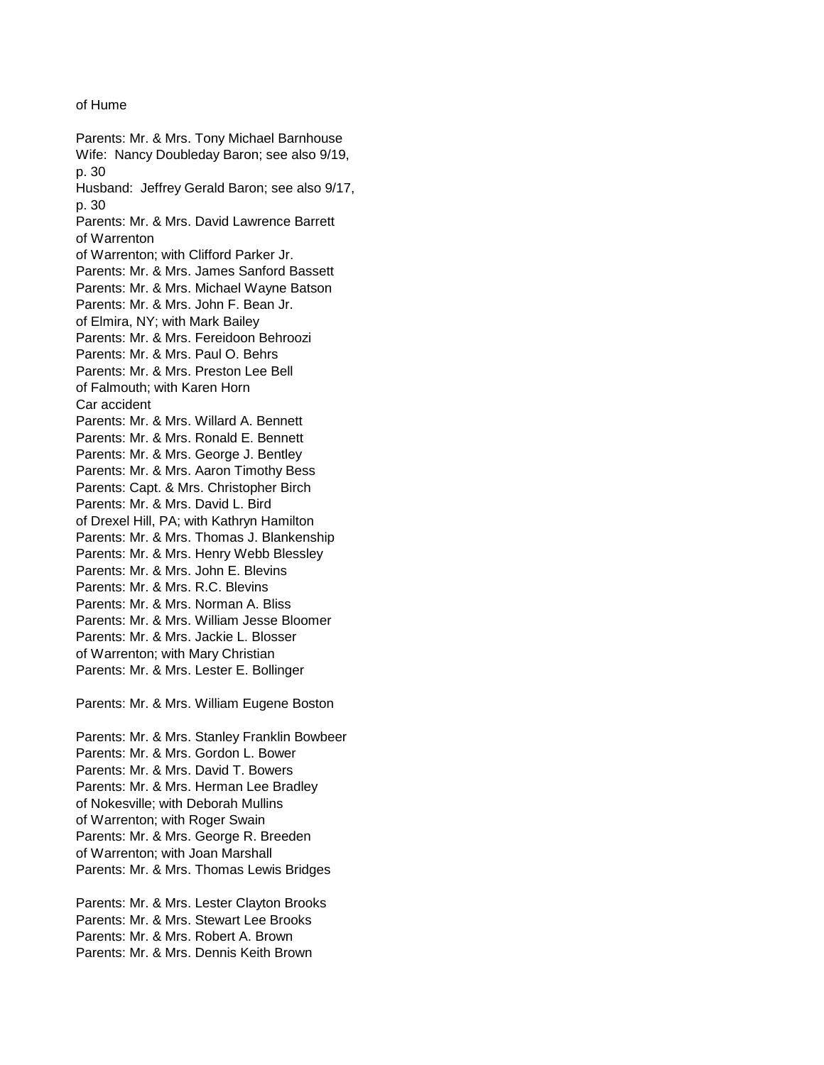## of Hume

Parents: Mr. & Mrs. Tony Michael Barnhouse Wife: Nancy Doubleday Baron; see also 9/19, p. 30 Husband: Jeffrey Gerald Baron; see also 9/17, p. 30 Parents: Mr. & Mrs. David Lawrence Barrett of Warrenton of Warrenton; with Clifford Parker Jr. Parents: Mr. & Mrs. James Sanford Bassett Parents: Mr. & Mrs. Michael Wayne Batson Parents: Mr. & Mrs. John F. Bean Jr. of Elmira, NY; with Mark Bailey Parents: Mr. & Mrs. Fereidoon Behroozi Parents: Mr. & Mrs. Paul O. Behrs Parents: Mr. & Mrs. Preston Lee Bell of Falmouth; with Karen Horn Car accident Parents: Mr. & Mrs. Willard A. Bennett Parents: Mr. & Mrs. Ronald E. Bennett Parents: Mr. & Mrs. George J. Bentley Parents: Mr. & Mrs. Aaron Timothy Bess Parents: Capt. & Mrs. Christopher Birch Parents: Mr. & Mrs. David L. Bird of Drexel Hill, PA; with Kathryn Hamilton Parents: Mr. & Mrs. Thomas J. Blankenship Parents: Mr. & Mrs. Henry Webb Blessley Parents: Mr. & Mrs. John E. Blevins Parents: Mr. & Mrs. R.C. Blevins Parents: Mr. & Mrs. Norman A. Bliss Parents: Mr. & Mrs. William Jesse Bloomer Parents: Mr. & Mrs. Jackie L. Blosser of Warrenton; with Mary Christian Parents: Mr. & Mrs. Lester E. Bollinger

Parents: Mr. & Mrs. William Eugene Boston

Parents: Mr. & Mrs. Stanley Franklin Bowbeer Parents: Mr. & Mrs. Gordon L. Bower Parents: Mr. & Mrs. David T. Bowers Parents: Mr. & Mrs. Herman Lee Bradley of Nokesville; with Deborah Mullins of Warrenton; with Roger Swain Parents: Mr. & Mrs. George R. Breeden of Warrenton; with Joan Marshall Parents: Mr. & Mrs. Thomas Lewis Bridges

Parents: Mr. & Mrs. Lester Clayton Brooks Parents: Mr. & Mrs. Stewart Lee Brooks Parents: Mr. & Mrs. Robert A. Brown Parents: Mr. & Mrs. Dennis Keith Brown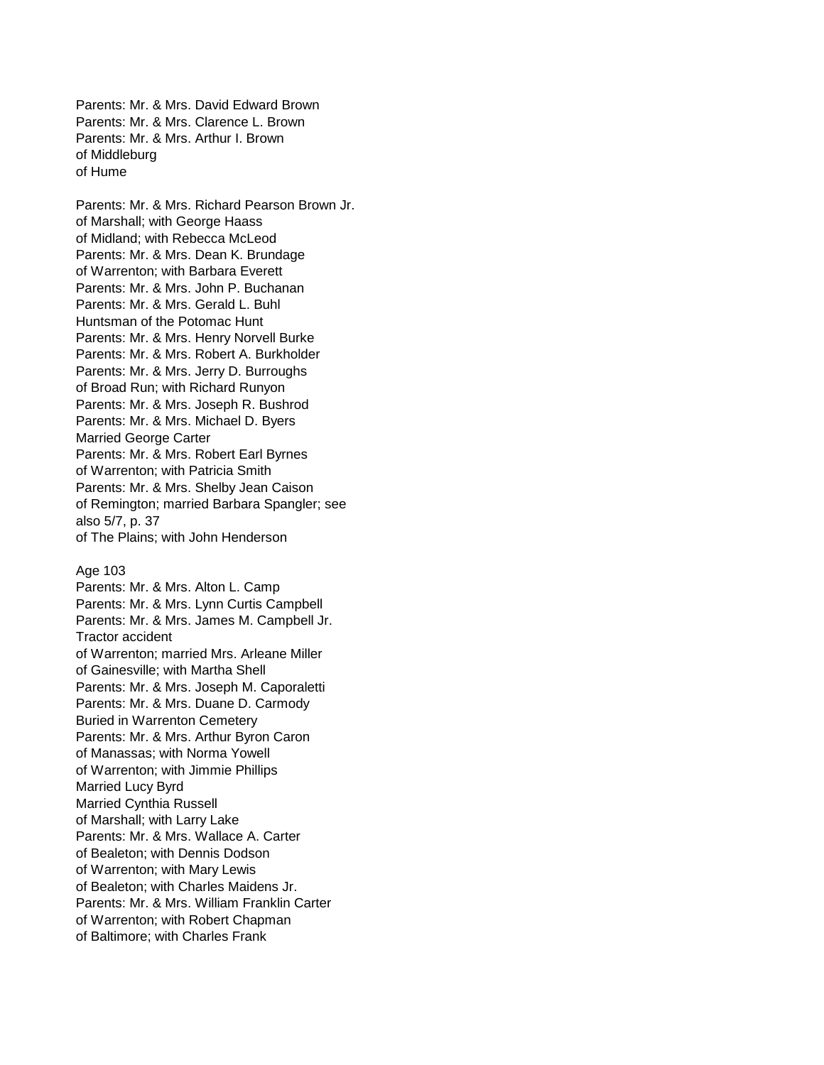Parents: Mr. & Mrs. David Edward Brown Parents: Mr. & Mrs. Clarence L. Brown Parents: Mr. & Mrs. Arthur I. Brown of Middleburg of Hume

Parents: Mr. & Mrs. Richard Pearson Brown Jr. of Marshall; with George Haass of Midland; with Rebecca McLeod Parents: Mr. & Mrs. Dean K. Brundage of Warrenton; with Barbara Everett Parents: Mr. & Mrs. John P. Buchanan Parents: Mr. & Mrs. Gerald L. Buhl Huntsman of the Potomac Hunt Parents: Mr. & Mrs. Henry Norvell Burke Parents: Mr. & Mrs. Robert A. Burkholder Parents: Mr. & Mrs. Jerry D. Burroughs of Broad Run; with Richard Runyon Parents: Mr. & Mrs. Joseph R. Bushrod Parents: Mr. & Mrs. Michael D. Byers Married George Carter Parents: Mr. & Mrs. Robert Earl Byrnes of Warrenton; with Patricia Smith Parents: Mr. & Mrs. Shelby Jean Caison of Remington; married Barbara Spangler; see also 5/7, p. 37 of The Plains; with John Henderson

Age 103

Parents: Mr. & Mrs. Alton L. Camp Parents: Mr. & Mrs. Lynn Curtis Campbell Parents: Mr. & Mrs. James M. Campbell Jr. Tractor accident of Warrenton; married Mrs. Arleane Miller of Gainesville; with Martha Shell Parents: Mr. & Mrs. Joseph M. Caporaletti Parents: Mr. & Mrs. Duane D. Carmody Buried in Warrenton Cemetery Parents: Mr. & Mrs. Arthur Byron Caron of Manassas; with Norma Yowell of Warrenton; with Jimmie Phillips Married Lucy Byrd Married Cynthia Russell of Marshall; with Larry Lake Parents: Mr. & Mrs. Wallace A. Carter of Bealeton; with Dennis Dodson of Warrenton; with Mary Lewis of Bealeton; with Charles Maidens Jr. Parents: Mr. & Mrs. William Franklin Carter of Warrenton; with Robert Chapman of Baltimore; with Charles Frank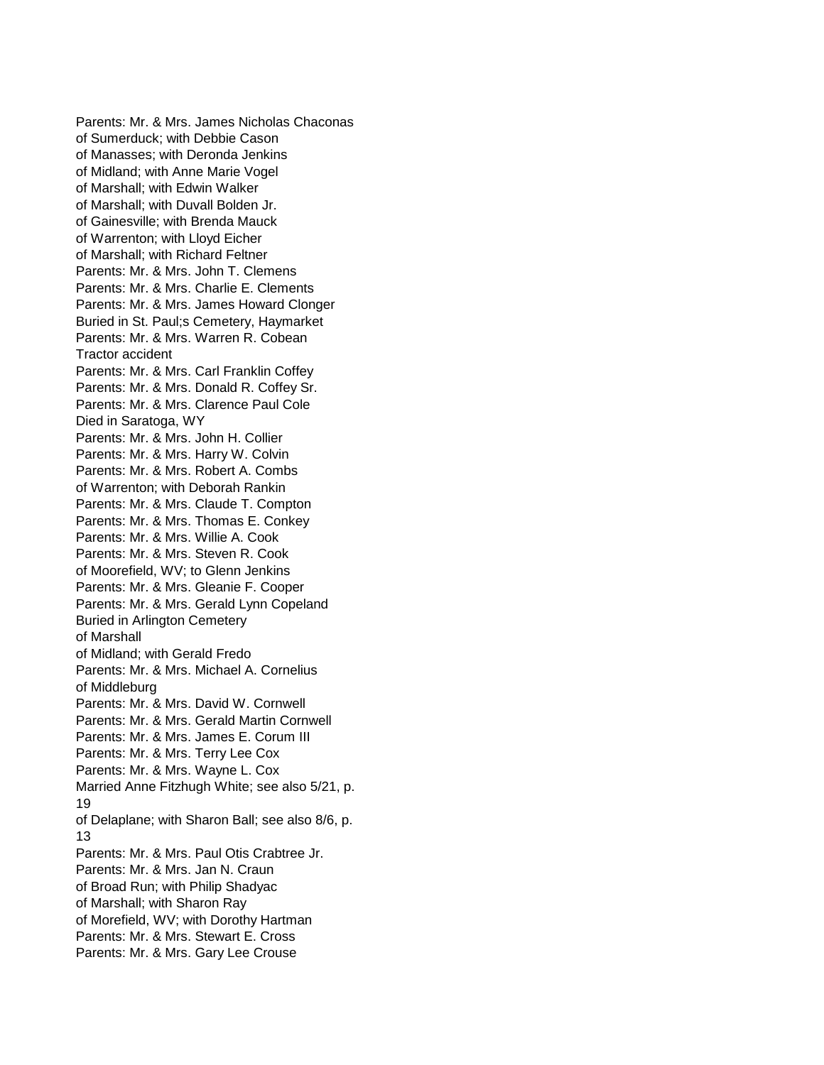Parents: Mr. & Mrs. James Nicholas Chaconas of Sumerduck; with Debbie Cason of Manasses; with Deronda Jenkins of Midland; with Anne Marie Vogel of Marshall; with Edwin Walker of Marshall; with Duvall Bolden Jr. of Gainesville; with Brenda Mauck of Warrenton; with Lloyd Eicher of Marshall; with Richard Feltner Parents: Mr. & Mrs. John T. Clemens Parents: Mr. & Mrs. Charlie E. Clements Parents: Mr. & Mrs. James Howard Clonger Buried in St. Paul;s Cemetery, Haymarket Parents: Mr. & Mrs. Warren R. Cobean Tractor accident Parents: Mr. & Mrs. Carl Franklin Coffey Parents: Mr. & Mrs. Donald R. Coffey Sr. Parents: Mr. & Mrs. Clarence Paul Cole Died in Saratoga, WY Parents: Mr. & Mrs. John H. Collier Parents: Mr. & Mrs. Harry W. Colvin Parents: Mr. & Mrs. Robert A. Combs of Warrenton; with Deborah Rankin Parents: Mr. & Mrs. Claude T. Compton Parents: Mr. & Mrs. Thomas E. Conkey Parents: Mr. & Mrs. Willie A. Cook Parents: Mr. & Mrs. Steven R. Cook of Moorefield, WV; to Glenn Jenkins Parents: Mr. & Mrs. Gleanie F. Cooper Parents: Mr. & Mrs. Gerald Lynn Copeland Buried in Arlington Cemetery of Marshall of Midland; with Gerald Fredo Parents: Mr. & Mrs. Michael A. Cornelius of Middleburg Parents: Mr. & Mrs. David W. Cornwell Parents: Mr. & Mrs. Gerald Martin Cornwell Parents: Mr. & Mrs. James E. Corum III Parents: Mr. & Mrs. Terry Lee Cox Parents: Mr. & Mrs. Wayne L. Cox Married Anne Fitzhugh White; see also 5/21, p. 19 of Delaplane; with Sharon Ball; see also 8/6, p. 13 Parents: Mr. & Mrs. Paul Otis Crabtree Jr. Parents: Mr. & Mrs. Jan N. Craun of Broad Run; with Philip Shadyac of Marshall; with Sharon Ray of Morefield, WV; with Dorothy Hartman Parents: Mr. & Mrs. Stewart E. Cross Parents: Mr. & Mrs. Gary Lee Crouse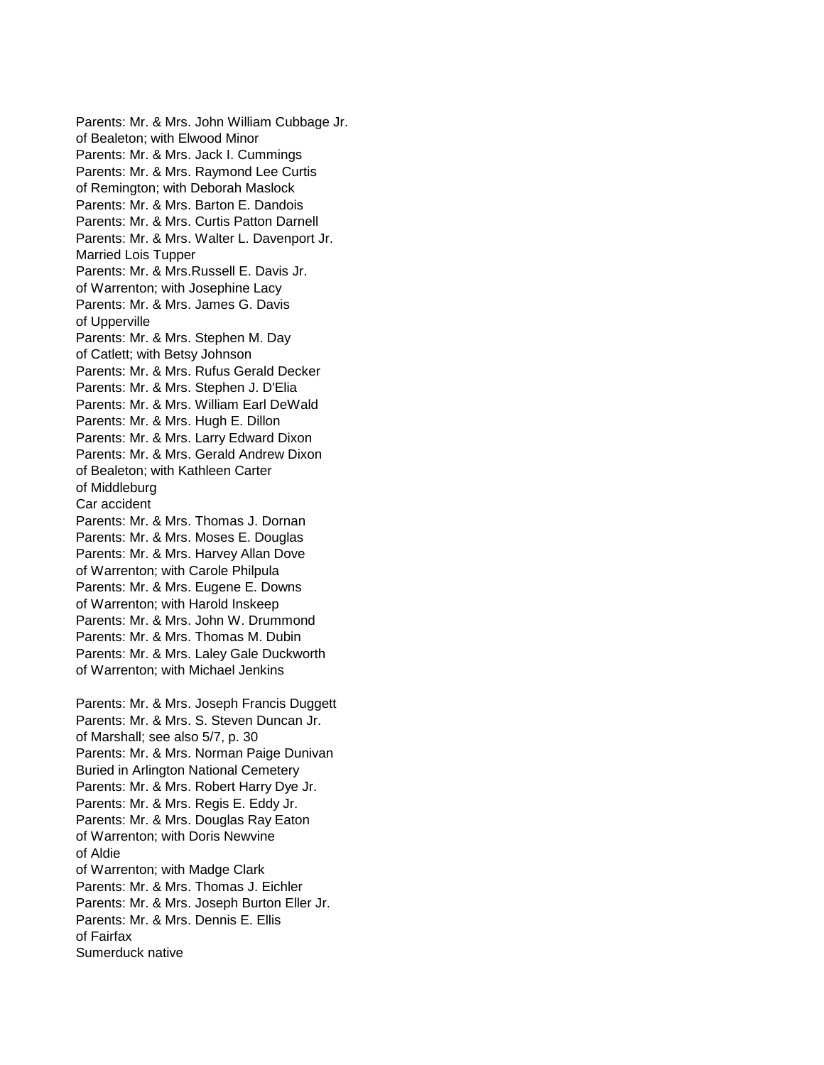Parents: Mr. & Mrs. John William Cubbage Jr. of Bealeton; with Elwood Minor Parents: Mr. & Mrs. Jack I. Cummings Parents: Mr. & Mrs. Raymond Lee Curtis of Remington; with Deborah Maslock Parents: Mr. & Mrs. Barton E. Dandois Parents: Mr. & Mrs. Curtis Patton Darnell Parents: Mr. & Mrs. Walter L. Davenport Jr. Married Lois Tupper Parents: Mr. & Mrs.Russell E. Davis Jr. of Warrenton; with Josephine Lacy Parents: Mr. & Mrs. James G. Davis of Upperville Parents: Mr. & Mrs. Stephen M. Day of Catlett; with Betsy Johnson Parents: Mr. & Mrs. Rufus Gerald Decker Parents: Mr. & Mrs. Stephen J. D'Elia Parents: Mr. & Mrs. William Earl DeWald Parents: Mr. & Mrs. Hugh E. Dillon Parents: Mr. & Mrs. Larry Edward Dixon Parents: Mr. & Mrs. Gerald Andrew Dixon of Bealeton; with Kathleen Carter of Middleburg Car accident Parents: Mr. & Mrs. Thomas J. Dornan Parents: Mr. & Mrs. Moses E. Douglas Parents: Mr. & Mrs. Harvey Allan Dove of Warrenton; with Carole Philpula Parents: Mr. & Mrs. Eugene E. Downs of Warrenton; with Harold Inskeep Parents: Mr. & Mrs. John W. Drummond Parents: Mr. & Mrs. Thomas M. Dubin Parents: Mr. & Mrs. Laley Gale Duckworth of Warrenton; with Michael Jenkins Parents: Mr. & Mrs. Joseph Francis Duggett Parents: Mr. & Mrs. S. Steven Duncan Jr. of Marshall; see also 5/7, p. 30 Parents: Mr. & Mrs. Norman Paige Dunivan Buried in Arlington National Cemetery Parents: Mr. & Mrs. Robert Harry Dye Jr. Parents: Mr. & Mrs. Regis E. Eddy Jr. Parents: Mr. & Mrs. Douglas Ray Eaton of Warrenton; with Doris Newvine of Aldie of Warrenton; with Madge Clark Parents: Mr. & Mrs. Thomas J. Eichler Parents: Mr. & Mrs. Joseph Burton Eller Jr. Parents: Mr. & Mrs. Dennis E. Ellis of Fairfax Sumerduck native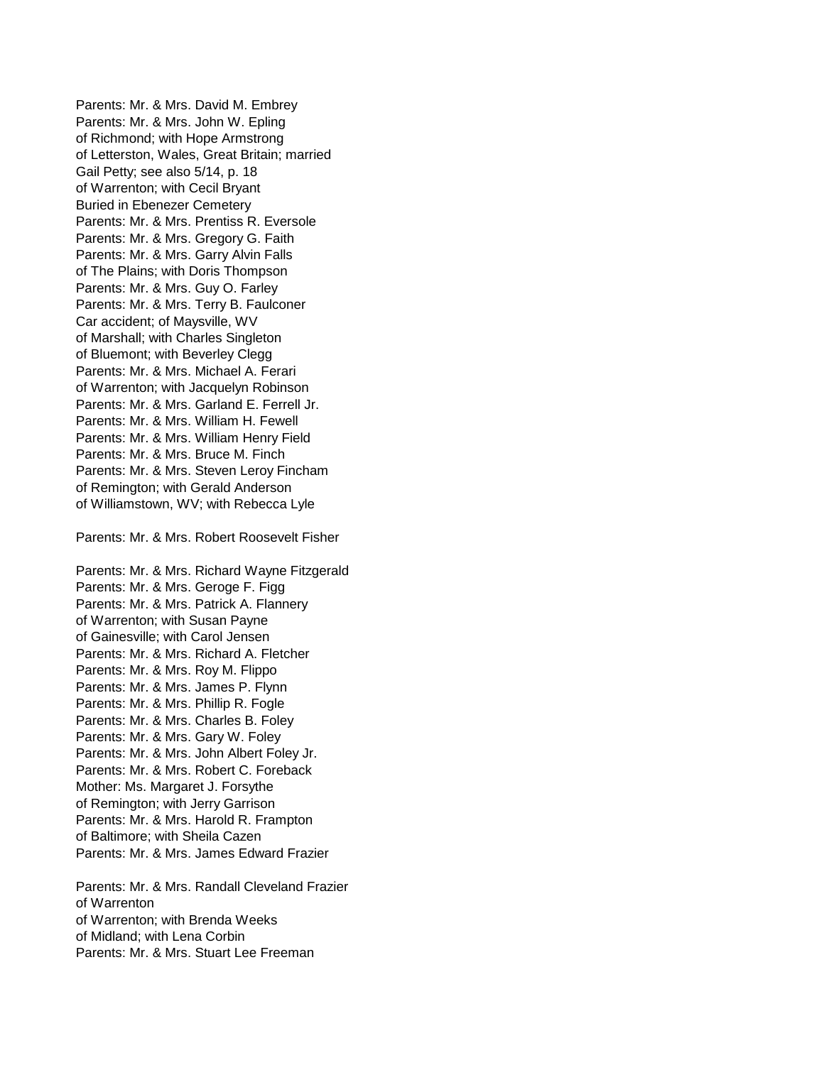Parents: Mr. & Mrs. David M. Embrey Parents: Mr. & Mrs. John W. Epling of Richmond; with Hope Armstrong of Letterston, Wales, Great Britain; married Gail Petty; see also 5/14, p. 18 of Warrenton; with Cecil Bryant Buried in Ebenezer Cemetery Parents: Mr. & Mrs. Prentiss R. Eversole Parents: Mr. & Mrs. Gregory G. Faith Parents: Mr. & Mrs. Garry Alvin Falls of The Plains; with Doris Thompson Parents: Mr. & Mrs. Guy O. Farley Parents: Mr. & Mrs. Terry B. Faulconer Car accident; of Maysville, WV of Marshall; with Charles Singleton of Bluemont; with Beverley Clegg Parents: Mr. & Mrs. Michael A. Ferari of Warrenton; with Jacquelyn Robinson Parents: Mr. & Mrs. Garland E. Ferrell Jr. Parents: Mr. & Mrs. William H. Fewell Parents: Mr. & Mrs. William Henry Field Parents: Mr. & Mrs. Bruce M. Finch Parents: Mr. & Mrs. Steven Leroy Fincham of Remington; with Gerald Anderson of Williamstown, WV; with Rebecca Lyle

Parents: Mr. & Mrs. Robert Roosevelt Fisher

Parents: Mr. & Mrs. Richard Wayne Fitzgerald Parents: Mr. & Mrs. Geroge F. Figg Parents: Mr. & Mrs. Patrick A. Flannery of Warrenton; with Susan Payne of Gainesville; with Carol Jensen Parents: Mr. & Mrs. Richard A. Fletcher Parents: Mr. & Mrs. Roy M. Flippo Parents: Mr. & Mrs. James P. Flynn Parents: Mr. & Mrs. Phillip R. Fogle Parents: Mr. & Mrs. Charles B. Foley Parents: Mr. & Mrs. Gary W. Foley Parents: Mr. & Mrs. John Albert Foley Jr. Parents: Mr. & Mrs. Robert C. Foreback Mother: Ms. Margaret J. Forsythe of Remington; with Jerry Garrison Parents: Mr. & Mrs. Harold R. Frampton of Baltimore; with Sheila Cazen Parents: Mr. & Mrs. James Edward Frazier

Parents: Mr. & Mrs. Randall Cleveland Frazier of Warrenton of Warrenton; with Brenda Weeks of Midland; with Lena Corbin Parents: Mr. & Mrs. Stuart Lee Freeman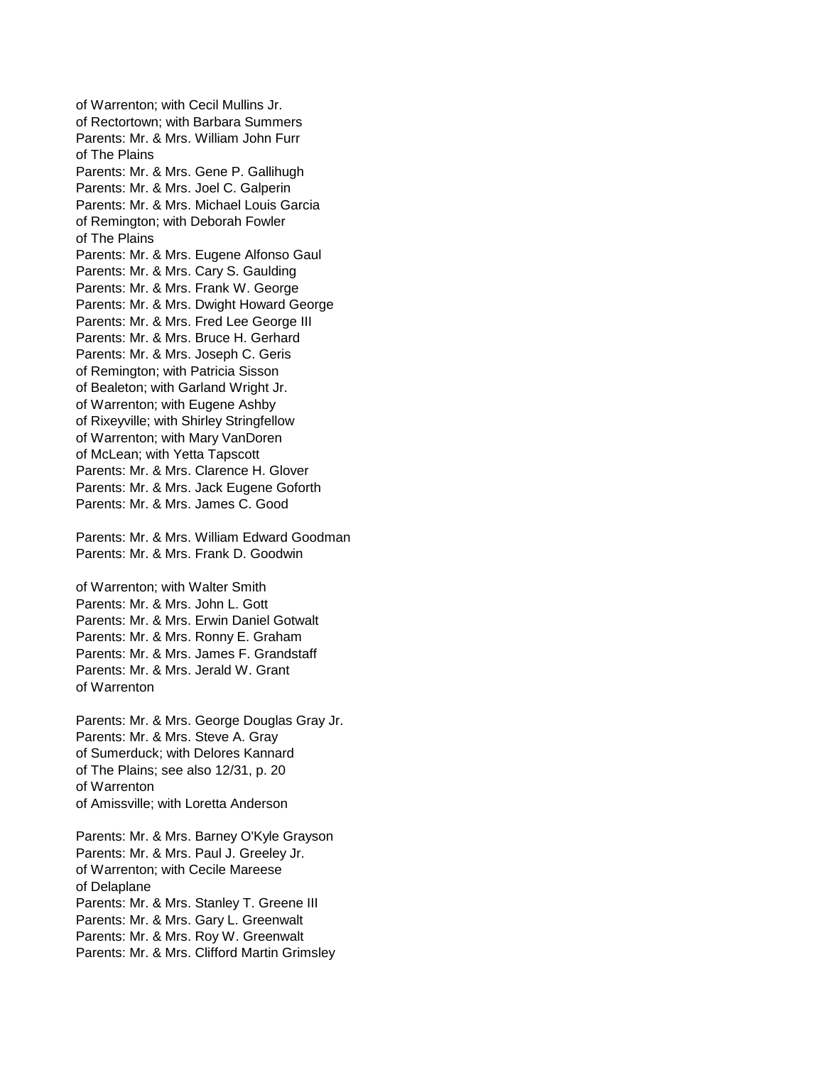of Warrenton; with Cecil Mullins Jr. of Rectortown; with Barbara Summers Parents: Mr. & Mrs. William John Furr of The Plains Parents: Mr. & Mrs. Gene P. Gallihugh Parents: Mr. & Mrs. Joel C. Galperin Parents: Mr. & Mrs. Michael Louis Garcia of Remington; with Deborah Fowler of The Plains Parents: Mr. & Mrs. Eugene Alfonso Gaul Parents: Mr. & Mrs. Cary S. Gaulding Parents: Mr. & Mrs. Frank W. George Parents: Mr. & Mrs. Dwight Howard George Parents: Mr. & Mrs. Fred Lee George III Parents: Mr. & Mrs. Bruce H. Gerhard Parents: Mr. & Mrs. Joseph C. Geris of Remington; with Patricia Sisson of Bealeton; with Garland Wright Jr. of Warrenton; with Eugene Ashby of Rixeyville; with Shirley Stringfellow of Warrenton; with Mary VanDoren of McLean; with Yetta Tapscott Parents: Mr. & Mrs. Clarence H. Glover Parents: Mr. & Mrs. Jack Eugene Goforth Parents: Mr. & Mrs. James C. Good

Parents: Mr. & Mrs. William Edward Goodman Parents: Mr. & Mrs. Frank D. Goodwin

of Warrenton; with Walter Smith Parents: Mr. & Mrs. John L. Gott Parents: Mr. & Mrs. Erwin Daniel Gotwalt Parents: Mr. & Mrs. Ronny E. Graham Parents: Mr. & Mrs. James F. Grandstaff Parents: Mr. & Mrs. Jerald W. Grant of Warrenton

Parents: Mr. & Mrs. George Douglas Gray Jr. Parents: Mr. & Mrs. Steve A. Gray of Sumerduck; with Delores Kannard of The Plains; see also 12/31, p. 20 of Warrenton of Amissville; with Loretta Anderson

Parents: Mr. & Mrs. Barney O'Kyle Grayson Parents: Mr. & Mrs. Paul J. Greeley Jr. of Warrenton; with Cecile Mareese of Delaplane Parents: Mr. & Mrs. Stanley T. Greene III Parents: Mr. & Mrs. Gary L. Greenwalt Parents: Mr. & Mrs. Roy W. Greenwalt Parents: Mr. & Mrs. Clifford Martin Grimsley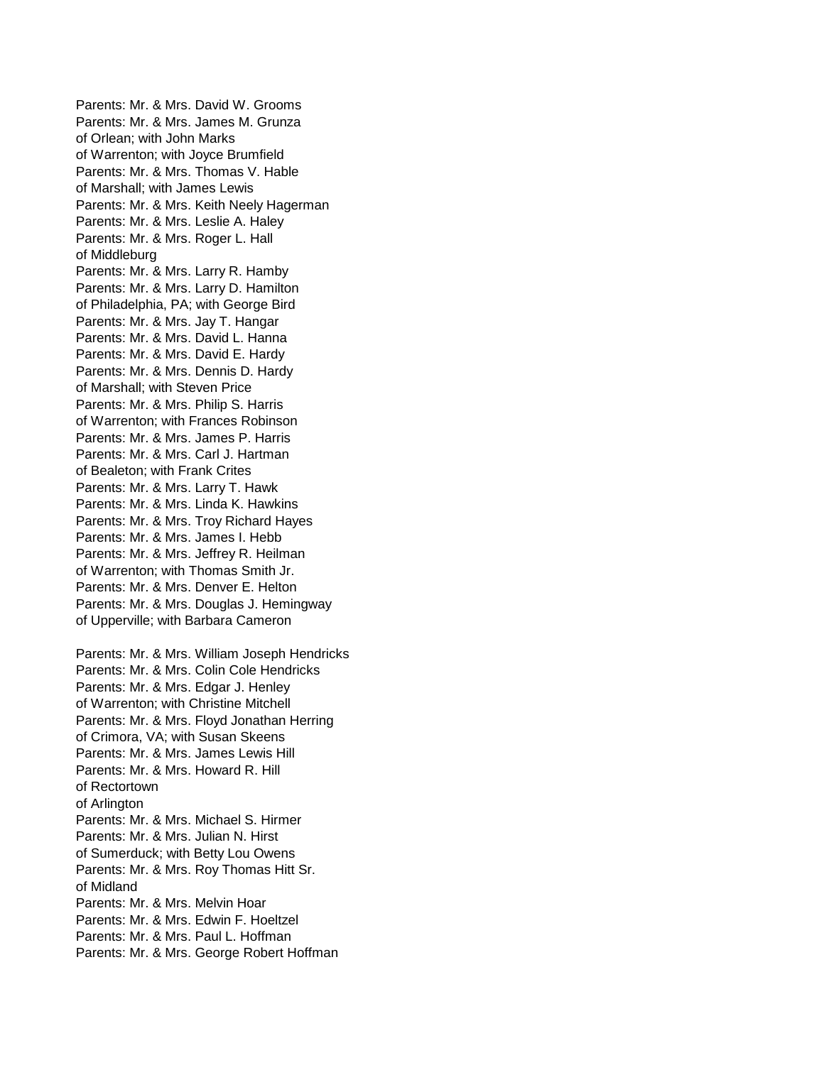Parents: Mr. & Mrs. David W. Grooms Parents: Mr. & Mrs. James M. Grunza of Orlean; with John Marks of Warrenton; with Joyce Brumfield Parents: Mr. & Mrs. Thomas V. Hable of Marshall; with James Lewis Parents: Mr. & Mrs. Keith Neely Hagerman Parents: Mr. & Mrs. Leslie A. Haley Parents: Mr. & Mrs. Roger L. Hall of Middleburg Parents: Mr. & Mrs. Larry R. Hamby Parents: Mr. & Mrs. Larry D. Hamilton of Philadelphia, PA; with George Bird Parents: Mr. & Mrs. Jay T. Hangar Parents: Mr. & Mrs. David L. Hanna Parents: Mr. & Mrs. David E. Hardy Parents: Mr. & Mrs. Dennis D. Hardy of Marshall; with Steven Price Parents: Mr. & Mrs. Philip S. Harris of Warrenton; with Frances Robinson Parents: Mr. & Mrs. James P. Harris Parents: Mr. & Mrs. Carl J. Hartman of Bealeton; with Frank Crites Parents: Mr. & Mrs. Larry T. Hawk Parents: Mr. & Mrs. Linda K. Hawkins Parents: Mr. & Mrs. Troy Richard Hayes Parents: Mr. & Mrs. James I. Hebb Parents: Mr. & Mrs. Jeffrey R. Heilman of Warrenton; with Thomas Smith Jr. Parents: Mr. & Mrs. Denver E. Helton Parents: Mr. & Mrs. Douglas J. Hemingway of Upperville; with Barbara Cameron Parents: Mr. & Mrs. William Joseph Hendricks Parents: Mr. & Mrs. Colin Cole Hendricks

Parents: Mr. & Mrs. Edgar J. Henley of Warrenton; with Christine Mitchell Parents: Mr. & Mrs. Floyd Jonathan Herring of Crimora, VA; with Susan Skeens Parents: Mr. & Mrs. James Lewis Hill Parents: Mr. & Mrs. Howard R. Hill of Rectortown of Arlington Parents: Mr. & Mrs. Michael S. Hirmer Parents: Mr. & Mrs. Julian N. Hirst of Sumerduck; with Betty Lou Owens Parents: Mr. & Mrs. Roy Thomas Hitt Sr. of Midland Parents: Mr. & Mrs. Melvin Hoar Parents: Mr. & Mrs. Edwin F. Hoeltzel Parents: Mr. & Mrs. Paul L. Hoffman Parents: Mr. & Mrs. George Robert Hoffman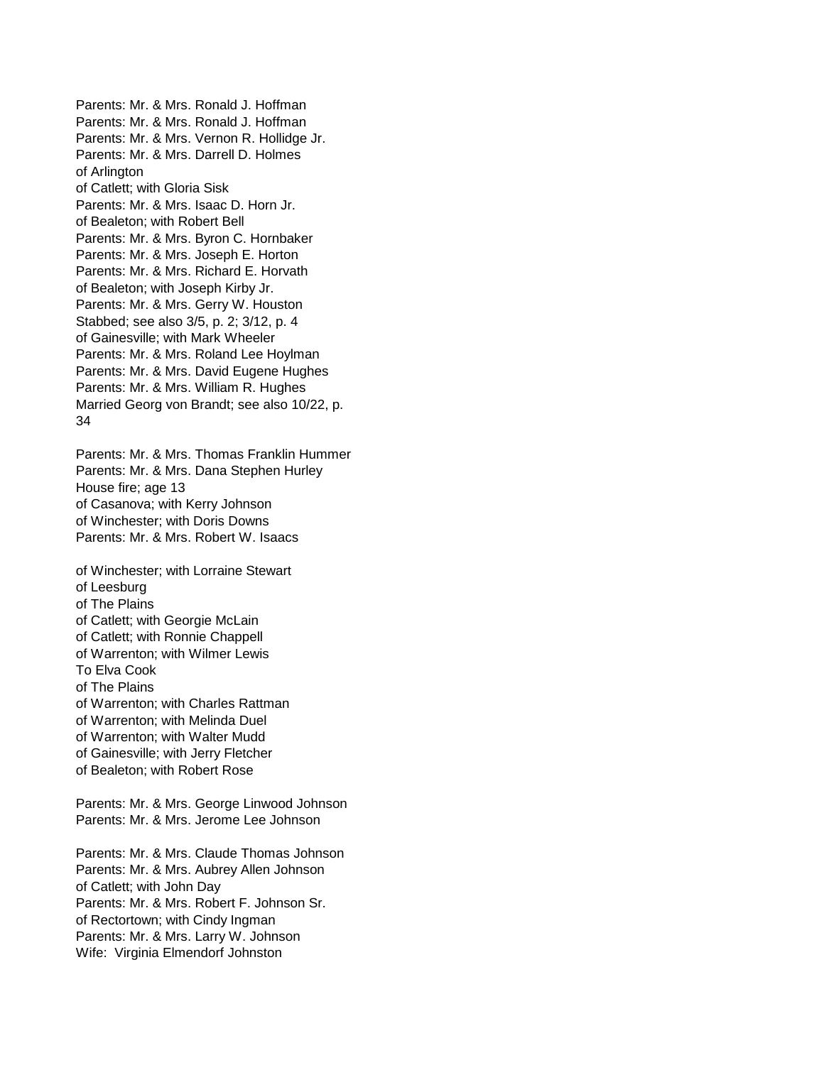Parents: Mr. & Mrs. Ronald J. Hoffman Parents: Mr. & Mrs. Ronald J. Hoffman Parents: Mr. & Mrs. Vernon R. Hollidge Jr. Parents: Mr. & Mrs. Darrell D. Holmes of Arlington of Catlett; with Gloria Sisk Parents: Mr. & Mrs. Isaac D. Horn Jr. of Bealeton; with Robert Bell Parents: Mr. & Mrs. Byron C. Hornbaker Parents: Mr. & Mrs. Joseph E. Horton Parents: Mr. & Mrs. Richard E. Horvath of Bealeton; with Joseph Kirby Jr. Parents: Mr. & Mrs. Gerry W. Houston Stabbed; see also 3/5, p. 2; 3/12, p. 4 of Gainesville; with Mark Wheeler Parents: Mr. & Mrs. Roland Lee Hoylman Parents: Mr. & Mrs. David Eugene Hughes Parents: Mr. & Mrs. William R. Hughes Married Georg von Brandt; see also 10/22, p. 34

Parents: Mr. & Mrs. Thomas Franklin Hummer Parents: Mr. & Mrs. Dana Stephen Hurley House fire; age 13 of Casanova; with Kerry Johnson of Winchester; with Doris Downs Parents: Mr. & Mrs. Robert W. Isaacs

of Winchester; with Lorraine Stewart of Leesburg of The Plains of Catlett; with Georgie McLain of Catlett; with Ronnie Chappell of Warrenton; with Wilmer Lewis To Elva Cook of The Plains of Warrenton; with Charles Rattman of Warrenton; with Melinda Duel of Warrenton; with Walter Mudd of Gainesville; with Jerry Fletcher of Bealeton; with Robert Rose

Parents: Mr. & Mrs. George Linwood Johnson Parents: Mr. & Mrs. Jerome Lee Johnson

Parents: Mr. & Mrs. Claude Thomas Johnson Parents: Mr. & Mrs. Aubrey Allen Johnson of Catlett; with John Day Parents: Mr. & Mrs. Robert F. Johnson Sr. of Rectortown; with Cindy Ingman Parents: Mr. & Mrs. Larry W. Johnson Wife: Virginia Elmendorf Johnston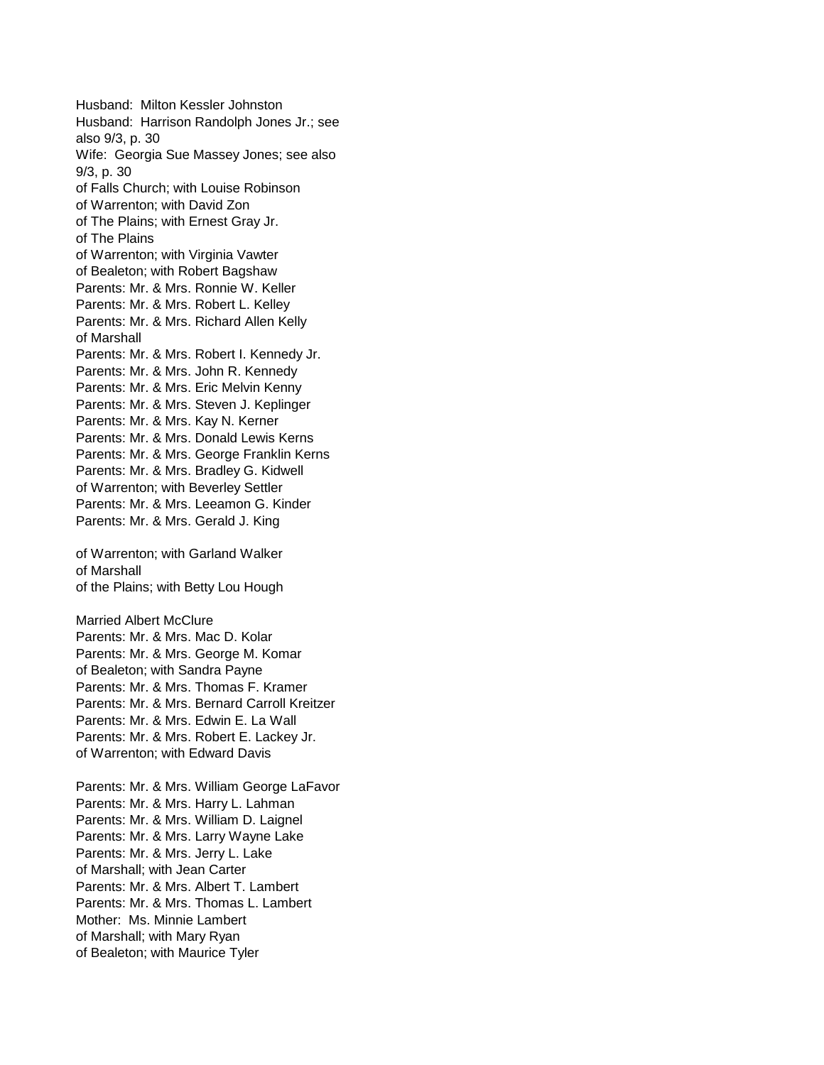Husband: Milton Kessler Johnston Husband: Harrison Randolph Jones Jr.; see also 9/3, p. 30 Wife: Georgia Sue Massey Jones; see also 9/3, p. 30 of Falls Church; with Louise Robinson of Warrenton; with David Zon of The Plains; with Ernest Gray Jr. of The Plains of Warrenton; with Virginia Vawter of Bealeton; with Robert Bagshaw Parents: Mr. & Mrs. Ronnie W. Keller Parents: Mr. & Mrs. Robert L. Kelley Parents: Mr. & Mrs. Richard Allen Kelly of Marshall Parents: Mr. & Mrs. Robert I. Kennedy Jr. Parents: Mr. & Mrs. John R. Kennedy Parents: Mr. & Mrs. Eric Melvin Kenny Parents: Mr. & Mrs. Steven J. Keplinger Parents: Mr. & Mrs. Kay N. Kerner Parents: Mr. & Mrs. Donald Lewis Kerns Parents: Mr. & Mrs. George Franklin Kerns Parents: Mr. & Mrs. Bradley G. Kidwell of Warrenton; with Beverley Settler Parents: Mr. & Mrs. Leeamon G. Kinder Parents: Mr. & Mrs. Gerald J. King of Warrenton; with Garland Walker of Marshall of the Plains; with Betty Lou Hough Married Albert McClure Parents: Mr. & Mrs. Mac D. Kolar Parents: Mr. & Mrs. George M. Komar of Bealeton; with Sandra Payne

Parents: Mr. & Mrs. Thomas F. Kramer Parents: Mr. & Mrs. Bernard Carroll Kreitzer Parents: Mr. & Mrs. Edwin E. La Wall Parents: Mr. & Mrs. Robert E. Lackey Jr. of Warrenton; with Edward Davis

Parents: Mr. & Mrs. William George LaFavor Parents: Mr. & Mrs. Harry L. Lahman Parents: Mr. & Mrs. William D. Laignel Parents: Mr. & Mrs. Larry Wayne Lake Parents: Mr. & Mrs. Jerry L. Lake of Marshall; with Jean Carter Parents: Mr. & Mrs. Albert T. Lambert Parents: Mr. & Mrs. Thomas L. Lambert Mother: Ms. Minnie Lambert of Marshall; with Mary Ryan of Bealeton; with Maurice Tyler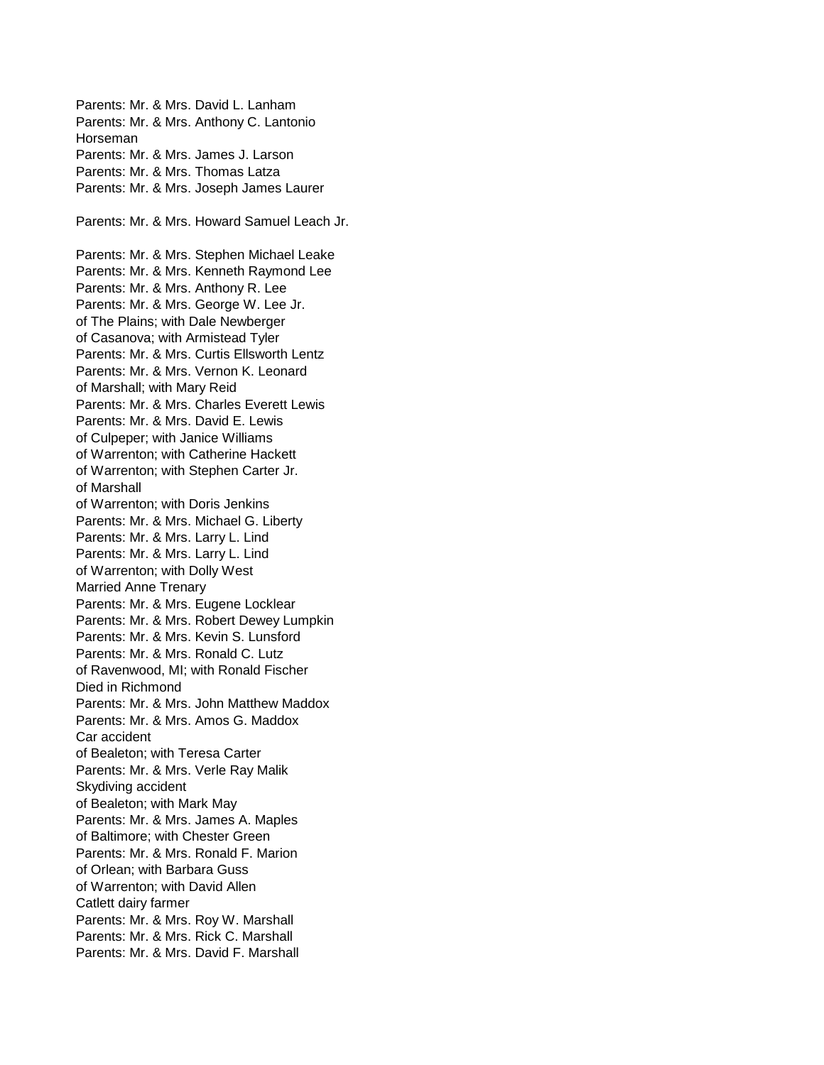Parents: Mr. & Mrs. David L. Lanham Parents: Mr. & Mrs. Anthony C. Lantonio Horseman Parents: Mr. & Mrs. James J. Larson Parents: Mr. & Mrs. Thomas Latza Parents: Mr. & Mrs. Joseph James Laurer Parents: Mr. & Mrs. Howard Samuel Leach Jr. Parents: Mr. & Mrs. Stephen Michael Leake Parents: Mr. & Mrs. Kenneth Raymond Lee Parents: Mr. & Mrs. Anthony R. Lee Parents: Mr. & Mrs. George W. Lee Jr. of The Plains; with Dale Newberger of Casanova; with Armistead Tyler Parents: Mr. & Mrs. Curtis Ellsworth Lentz Parents: Mr. & Mrs. Vernon K. Leonard of Marshall; with Mary Reid Parents: Mr. & Mrs. Charles Everett Lewis Parents: Mr. & Mrs. David E. Lewis of Culpeper; with Janice Williams of Warrenton; with Catherine Hackett of Warrenton; with Stephen Carter Jr. of Marshall of Warrenton; with Doris Jenkins Parents: Mr. & Mrs. Michael G. Liberty Parents: Mr. & Mrs. Larry L. Lind Parents: Mr. & Mrs. Larry L. Lind of Warrenton; with Dolly West Married Anne Trenary Parents: Mr. & Mrs. Eugene Locklear Parents: Mr. & Mrs. Robert Dewey Lumpkin Parents: Mr. & Mrs. Kevin S. Lunsford Parents: Mr. & Mrs. Ronald C. Lutz of Ravenwood, MI; with Ronald Fischer Died in Richmond Parents: Mr. & Mrs. John Matthew Maddox Parents: Mr. & Mrs. Amos G. Maddox Car accident of Bealeton; with Teresa Carter Parents: Mr. & Mrs. Verle Ray Malik Skydiving accident of Bealeton; with Mark May Parents: Mr. & Mrs. James A. Maples of Baltimore; with Chester Green Parents: Mr. & Mrs. Ronald F. Marion of Orlean; with Barbara Guss of Warrenton; with David Allen Catlett dairy farmer Parents: Mr. & Mrs. Roy W. Marshall Parents: Mr. & Mrs. Rick C. Marshall Parents: Mr. & Mrs. David F. Marshall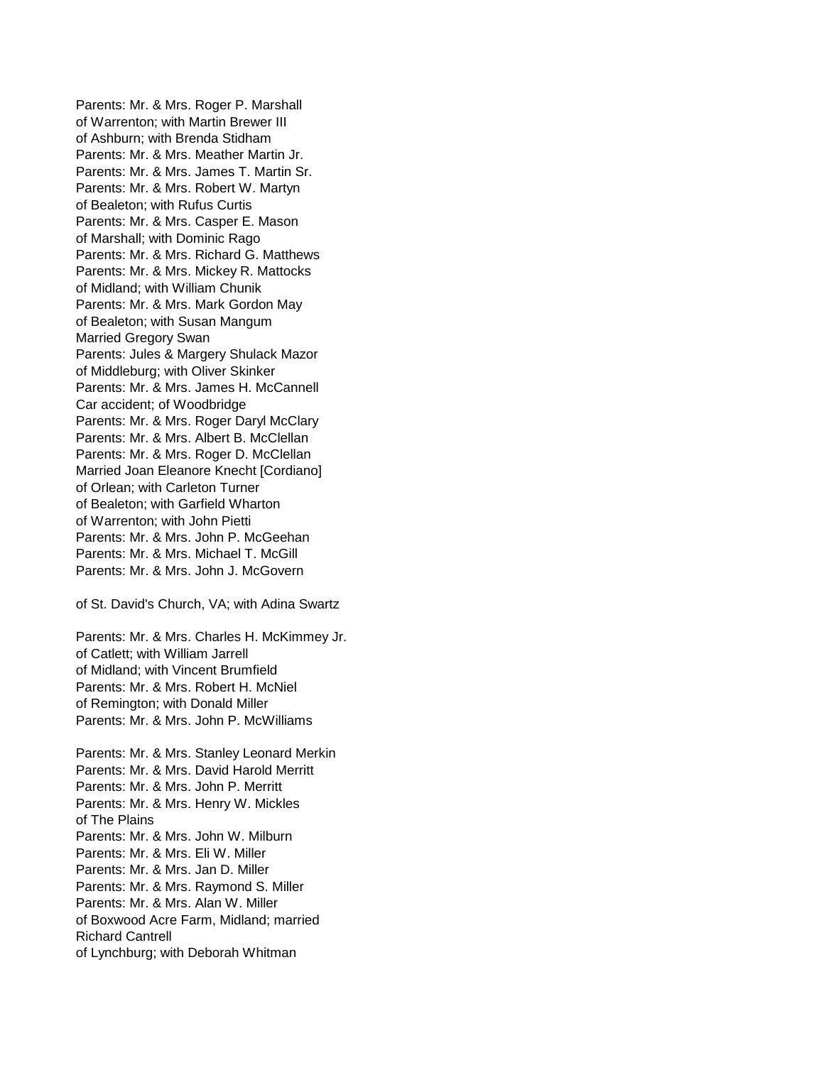Parents: Mr. & Mrs. Roger P. Marshall of Warrenton; with Martin Brewer III of Ashburn; with Brenda Stidham Parents: Mr. & Mrs. Meather Martin Jr. Parents: Mr. & Mrs. James T. Martin Sr. Parents: Mr. & Mrs. Robert W. Martyn of Bealeton; with Rufus Curtis Parents: Mr. & Mrs. Casper E. Mason of Marshall; with Dominic Rago Parents: Mr. & Mrs. Richard G. Matthews Parents: Mr. & Mrs. Mickey R. Mattocks of Midland; with William Chunik Parents: Mr. & Mrs. Mark Gordon May of Bealeton; with Susan Mangum Married Gregory Swan Parents: Jules & Margery Shulack Mazor of Middleburg; with Oliver Skinker Parents: Mr. & Mrs. James H. McCannell Car accident; of Woodbridge Parents: Mr. & Mrs. Roger Daryl McClary Parents: Mr. & Mrs. Albert B. McClellan Parents: Mr. & Mrs. Roger D. McClellan Married Joan Eleanore Knecht [Cordiano] of Orlean; with Carleton Turner of Bealeton; with Garfield Wharton of Warrenton; with John Pietti Parents: Mr. & Mrs. John P. McGeehan Parents: Mr. & Mrs. Michael T. McGill Parents: Mr. & Mrs. John J. McGovern

of St. David's Church, VA; with Adina Swartz

Parents: Mr. & Mrs. Charles H. McKimmey Jr. of Catlett; with William Jarrell of Midland; with Vincent Brumfield Parents: Mr. & Mrs. Robert H. McNiel of Remington; with Donald Miller Parents: Mr. & Mrs. John P. McWilliams

Parents: Mr. & Mrs. Stanley Leonard Merkin Parents: Mr. & Mrs. David Harold Merritt Parents: Mr. & Mrs. John P. Merritt Parents: Mr. & Mrs. Henry W. Mickles of The Plains Parents: Mr. & Mrs. John W. Milburn Parents: Mr. & Mrs. Eli W. Miller Parents: Mr. & Mrs. Jan D. Miller Parents: Mr. & Mrs. Raymond S. Miller Parents: Mr. & Mrs. Alan W. Miller of Boxwood Acre Farm, Midland; married Richard Cantrell of Lynchburg; with Deborah Whitman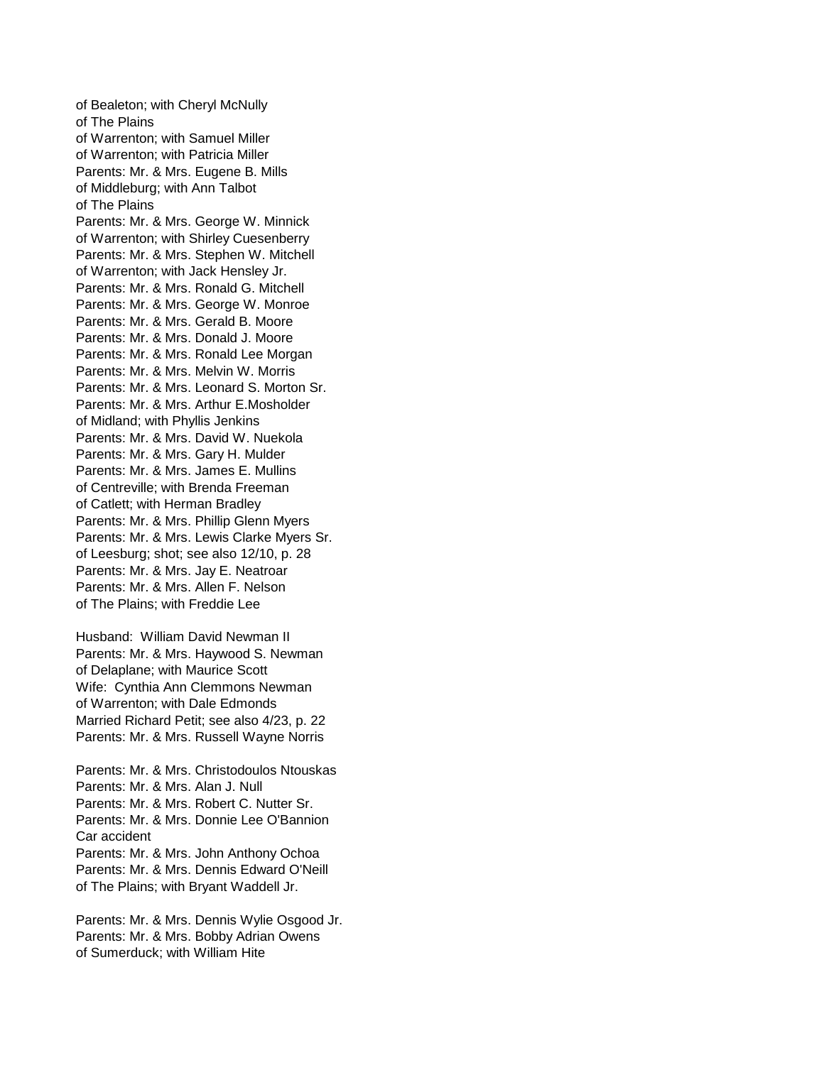of Bealeton; with Cheryl McNully of The Plains of Warrenton; with Samuel Miller of Warrenton; with Patricia Miller Parents: Mr. & Mrs. Eugene B. Mills of Middleburg; with Ann Talbot of The Plains Parents: Mr. & Mrs. George W. Minnick of Warrenton; with Shirley Cuesenberry Parents: Mr. & Mrs. Stephen W. Mitchell of Warrenton; with Jack Hensley Jr. Parents: Mr. & Mrs. Ronald G. Mitchell Parents: Mr. & Mrs. George W. Monroe Parents: Mr. & Mrs. Gerald B. Moore Parents: Mr. & Mrs. Donald J. Moore Parents: Mr. & Mrs. Ronald Lee Morgan Parents: Mr. & Mrs. Melvin W. Morris Parents: Mr. & Mrs. Leonard S. Morton Sr. Parents: Mr. & Mrs. Arthur E.Mosholder of Midland; with Phyllis Jenkins Parents: Mr. & Mrs. David W. Nuekola Parents: Mr. & Mrs. Gary H. Mulder Parents: Mr. & Mrs. James E. Mullins of Centreville; with Brenda Freeman of Catlett; with Herman Bradley Parents: Mr. & Mrs. Phillip Glenn Myers Parents: Mr. & Mrs. Lewis Clarke Myers Sr. of Leesburg; shot; see also 12/10, p. 28 Parents: Mr. & Mrs. Jay E. Neatroar Parents: Mr. & Mrs. Allen F. Nelson of The Plains; with Freddie Lee

Husband: William David Newman II Parents: Mr. & Mrs. Haywood S. Newman of Delaplane; with Maurice Scott Wife: Cynthia Ann Clemmons Newman of Warrenton; with Dale Edmonds Married Richard Petit; see also 4/23, p. 22 Parents: Mr. & Mrs. Russell Wayne Norris

Parents: Mr. & Mrs. Christodoulos Ntouskas Parents: Mr. & Mrs. Alan J. Null Parents: Mr. & Mrs. Robert C. Nutter Sr. Parents: Mr. & Mrs. Donnie Lee O'Bannion Car accident Parents: Mr. & Mrs. John Anthony Ochoa Parents: Mr. & Mrs. Dennis Edward O'Neill of The Plains; with Bryant Waddell Jr.

Parents: Mr. & Mrs. Dennis Wylie Osgood Jr. Parents: Mr. & Mrs. Bobby Adrian Owens of Sumerduck; with William Hite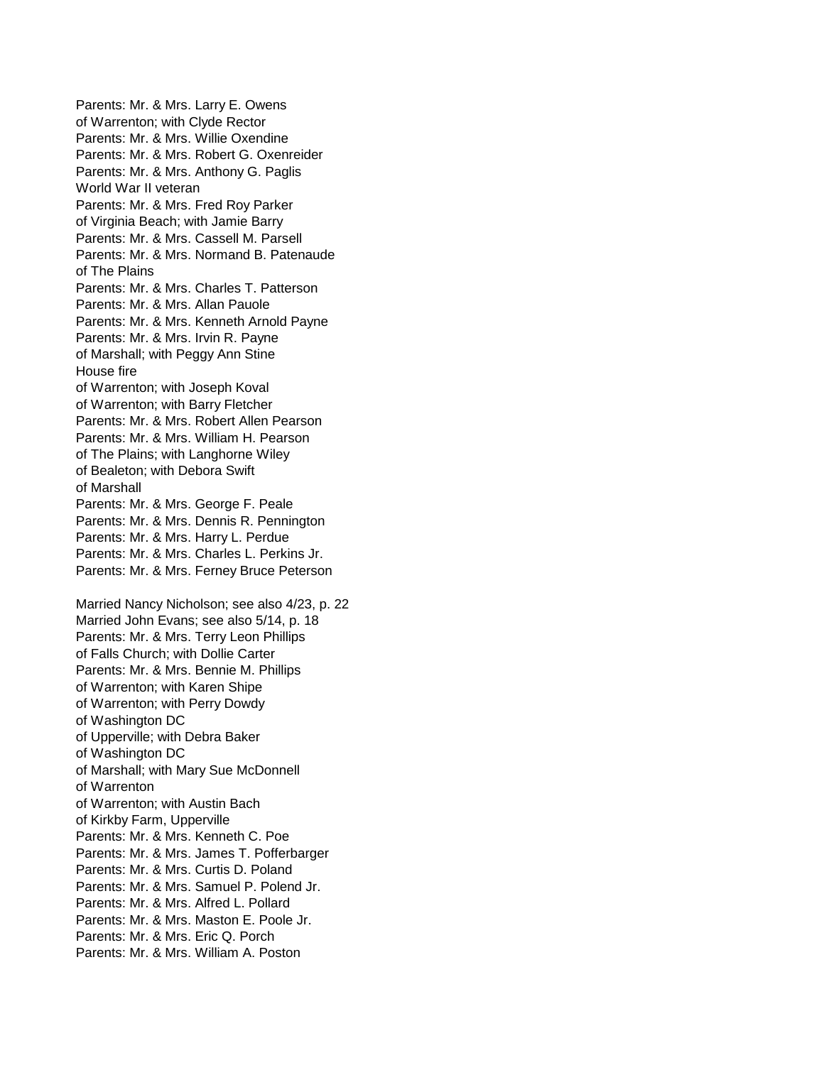Parents: Mr. & Mrs. Larry E. Owens of Warrenton; with Clyde Rector Parents: Mr. & Mrs. Willie Oxendine Parents: Mr. & Mrs. Robert G. Oxenreider Parents: Mr. & Mrs. Anthony G. Paglis World War II veteran Parents: Mr. & Mrs. Fred Roy Parker of Virginia Beach; with Jamie Barry Parents: Mr. & Mrs. Cassell M. Parsell Parents: Mr. & Mrs. Normand B. Patenaude of The Plains Parents: Mr. & Mrs. Charles T. Patterson Parents: Mr. & Mrs. Allan Pauole Parents: Mr. & Mrs. Kenneth Arnold Payne Parents: Mr. & Mrs. Irvin R. Payne of Marshall; with Peggy Ann Stine House fire of Warrenton; with Joseph Koval of Warrenton; with Barry Fletcher Parents: Mr. & Mrs. Robert Allen Pearson Parents: Mr. & Mrs. William H. Pearson of The Plains; with Langhorne Wiley of Bealeton; with Debora Swift of Marshall Parents: Mr. & Mrs. George F. Peale Parents: Mr. & Mrs. Dennis R. Pennington Parents: Mr. & Mrs. Harry L. Perdue Parents: Mr. & Mrs. Charles L. Perkins Jr. Parents: Mr. & Mrs. Ferney Bruce Peterson Married Nancy Nicholson; see also 4/23, p. 22 Married John Evans; see also 5/14, p. 18 Parents: Mr. & Mrs. Terry Leon Phillips of Falls Church; with Dollie Carter Parents: Mr. & Mrs. Bennie M. Phillips of Warrenton; with Karen Shipe of Warrenton; with Perry Dowdy of Washington DC of Upperville; with Debra Baker of Washington DC of Marshall; with Mary Sue McDonnell of Warrenton of Warrenton; with Austin Bach of Kirkby Farm, Upperville Parents: Mr. & Mrs. Kenneth C. Poe Parents: Mr. & Mrs. James T. Pofferbarger Parents: Mr. & Mrs. Curtis D. Poland Parents: Mr. & Mrs. Samuel P. Polend Jr. Parents: Mr. & Mrs. Alfred L. Pollard Parents: Mr. & Mrs. Maston E. Poole Jr. Parents: Mr. & Mrs. Eric Q. Porch Parents: Mr. & Mrs. William A. Poston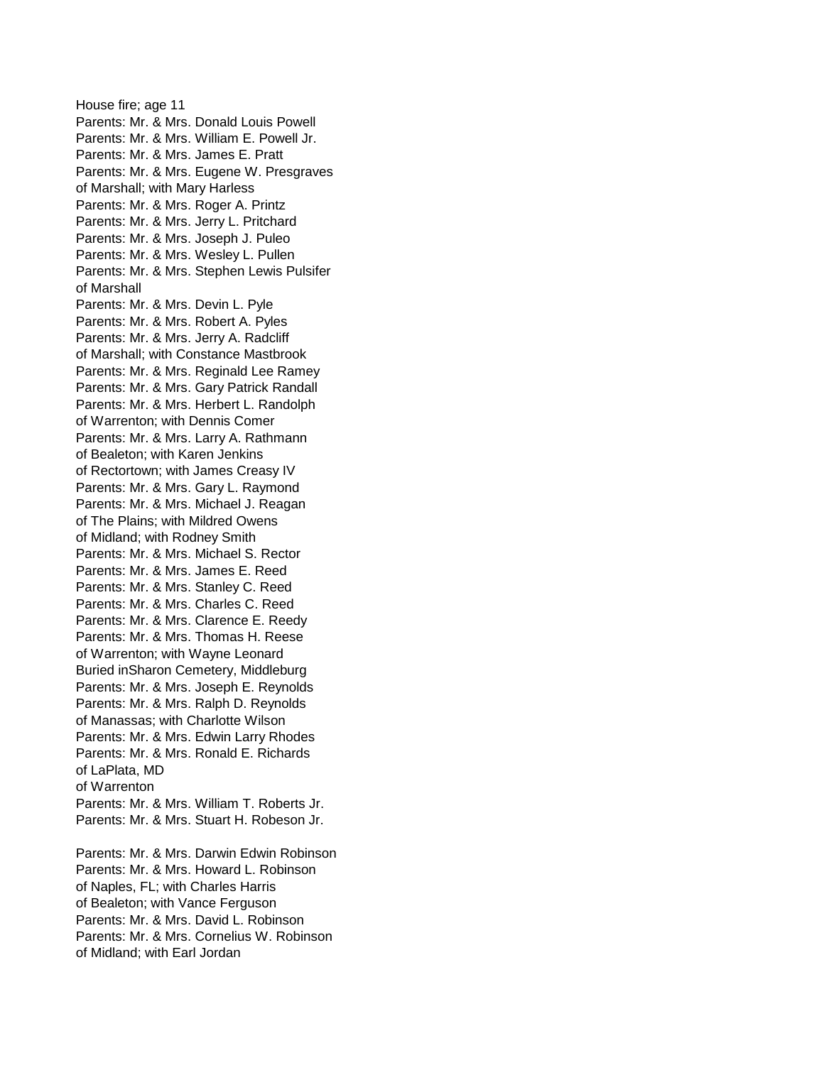House fire; age 11 Parents: Mr. & Mrs. Donald Louis Powell Parents: Mr. & Mrs. William E. Powell Jr. Parents: Mr. & Mrs. James E. Pratt Parents: Mr. & Mrs. Eugene W. Presgraves of Marshall; with Mary Harless Parents: Mr. & Mrs. Roger A. Printz Parents: Mr. & Mrs. Jerry L. Pritchard Parents: Mr. & Mrs. Joseph J. Puleo Parents: Mr. & Mrs. Wesley L. Pullen Parents: Mr. & Mrs. Stephen Lewis Pulsifer of Marshall Parents: Mr. & Mrs. Devin L. Pyle Parents: Mr. & Mrs. Robert A. Pyles Parents: Mr. & Mrs. Jerry A. Radcliff of Marshall; with Constance Mastbrook Parents: Mr. & Mrs. Reginald Lee Ramey Parents: Mr. & Mrs. Gary Patrick Randall Parents: Mr. & Mrs. Herbert L. Randolph of Warrenton; with Dennis Comer Parents: Mr. & Mrs. Larry A. Rathmann of Bealeton; with Karen Jenkins of Rectortown; with James Creasy IV Parents: Mr. & Mrs. Gary L. Raymond Parents: Mr. & Mrs. Michael J. Reagan of The Plains; with Mildred Owens of Midland; with Rodney Smith Parents: Mr. & Mrs. Michael S. Rector Parents: Mr. & Mrs. James E. Reed Parents: Mr. & Mrs. Stanley C. Reed Parents: Mr. & Mrs. Charles C. Reed Parents: Mr. & Mrs. Clarence E. Reedy Parents: Mr. & Mrs. Thomas H. Reese of Warrenton; with Wayne Leonard Buried inSharon Cemetery, Middleburg Parents: Mr. & Mrs. Joseph E. Reynolds Parents: Mr. & Mrs. Ralph D. Reynolds of Manassas; with Charlotte Wilson Parents: Mr. & Mrs. Edwin Larry Rhodes Parents: Mr. & Mrs. Ronald E. Richards of LaPlata, MD of Warrenton Parents: Mr. & Mrs. William T. Roberts Jr. Parents: Mr. & Mrs. Stuart H. Robeson Jr. Parents: Mr. & Mrs. Darwin Edwin Robinson

Parents: Mr. & Mrs. Howard L. Robinson of Naples, FL; with Charles Harris of Bealeton; with Vance Ferguson Parents: Mr. & Mrs. David L. Robinson Parents: Mr. & Mrs. Cornelius W. Robinson of Midland; with Earl Jordan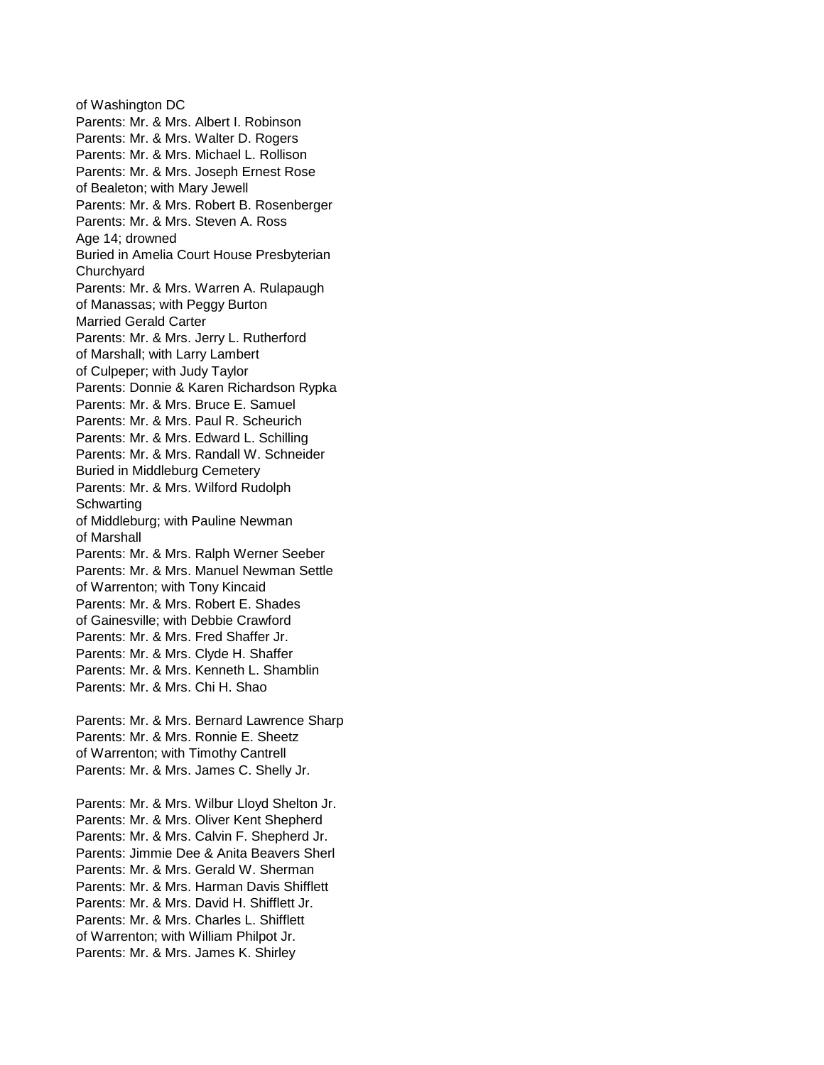of Washington DC Parents: Mr. & Mrs. Albert I. Robinson Parents: Mr. & Mrs. Walter D. Rogers Parents: Mr. & Mrs. Michael L. Rollison Parents: Mr. & Mrs. Joseph Ernest Rose of Bealeton; with Mary Jewell Parents: Mr. & Mrs. Robert B. Rosenberger Parents: Mr. & Mrs. Steven A. Ross Age 14; drowned Buried in Amelia Court House Presbyterian **Churchyard** Parents: Mr. & Mrs. Warren A. Rulapaugh of Manassas; with Peggy Burton Married Gerald Carter Parents: Mr. & Mrs. Jerry L. Rutherford of Marshall; with Larry Lambert of Culpeper; with Judy Taylor Parents: Donnie & Karen Richardson Rypka Parents: Mr. & Mrs. Bruce E. Samuel Parents: Mr. & Mrs. Paul R. Scheurich Parents: Mr. & Mrs. Edward L. Schilling Parents: Mr. & Mrs. Randall W. Schneider Buried in Middleburg Cemetery Parents: Mr. & Mrs. Wilford Rudolph **Schwarting** of Middleburg; with Pauline Newman of Marshall Parents: Mr. & Mrs. Ralph Werner Seeber Parents: Mr. & Mrs. Manuel Newman Settle of Warrenton; with Tony Kincaid Parents: Mr. & Mrs. Robert E. Shades of Gainesville; with Debbie Crawford Parents: Mr. & Mrs. Fred Shaffer Jr. Parents: Mr. & Mrs. Clyde H. Shaffer Parents: Mr. & Mrs. Kenneth L. Shamblin Parents: Mr. & Mrs. Chi H. Shao Parents: Mr. & Mrs. Bernard Lawrence Sharp Parents: Mr. & Mrs. Ronnie E. Sheetz of Warrenton; with Timothy Cantrell Parents: Mr. & Mrs. James C. Shelly Jr. Parents: Mr. & Mrs. Wilbur Lloyd Shelton Jr. Parents: Mr. & Mrs. Oliver Kent Shepherd Parents: Mr. & Mrs. Calvin F. Shepherd Jr. Parents: Jimmie Dee & Anita Beavers Sherl

Parents: Mr. & Mrs. Gerald W. Sherman Parents: Mr. & Mrs. Harman Davis Shifflett Parents: Mr. & Mrs. David H. Shifflett Jr. Parents: Mr. & Mrs. Charles L. Shifflett of Warrenton; with William Philpot Jr.

Parents: Mr. & Mrs. James K. Shirley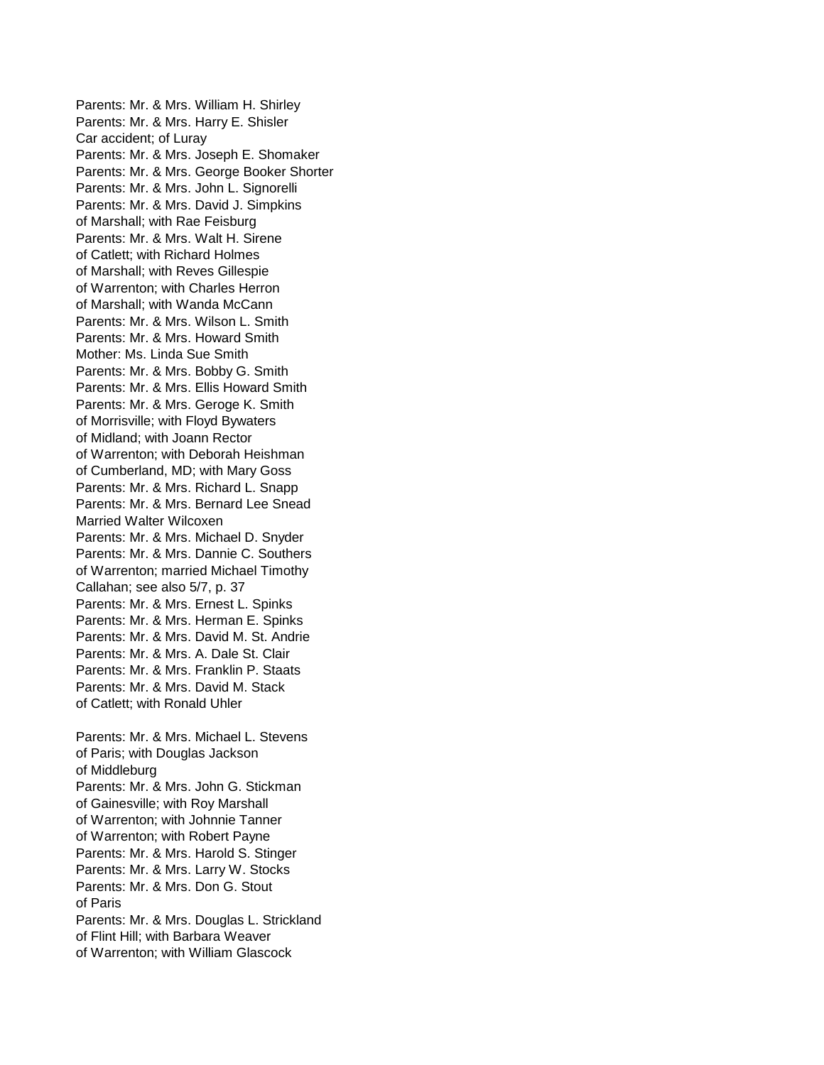Parents: Mr. & Mrs. William H. Shirley Parents: Mr. & Mrs. Harry E. Shisler Car accident; of Luray Parents: Mr. & Mrs. Joseph E. Shomaker Parents: Mr. & Mrs. George Booker Shorter Parents: Mr. & Mrs. John L. Signorelli Parents: Mr. & Mrs. David J. Simpkins of Marshall; with Rae Feisburg Parents: Mr. & Mrs. Walt H. Sirene of Catlett; with Richard Holmes of Marshall; with Reves Gillespie of Warrenton; with Charles Herron of Marshall; with Wanda McCann Parents: Mr. & Mrs. Wilson L. Smith Parents: Mr. & Mrs. Howard Smith Mother: Ms. Linda Sue Smith Parents: Mr. & Mrs. Bobby G. Smith Parents: Mr. & Mrs. Ellis Howard Smith Parents: Mr. & Mrs. Geroge K. Smith of Morrisville; with Floyd Bywaters of Midland; with Joann Rector of Warrenton; with Deborah Heishman of Cumberland, MD; with Mary Goss Parents: Mr. & Mrs. Richard L. Snapp Parents: Mr. & Mrs. Bernard Lee Snead Married Walter Wilcoxen Parents: Mr. & Mrs. Michael D. Snyder Parents: Mr. & Mrs. Dannie C. Southers of Warrenton; married Michael Timothy Callahan; see also 5/7, p. 37 Parents: Mr. & Mrs. Ernest L. Spinks Parents: Mr. & Mrs. Herman E. Spinks Parents: Mr. & Mrs. David M. St. Andrie Parents: Mr. & Mrs. A. Dale St. Clair Parents: Mr. & Mrs. Franklin P. Staats Parents: Mr. & Mrs. David M. Stack of Catlett; with Ronald Uhler Parents: Mr. & Mrs. Michael L. Stevens of Paris; with Douglas Jackson of Middleburg Parents: Mr. & Mrs. John G. Stickman of Gainesville; with Roy Marshall of Warrenton; with Johnnie Tanner of Warrenton; with Robert Payne Parents: Mr. & Mrs. Harold S. Stinger Parents: Mr. & Mrs. Larry W. Stocks Parents: Mr. & Mrs. Don G. Stout of Paris Parents: Mr. & Mrs. Douglas L. Strickland of Flint Hill; with Barbara Weaver

of Warrenton; with William Glascock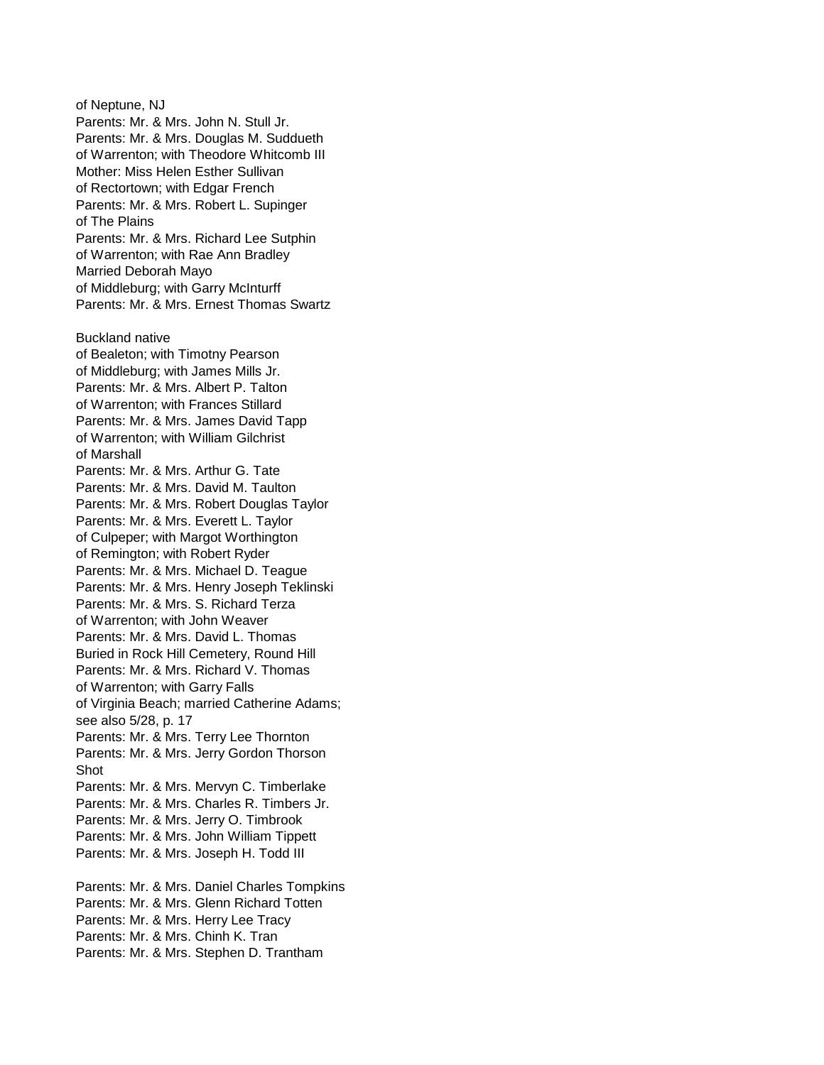of Neptune, NJ Parents: Mr. & Mrs. John N. Stull Jr. Parents: Mr. & Mrs. Douglas M. Suddueth of Warrenton; with Theodore Whitcomb III Mother: Miss Helen Esther Sullivan of Rectortown; with Edgar French Parents: Mr. & Mrs. Robert L. Supinger of The Plains Parents: Mr. & Mrs. Richard Lee Sutphin of Warrenton; with Rae Ann Bradley Married Deborah Mayo of Middleburg; with Garry McInturff Parents: Mr. & Mrs. Ernest Thomas Swartz Buckland native of Bealeton; with Timotny Pearson of Middleburg; with James Mills Jr. Parents: Mr. & Mrs. Albert P. Talton of Warrenton; with Frances Stillard Parents: Mr. & Mrs. James David Tapp of Warrenton; with William Gilchrist of Marshall Parents: Mr. & Mrs. Arthur G. Tate Parents: Mr. & Mrs. David M. Taulton Parents: Mr. & Mrs. Robert Douglas Taylor Parents: Mr. & Mrs. Everett L. Taylor of Culpeper; with Margot Worthington of Remington; with Robert Ryder Parents: Mr. & Mrs. Michael D. Teague Parents: Mr. & Mrs. Henry Joseph Teklinski Parents: Mr. & Mrs. S. Richard Terza of Warrenton; with John Weaver Parents: Mr. & Mrs. David L. Thomas Buried in Rock Hill Cemetery, Round Hill Parents: Mr. & Mrs. Richard V. Thomas of Warrenton; with Garry Falls of Virginia Beach; married Catherine Adams; see also 5/28, p. 17 Parents: Mr. & Mrs. Terry Lee Thornton Parents: Mr. & Mrs. Jerry Gordon Thorson Shot Parents: Mr. & Mrs. Mervyn C. Timberlake Parents: Mr. & Mrs. Charles R. Timbers Jr. Parents: Mr. & Mrs. Jerry O. Timbrook Parents: Mr. & Mrs. John William Tippett Parents: Mr. & Mrs. Joseph H. Todd III Parents: Mr. & Mrs. Daniel Charles Tompkins Parents: Mr. & Mrs. Glenn Richard Totten Parents: Mr. & Mrs. Herry Lee Tracy Parents: Mr. & Mrs. Chinh K. Tran

Parents: Mr. & Mrs. Stephen D. Trantham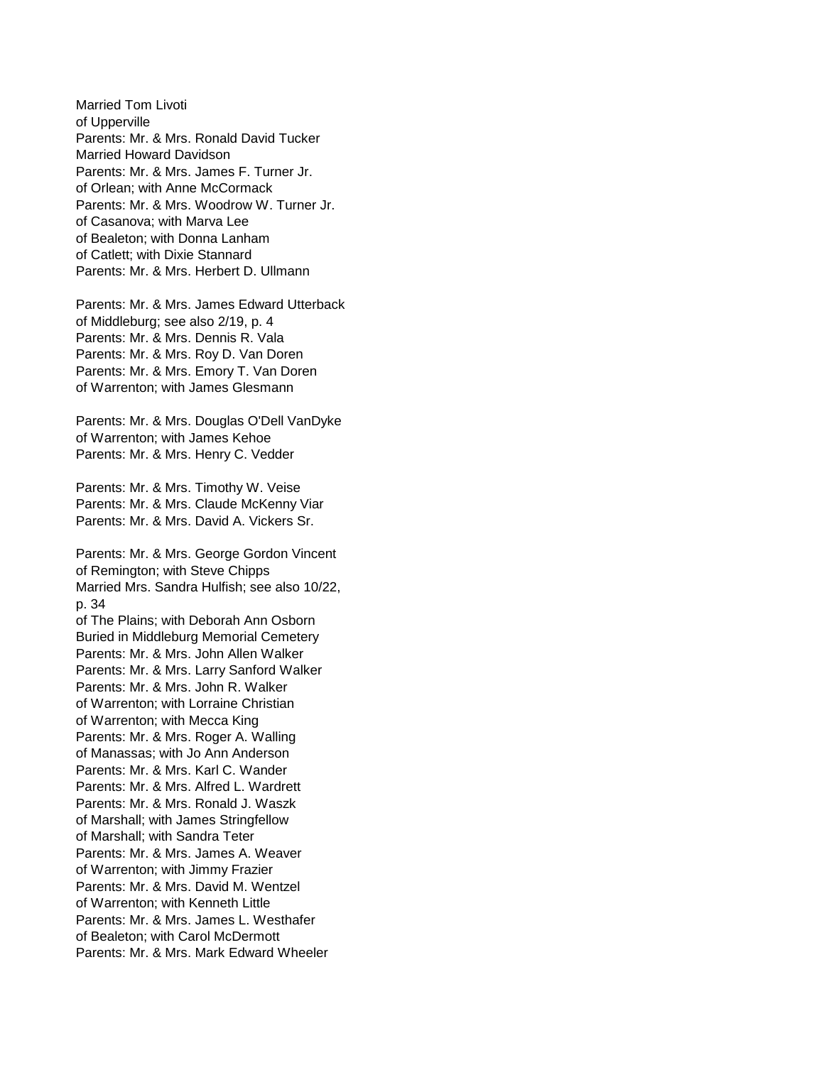Married Tom Livoti of Upperville Parents: Mr. & Mrs. Ronald David Tucker Married Howard Davidson Parents: Mr. & Mrs. James F. Turner Jr. of Orlean; with Anne McCormack Parents: Mr. & Mrs. Woodrow W. Turner Jr. of Casanova; with Marva Lee of Bealeton; with Donna Lanham of Catlett; with Dixie Stannard Parents: Mr. & Mrs. Herbert D. Ullmann

Parents: Mr. & Mrs. James Edward Utterback of Middleburg; see also 2/19, p. 4 Parents: Mr. & Mrs. Dennis R. Vala Parents: Mr. & Mrs. Roy D. Van Doren Parents: Mr. & Mrs. Emory T. Van Doren of Warrenton; with James Glesmann

Parents: Mr. & Mrs. Douglas O'Dell VanDyke of Warrenton; with James Kehoe Parents: Mr. & Mrs. Henry C. Vedder

Parents: Mr. & Mrs. Timothy W. Veise Parents: Mr. & Mrs. Claude McKenny Viar Parents: Mr. & Mrs. David A. Vickers Sr.

Parents: Mr. & Mrs. George Gordon Vincent of Remington; with Steve Chipps Married Mrs. Sandra Hulfish; see also 10/22, p. 34 of The Plains; with Deborah Ann Osborn Buried in Middleburg Memorial Cemetery Parents: Mr. & Mrs. John Allen Walker Parents: Mr. & Mrs. Larry Sanford Walker Parents: Mr. & Mrs. John R. Walker of Warrenton; with Lorraine Christian of Warrenton; with Mecca King Parents: Mr. & Mrs. Roger A. Walling of Manassas; with Jo Ann Anderson Parents: Mr. & Mrs. Karl C. Wander Parents: Mr. & Mrs. Alfred L. Wardrett Parents: Mr. & Mrs. Ronald J. Waszk of Marshall; with James Stringfellow of Marshall; with Sandra Teter Parents: Mr. & Mrs. James A. Weaver of Warrenton; with Jimmy Frazier Parents: Mr. & Mrs. David M. Wentzel of Warrenton; with Kenneth Little Parents: Mr. & Mrs. James L. Westhafer of Bealeton; with Carol McDermott Parents: Mr. & Mrs. Mark Edward Wheeler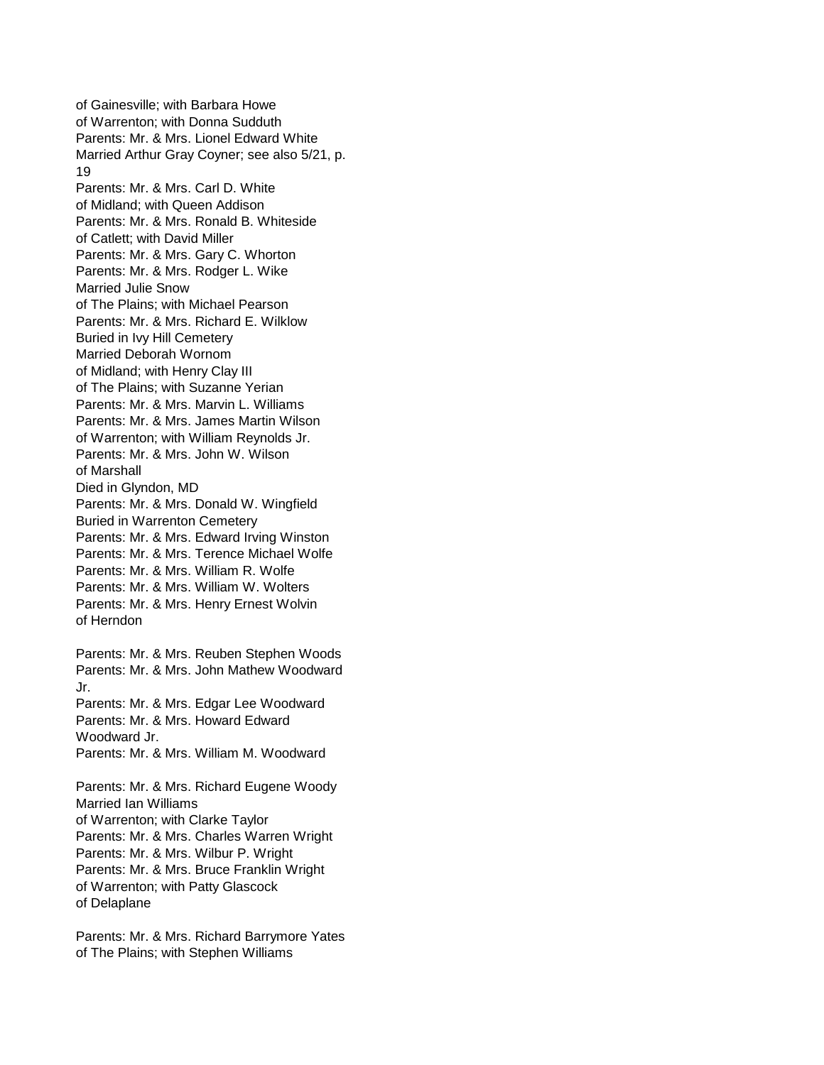of Gainesville; with Barbara Howe of Warrenton; with Donna Sudduth Parents: Mr. & Mrs. Lionel Edward White Married Arthur Gray Coyner; see also 5/21, p. 19 Parents: Mr. & Mrs. Carl D. White of Midland; with Queen Addison Parents: Mr. & Mrs. Ronald B. Whiteside of Catlett; with David Miller Parents: Mr. & Mrs. Gary C. Whorton Parents: Mr. & Mrs. Rodger L. Wike Married Julie Snow of The Plains; with Michael Pearson Parents: Mr. & Mrs. Richard E. Wilklow Buried in Ivy Hill Cemetery Married Deborah Wornom of Midland; with Henry Clay III of The Plains; with Suzanne Yerian Parents: Mr. & Mrs. Marvin L. Williams Parents: Mr. & Mrs. James Martin Wilson of Warrenton; with William Reynolds Jr. Parents: Mr. & Mrs. John W. Wilson of Marshall Died in Glyndon, MD Parents: Mr. & Mrs. Donald W. Wingfield Buried in Warrenton Cemetery Parents: Mr. & Mrs. Edward Irving Winston Parents: Mr. & Mrs. Terence Michael Wolfe Parents: Mr. & Mrs. William R. Wolfe Parents: Mr. & Mrs. William W. Wolters Parents: Mr. & Mrs. Henry Ernest Wolvin of Herndon Parents: Mr. & Mrs. Reuben Stephen Woods Parents: Mr. & Mrs. John Mathew Woodward Jr. Parents: Mr. & Mrs. Edgar Lee Woodward Parents: Mr. & Mrs. Howard Edward Woodward Jr. Parents: Mr. & Mrs. William M. Woodward

Parents: Mr. & Mrs. Richard Eugene Woody Married Ian Williams of Warrenton; with Clarke Taylor Parents: Mr. & Mrs. Charles Warren Wright Parents: Mr. & Mrs. Wilbur P. Wright Parents: Mr. & Mrs. Bruce Franklin Wright of Warrenton; with Patty Glascock of Delaplane

Parents: Mr. & Mrs. Richard Barrymore Yates of The Plains; with Stephen Williams